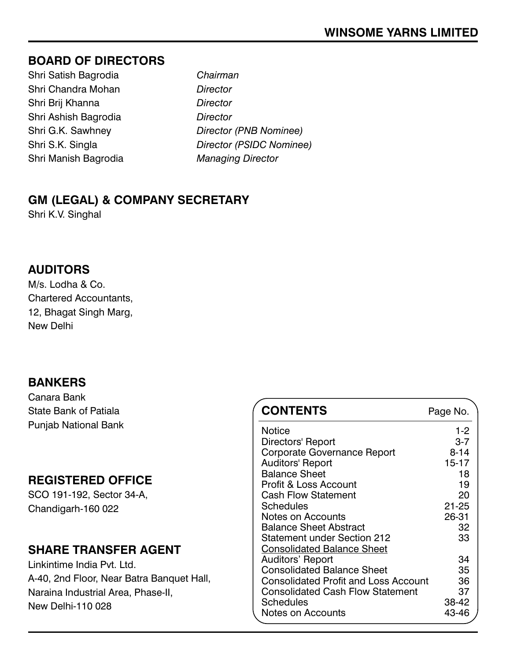## **BOARD OF DIRECTORS**

Shri Satish Bagrodia *Chairman* Shri Chandra Mohan *Director* Shri Brij Khanna *Director* Shri Ashish Bagrodia *Director* Shri Manish Bagrodia *Managing Director*

Shri G.K. Sawhney *Director (PNB Nominee)* Shri S.K. Singla *Director (PSIDC Nominee)*

## **GM (LEGAL) & COMPANY SECRETARY**

Shri K.V. Singhal

## **AUDITORS**

M/s. Lodha & Co. Chartered Accountants, 12, Bhagat Singh Marg, New Delhi

## **BANKERS**

Canara Bank State Bank of Patiala Punjab National Bank

## **REGISTERED OFFICE**

SCO 191-192, Sector 34-A, Chandigarh-160 022

## **SHARE TRANSFER AGENT**

Linkintime India Pvt. Ltd. A-40, 2nd Floor, Near Batra Banquet Hall, Naraina Industrial Area, Phase-II, New Delhi-110 028

| $1-2$<br>Notice<br>$3 - 7$<br>Directors' Report<br>Corporate Governance Report<br>$8 - 14$<br>$15 - 17$<br>Auditors' Report<br><b>Balance Sheet</b><br>18<br>Profit & Loss Account<br>19<br><b>Cash Flow Statement</b><br>20<br>21-25<br>Schedules<br>26-31<br>Notes on Accounts |
|----------------------------------------------------------------------------------------------------------------------------------------------------------------------------------------------------------------------------------------------------------------------------------|
|                                                                                                                                                                                                                                                                                  |
|                                                                                                                                                                                                                                                                                  |
|                                                                                                                                                                                                                                                                                  |
|                                                                                                                                                                                                                                                                                  |
|                                                                                                                                                                                                                                                                                  |
|                                                                                                                                                                                                                                                                                  |
|                                                                                                                                                                                                                                                                                  |
|                                                                                                                                                                                                                                                                                  |
|                                                                                                                                                                                                                                                                                  |
| <b>Balance Sheet Abstract</b><br>32                                                                                                                                                                                                                                              |
| Statement under Section 212<br>33                                                                                                                                                                                                                                                |
| <b>Consolidated Balance Sheet</b>                                                                                                                                                                                                                                                |
| Auditors' Report<br>34                                                                                                                                                                                                                                                           |
| <b>Consolidated Balance Sheet</b><br>35                                                                                                                                                                                                                                          |
| <b>Consolidated Profit and Loss Account</b><br>36                                                                                                                                                                                                                                |
| <b>Consolidated Cash Flow Statement</b><br>37                                                                                                                                                                                                                                    |
| Schedules<br>38-42                                                                                                                                                                                                                                                               |
| Notes on Accounts<br>43-46                                                                                                                                                                                                                                                       |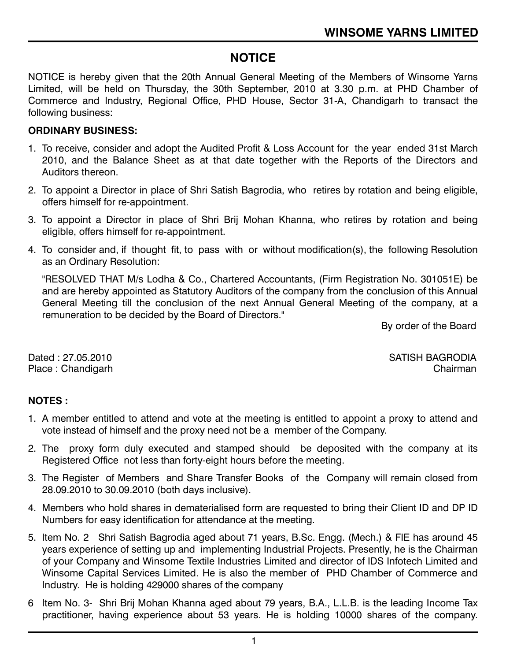## **NOTICE**

NOTICE is hereby given that the 20th Annual General Meeting of the Members of Winsome Yarns Limited, will be held on Thursday, the 30th September, 2010 at 3.30 p.m. at PHD Chamber of Commerce and Industry, Regional Office, PHD House, Sector 31-A, Chandigarh to transact the following business:

## **ORDINARY BUSINESS:**

- 1. To receive, consider and adopt the Audited Profit & Loss Account for the year ended 31st March 2010, and the Balance Sheet as at that date together with the Reports of the Directors and Auditors thereon.
- 2. To appoint a Director in place of Shri Satish Bagrodia, who retires by rotation and being eligible, offers himself for re-appointment.
- 3. To appoint a Director in place of Shri Brij Mohan Khanna, who retires by rotation and being eligible, offers himself for re-appointment.
- 4. To consider and, if thought fit, to pass with or without modification(s), the following Resolution as an Ordinary Resolution:

"RESOLVED THAT M/s Lodha & Co., Chartered Accountants, (Firm Registration No. 301051E) be and are hereby appointed as Statutory Auditors of the company from the conclusion of this Annual General Meeting till the conclusion of the next Annual General Meeting of the company, at a remuneration to be decided by the Board of Directors."

By order of the Board

Place : Chandigarh

Dated : 27.05.2010 SATISH BAGRODIA

## **NOTES :**

- 1. A member entitled to attend and vote at the meeting is entitled to appoint a proxy to attend and vote instead of himself and the proxy need not be a member of the Company.
- 2. The proxy form duly executed and stamped should be deposited with the company at its Registered Office not less than forty-eight hours before the meeting.
- 3. The Register of Members and Share Transfer Books of the Company will remain closed from 28.09.2010 to 30.09.2010 (both days inclusive).
- 4. Members who hold shares in dematerialised form are requested to bring their Client ID and DP ID Numbers for easy identification for attendance at the meeting.
- 5. Item No. 2 Shri Satish Bagrodia aged about 71 years, B.Sc. Engg. (Mech.) & FIE has around 45 years experience of setting up and implementing Industrial Projects. Presently, he is the Chairman of your Company and Winsome Textile Industries Limited and director of IDS Infotech Limited and Winsome Capital Services Limited. He is also the member of PHD Chamber of Commerce and Industry. He is holding 429000 shares of the company
- 6 Item No. 3- Shri Brij Mohan Khanna aged about 79 years, B.A., L.L.B. is the leading Income Tax practitioner, having experience about 53 years. He is holding 10000 shares of the company.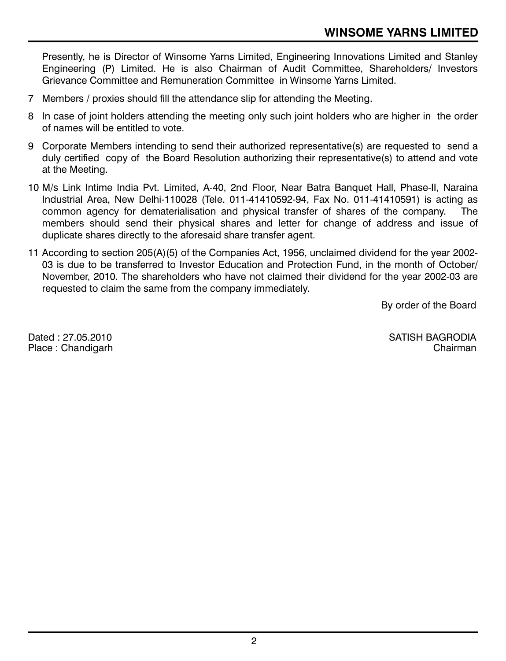Presently, he is Director of Winsome Yarns Limited, Engineering Innovations Limited and Stanley Engineering (P) Limited. He is also Chairman of Audit Committee, Shareholders/ Investors Grievance Committee and Remuneration Committee in Winsome Yarns Limited.

- 7 Members / proxies should fill the attendance slip for attending the Meeting.
- 8 In case of joint holders attending the meeting only such joint holders who are higher in the order of names will be entitled to vote.
- 9 Corporate Members intending to send their authorized representative(s) are requested to send a duly certified copy of the Board Resolution authorizing their representative(s) to attend and vote at the Meeting.
- 10 M/s Link Intime India Pvt. Limited, A-40, 2nd Floor, Near Batra Banquet Hall, Phase-II, Naraina Industrial Area, New Delhi-110028 (Tele. 011-41410592-94, Fax No. 011-41410591) is acting as common agency for dematerialisation and physical transfer of shares of the company. The members should send their physical shares and letter for change of address and issue of duplicate shares directly to the aforesaid share transfer agent.
- 11 According to section 205(A)(5) of the Companies Act, 1956, unclaimed dividend for the year 2002- 03 is due to be transferred to Investor Education and Protection Fund, in the month of October/ November, 2010. The shareholders who have not claimed their dividend for the year 2002-03 are requested to claim the same from the company immediately.

By order of the Board

Place : Chandigarh

Dated : 27.05.2010 SATISH BAGRODIA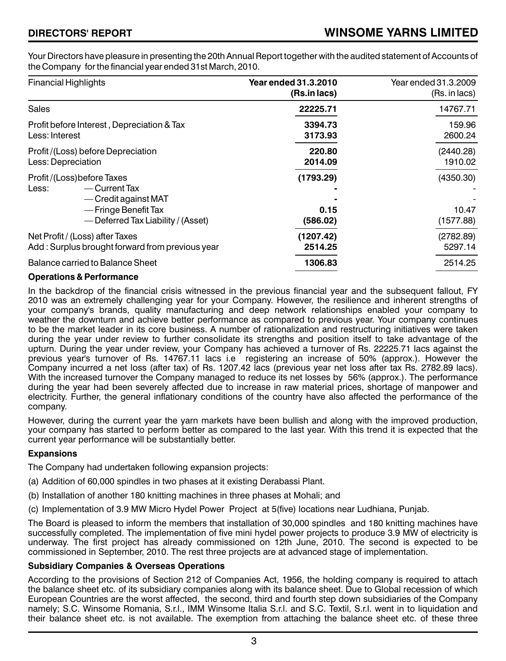Your Directors have pleasure in presenting the 20th Annual Report together with the audited statement of Accounts of the Company for the financial year ended 31st March, 2010.

| <b>Financial Highlights</b>                                                                                                                 | <b>Year ended 31.3.2010</b><br>(Rs.in lacs) | Year ended 31.3.2009<br>(Rs. in lacs) |
|---------------------------------------------------------------------------------------------------------------------------------------------|---------------------------------------------|---------------------------------------|
| Sales                                                                                                                                       | 22225.71                                    | 14767.71                              |
| Profit before Interest, Depreciation & Tax<br>Less: Interest                                                                                | 3394.73<br>3173.93                          | 159.96<br>2600.24                     |
| Profit/(Loss) before Depreciation<br>Less: Depreciation                                                                                     | 220.80<br>2014.09                           | (2440.28)<br>1910.02                  |
| Profit/(Loss)before Taxes<br>$-$ Current Tax<br>Less:<br>- Credit against MAT<br>- Fringe Benefit Tax<br>- Deferred Tax Liability / (Asset) | (1793.29)<br>0.15<br>(586.02)               | (4350.30)<br>10.47<br>(1577.88)       |
| Net Profit / (Loss) after Taxes<br>Add: Surplus brought forward from previous year                                                          | (1207.42)<br>2514.25                        | (2782.89)<br>5297.14                  |
| Balance carried to Balance Sheet                                                                                                            | 1306.83                                     | 2514.25                               |

## **Operations & Performance**

In the backdrop of the financial crisis witnessed in the previous financial year and the subsequent fallout, FY 2010 was an extremely challenging year for your Company. However, the resilience and inherent strengths of your company's brands, quality manufacturing and deep network relationships enabled your company to weather the downturn and achieve better performance as compared to previous year. Your company continues to be the market leader in its core business. A number of rationalization and restructuring initiatives were taken during the year under review to further consolidate its strengths and position itself to take advantage of the upturn. During the year under review, your Company has achieved a turnover of Rs. 22225.71 lacs against the previous year's turnover of Rs. 14767.11 lacs i.e registering an increase of 50% (approx.). However the Company incurred a net loss (after tax) of Rs. 1207.42 lacs (previous year net loss after tax Rs. 2782.89 lacs). With the increased turnover the Company managed to reduce its net losses by 56% (approx.). The performance during the year had been severely affected due to increase in raw material prices, shortage of manpower and electricity. Further, the general inflationary conditions of the country have also affected the performance of the company.

However, during the current year the yarn markets have been bullish and along with the improved production, your company has started to perform better as compared to the last year. With this trend it is expected that the current year performance will be substantially better.

## **Expansions**

The Company had undertaken following expansion projects:

- (a) Addition of 60,000 spindles in two phases at it existing Derabassi Plant.
- (b) Installation of another 180 knitting machines in three phases at Mohali; and
- (c) Implementation of 3.9 MW Micro Hydel Power Project at 5(five) locations near Ludhiana, Punjab.

The Board is pleased to inform the members that installation of 30,000 spindles and 180 knitting machines have successfully completed. The implementation of five mini hydel power projects to produce 3.9 MW of electricity is underway. The first project has already commissioned on 12th June, 2010. The second is expected to be commissioned in September, 2010. The rest three projects are at advanced stage of implementation.

## **Subsidiary Companies & Overseas Operations**

According to the provisions of Section 212 of Companies Act, 1956, the holding company is required to attach the balance sheet etc. of its subsidiary companies along with its balance sheet. Due to Global recession of which European Countries are the worst affected, the second, third and fourth step down subsidiaries of the Company namely; S.C. Winsome Romania, S.r.l., IMM Winsome Italia S.r.l. and S.C. Textil, S.r.l. went in to liquidation and their balance sheet etc. is not available. The exemption from attaching the balance sheet etc. of these three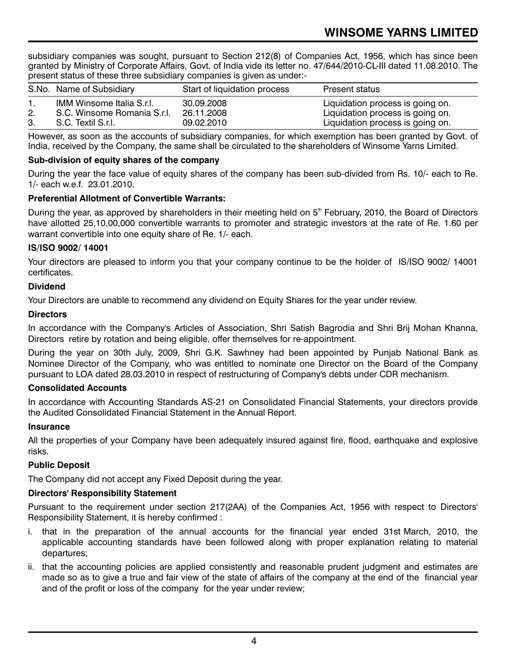subsidiary companies was sought, pursuant to Section 212(8) of Companies Act, 1956, which has since been granted by Ministry of Corporate Affairs, Govt. of India vide its letter no. 47/644/2010-CL-III dated 11.08.2010. The present status of these three subsidiary companies is given as under:-

|    | S.No. Name of Subsidiary    | Start of liquidation process | Present status                   |
|----|-----------------------------|------------------------------|----------------------------------|
| 2. | IMM Winsome Italia S.r.I.   | 30.09.2008                   | Liquidation process is going on. |
|    | S.C. Winsome Romania S.r.I. | 26.11.2008                   | Liquidation process is going on. |
|    | S.C. Textil S.r.I.          | 09.02.2010                   | Liquidation process is going on. |

However, as soon as the accounts of subsidiary companies, for which exemption has been granted by Govt. of India, received by the Company, the same shall be circulated to the shareholders of Winsome Yarns Limited.

## **Sub-division of equity shares of the company**

During the year the face value of equity shares of the company has been sub-divided from Rs. 10/- each to Re. 1/- each w.e.f. 23.01.2010.

## **Preferential Allotment of Convertible Warrants:**

During the year, as approved by shareholders in their meeting held on 5<sup>th</sup> February, 2010, the Board of Directors have allotted 25,10,00,000 convertible warrants to promoter and strategic investors at the rate of Re. 1.60 per warrant convertible into one equity share of Re. 1/- each.

## **IS/ISO 9002/ 14001**

Your directors are pleased to inform you that your company continue to be the holder of IS/ISO 9002/ 14001 certificates.

## **Dividend**

Your Directors are unable to recommend any dividend on Equity Shares for the year under review.

## **Directors**

In accordance with the Company's Articles of Association, Shri Satish Bagrodia and Shri Brij Mohan Khanna, Directors retire by rotation and being eligible, offer themselves for re-appointment.

During the year on 30th July, 2009, Shri G.K. Sawhney had been appointed by Punjab National Bank as Nominee Director of the Company, who was entitled to nominate one Director on the Board of the Company pursuant to LOA dated 28.03.2010 in respect of restructuring of Company's debts under CDR mechanism.

## **Consolidated Accounts**

In accordance with Accounting Standards AS-21 on Consolidated Financial Statements, your directors provide the Audited Consolidated Financial Statement in the Annual Report.

## **Insurance**

All the properties of your Company have been adequately insured against fire, flood, earthquake and explosive risks.

## **Public Deposit**

The Company did not accept any Fixed Deposit during the year.

## **Directors' Responsibility Statement**

Pursuant to the requirement under section 217(2AA) of the Companies Act, 1956 with respect to Directors' Responsibility Statement, it is hereby confirmed :

- i. that in the preparation of the annual accounts for the financial year ended 31st March, 2010, the applicable accounting standards have been followed along with proper explanation relating to material departures;
- ii. that the accounting policies are applied consistently and reasonable prudent judgment and estimates are made so as to give a true and fair view of the state of affairs of the company at the end of the financial year and of the profit or loss of the company for the year under review;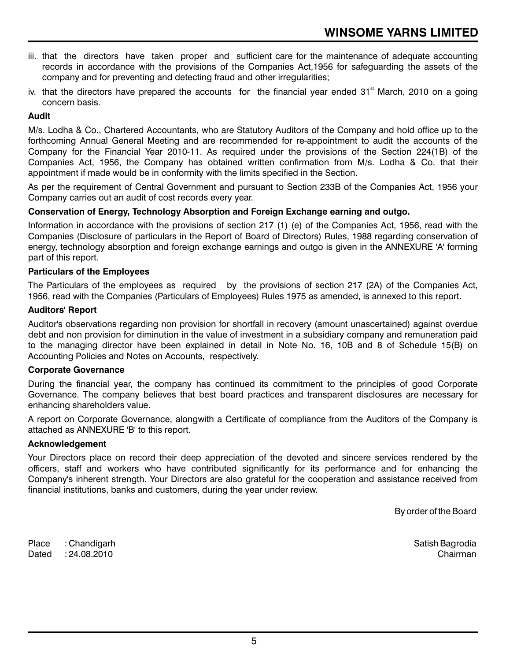- iii. that the directors have taken proper and sufficient care for the maintenance of adequate accounting records in accordance with the provisions of the Companies Act,1956 for safeguarding the assets of the company and for preventing and detecting fraud and other irregularities;
- iv. that the directors have prepared the accounts for the financial year ended  $31<sup>st</sup>$  March, 2010 on a going concern basis.

## **Audit**

M/s. Lodha & Co., Chartered Accountants, who are Statutory Auditors of the Company and hold office up to the forthcoming Annual General Meeting and are recommended for re-appointment to audit the accounts of the Company for the Financial Year 2010-11. As required under the provisions of the Section 224(1B) of the Companies Act, 1956, the Company has obtained written confirmation from M/s. Lodha & Co. that their appointment if made would be in conformity with the limits specified in the Section.

As per the requirement of Central Government and pursuant to Section 233B of the Companies Act, 1956 your Company carries out an audit of cost records every year.

## **Conservation of Energy, Technology Absorption and Foreign Exchange earning and outgo.**

Information in accordance with the provisions of section 217 (1) (e) of the Companies Act, 1956, read with the Companies (Disclosure of particulars in the Report of Board of Directors) Rules, 1988 regarding conservation of energy, technology absorption and foreign exchange earnings and outgo is given in the ANNEXURE 'A' forming part of this report.

## **Particulars of the Employees**

The Particulars of the employees as required by the provisions of section 217 (2A) of the Companies Act, 1956, read with the Companies (Particulars of Employees) Rules 1975 as amended, is annexed to this report.

## **Auditors' Report**

Auditor's observations regarding non provision for shortfall in recovery (amount unascertained) against overdue debt and non provision for diminution in the value of investment in a subsidiary company and remuneration paid to the managing director have been explained in detail in Note No. 16, 10B and 8 of Schedule 15(B) on Accounting Policies and Notes on Accounts, respectively.

## **Corporate Governance**

During the financial year, the company has continued its commitment to the principles of good Corporate Governance. The company believes that best board practices and transparent disclosures are necessary for enhancing shareholders value.

A report on Corporate Governance, alongwith a Certificate of compliance from the Auditors of the Company is attached as ANNEXURE 'B' to this report.

## **Acknowledgement**

Your Directors place on record their deep appreciation of the devoted and sincere services rendered by the officers, staff and workers who have contributed significantly for its performance and for enhancing the Company's inherent strength. Your Directors are also grateful for the cooperation and assistance received from financial institutions, banks and customers, during the year under review.

By order of the Board

Place : Chandigarh Satish Bagrodia (1999) - Satish Bagrodia (1999) - Satish Bagrodia (1999) - Satish Bagrodia<br>Dated : 24.08.2010 - Satish Bagrodia (1999) - Satish Bagrodia (1999) - Satish Bagrodia (1999) - Satish Bagrodi Dated : 24.08.2010 Chairman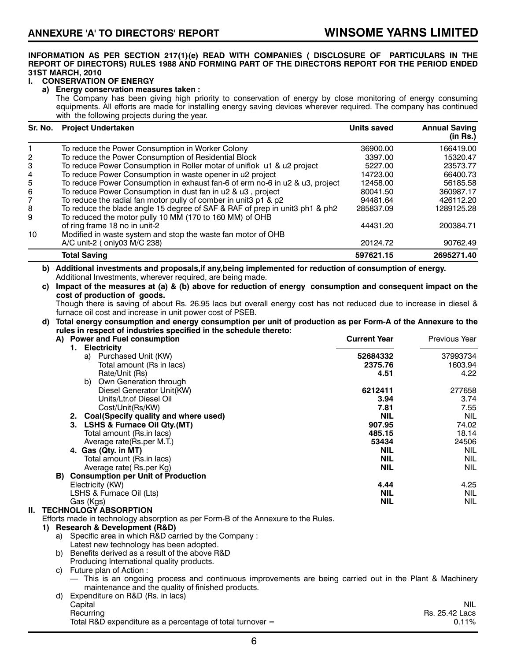#### **INFORMATION AS PER SECTION 217(1)(e) READ WITH COMPANIES ( DISCLOSURE OF PARTICULARS IN THE REPORT OF DIRECTORS) RULES 1988 AND FORMING PART OF THE DIRECTORS REPORT FOR THE PERIOD ENDED 31ST MARCH, 2010**

#### **I. CONSERVATION OF ENERGY**

#### **a) Energy conservation measures taken :**

The Company has been giving high priority to conservation of energy by close monitoring of energy consuming equipments. All efforts are made for installing energy saving devices wherever required. The company has continued with the following projects during the year.

## **Sr. No. Project Undertaken Units saved Annual Saving**

|        |    |                                                                                                                                                                                     |                     | (in Rs.)      |
|--------|----|-------------------------------------------------------------------------------------------------------------------------------------------------------------------------------------|---------------------|---------------|
| 1      |    | To reduce the Power Consumption in Worker Colony                                                                                                                                    | 36900.00            | 166419.00     |
| 2      |    | To reduce the Power Consumption of Residential Block                                                                                                                                | 3397.00             | 15320.47      |
| 3      |    | To reduce Power Consumption in Roller motar of uniflok u1 & u2 project                                                                                                              | 5227.00             | 23573.77      |
| 4      |    | To reduce Power Consumption in waste opener in u2 project                                                                                                                           | 14723.00            | 66400.73      |
| 5      |    | To reduce Power Consumption in exhaust fan-6 of erm no-6 in u2 & u3, project                                                                                                        | 12458.00            | 56185.58      |
| 6      |    | To reduce Power Consumption in dust fan in u2 & u3, project                                                                                                                         | 80041.50            | 360987.17     |
| 7      |    | To reduce the radial fan motor pully of comber in unit3 p1 & p2                                                                                                                     | 94481.64            | 426112.20     |
| 8<br>9 |    | To reduce the blade angle 15 degree of SAF & RAF of prep in unit3 ph1 & ph2<br>To reduced the motor pully 10 MM (170 to 160 MM) of OHB                                              | 285837.09           | 1289125.28    |
|        |    | of ring frame 18 no in unit-2                                                                                                                                                       | 44431.20            | 200384.71     |
| 10     |    | Modified in waste system and stop the waste fan motor of OHB                                                                                                                        |                     |               |
|        |    | A/C unit-2 ( only03 M/C 238)                                                                                                                                                        | 20124.72            | 90762.49      |
|        |    | <b>Total Saving</b>                                                                                                                                                                 | 597621.15           | 2695271.40    |
|        |    | b) Additional investments and proposals, if any, being implemented for reduction of consumption of energy.                                                                          |                     |               |
|        |    | Additional Investments, wherever required, are being made.                                                                                                                          |                     |               |
|        | C) | Impact of the measures at (a) & (b) above for reduction of energy consumption and consequent impact on the                                                                          |                     |               |
|        |    | cost of production of goods.                                                                                                                                                        |                     |               |
|        |    | Though there is saving of about Rs. 26.95 lacs but overall energy cost has not reduced due to increase in diesel &                                                                  |                     |               |
|        |    | furnace oil cost and increase in unit power cost of PSEB.                                                                                                                           |                     |               |
|        |    | d) Total energy consumption and energy consumption per unit of production as per Form-A of the Annexure to the<br>rules in respect of industries specified in the schedule thereto: |                     |               |
|        |    | A) Power and Fuel consumption                                                                                                                                                       | <b>Current Year</b> | Previous Year |
|        |    | 1. Electricity                                                                                                                                                                      |                     |               |
|        |    | a) Purchased Unit (KW)                                                                                                                                                              | 52684332            | 37993734      |
|        |    | Total amount (Rs in lacs)                                                                                                                                                           | 2375.76             | 1603.94       |
|        |    | Rate/Unit (Rs)                                                                                                                                                                      | 4.51                | 4.22          |
|        |    | b) Own Generation through                                                                                                                                                           |                     |               |
|        |    | Diesel Generator Unit(KW)                                                                                                                                                           | 6212411             | 277658        |
|        |    | Units/Ltr.of Diesel Oil                                                                                                                                                             | 3.94                | 3.74          |
|        |    | Cost/Unit(Rs/KW)                                                                                                                                                                    | 7.81                | 7.55          |
|        |    | 2. Coal(Specify quality and where used)                                                                                                                                             | <b>NIL</b>          | <b>NIL</b>    |
|        |    | 3. LSHS & Furnace Oil Qty.(MT)                                                                                                                                                      | 907.95              | 74.02         |
|        |    | Total amount (Rs.in lacs)                                                                                                                                                           | 485.15              | 18.14         |
|        |    | Average rate(Rs.per M.T.)                                                                                                                                                           | 53434               | 24506         |
|        |    | 4. Gas (Qty. in MT)                                                                                                                                                                 | <b>NIL</b>          | NIL.          |
|        |    | Total amount (Rs.in lacs)                                                                                                                                                           | <b>NIL</b>          | <b>NIL</b>    |
|        |    | Average rate (Rs.per Kg)                                                                                                                                                            | <b>NIL</b>          | <b>NIL</b>    |
|        |    | B) Consumption per Unit of Production<br>Electricity (KW)                                                                                                                           | 4.44                | 4.25          |
|        |    | LSHS & Furnace Oil (Lts)                                                                                                                                                            | <b>NIL</b>          | <b>NIL</b>    |
|        |    | Gas (Kgs)                                                                                                                                                                           | <b>NIL</b>          | <b>NIL</b>    |
|        |    | <b>II. TECHNOLOGY ABSORPTION</b>                                                                                                                                                    |                     |               |
|        |    | Efforts made in technology absorption as per Form-B of the Annexure to the Rules.                                                                                                   |                     |               |
|        |    | 1) Research & Development (R&D)                                                                                                                                                     |                     |               |
|        |    | Specific area in which R&D carried by the Company:<br>a)                                                                                                                            |                     |               |
|        |    | Latest new technology has been adopted.                                                                                                                                             |                     |               |

- b) Benefits derived as a result of the above R&D
- Producing International quality products.
- c) Future plan of Action :
	- This is an ongoing process and continuous improvements are being carried out in the Plant & Machinery maintenance and the quality of finished products.
- d) Expenditure on R&D (Rs. in lacs) المستخدم المستخدم المستخدم المستخدم المستخدم المستخدم المستخدم المستخدم المستخدم المستخدم المستخدم المستخدم ال Recurring Recurring Recurring Recurring Recurring Recurring Recurring Recurring Recurring Recurring Recurring Recurring Recurring Recurring Recurring Recurring Recurring Recurring Recurring Recurring Recurring Recurring Re Total R&D expenditure as a percentage of total turnover = 0.11%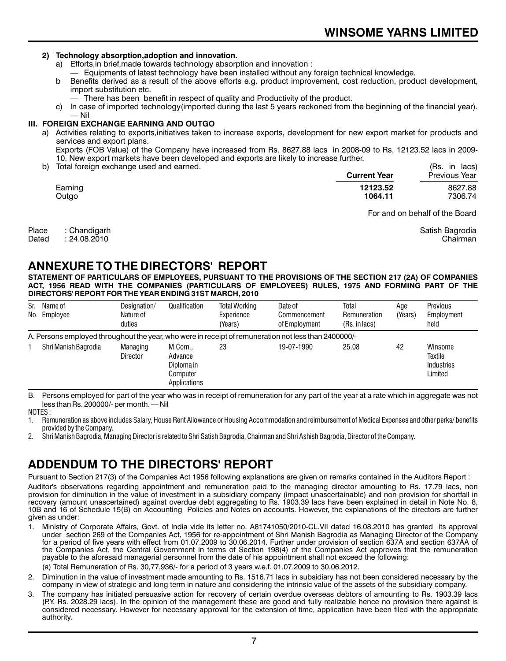#### **2) Technology absorption,adoption and innovation.**

- a) Efforts,in brief,made towards technology absorption and innovation :
	- Equipments of latest technology have been installed without any foreign technical knowledge.
- b Benefits derived as a result of the above efforts e.g. product improvement, cost reduction, product development, import substitution etc.
	- There has been benefit in respect of quality and Productivity of the product.
- c) In case of imported technology(imported during the last 5 years reckoned from the beginning of the financial year). — Nil

#### **III. FOREIGN EXCHANGE EARNING AND OUTGO**

a) Activities relating to exports,initiatives taken to increase exports, development for new export market for products and services and export plans.

Exports (FOB Value) of the Company have increased from Rs. 8627.88 lacs in 2008-09 to Rs. 12123.52 lacs in 2009- 10. New export markets have been developed and exports are likely to increase further.

b) Total foreign exchange used and earned. (Rs. in lacs)

|         | <b>Current Year</b> | .<br>Previous Year |
|---------|---------------------|--------------------|
| Earning | 12123.52<br>1064.11 | 8627.88<br>7306.74 |
| Outgo   |                     |                    |

For and on behalf of the Board

Place : Chandigarh Satish Bagrodia<br>Dated : 24.08.2010 Chairman Dated : 24.08.2010 Chairman

## **ANNEXURE TO THE DIRECTORS' REPORT**

**STATEMENT OF PARTICULARS OF EMPLOYEES, PURSUANT TO THE PROVISIONS OF THE SECTION 217 (2A) OF COMPANIES ACT, 1956 READ WITH THE COMPANIES (PARTICULARS OF EMPLOYEES) RULES, 1975 AND FORMING PART OF THE DIRECTORS' REPORT FOR THE YEAR ENDING 31ST MARCH, 2010**

| Sr. | Name of<br>No. Employee                                                                              | Designation/<br>Nature of<br>duties | Qualification                                              | <b>Total Working</b><br>Experience<br>(Years) | Date of<br>Commencement<br>of Employment | Total<br>Remuneration<br>(Rs. in lacs) | Aqe<br>(Years) | Previous<br>Employment<br>held                     |
|-----|------------------------------------------------------------------------------------------------------|-------------------------------------|------------------------------------------------------------|-----------------------------------------------|------------------------------------------|----------------------------------------|----------------|----------------------------------------------------|
|     | A. Persons employed throughout the year, who were in receipt of remuneration not less than 2400000/- |                                     |                                                            |                                               |                                          |                                        |                |                                                    |
|     | Shri Manish Bagrodia                                                                                 | Managing<br>Director                | M.Com<br>Advance<br>Diploma in<br>Computer<br>Applications | 23                                            | 19-07-1990                               | 25.08                                  | 42             | Winsome<br><b>Textile</b><br>Industries<br>Limited |

B. Persons employed for part of the year who was in receipt of remuneration for any part of the year at a rate which in aggregate was not less than Rs. 200000/- per month. — Nil

NOTES :

1. Remuneration as above includes Salary, House Rent Allowance or Housing Accommodation and reimbursement of Medical Expenses and other perks/ benefits provided by the Company.

2. Shri Manish Bagrodia, Managing Director is related to Shri Satish Bagrodia, Chairman and Shri Ashish Bagrodia, Director of the Company.

## **ADDENDUM TO THE DIRECTORS' REPORT**

Pursuant to Section 217(3) of the Companies Act 1956 following explanations are given on remarks contained in the Auditors Report :

Auditor's observations regarding appointment and remuneration paid to the managing director amounting to Rs. 17.79 lacs, non provision for diminution in the value of investment in a subsidiary company (impact unascertainable) and non provision for shortfall in<br>recovery (amount unascertained) against overdue debt aggregating to Rs. 1903.39 lacs h 10B and 16 of Schedule 15(B) on Accounting Policies and Notes on accounts. However, the explanations of the directors are further given as under:

1. Ministry of Corporate Affairs, Govt. of India vide its letter no. A81741050/2010-CL.VII dated 16.08.2010 has granted its approval under section 269 of the Companies Act, 1956 for re-appointment of Shri Manish Bagrodia as Managing Director of the Company for a period of five years with effect from 01.07.2009 to 30.06.2014. Further under provision of section 637A and section 637AA of the Companies Act, the Central Government in terms of Section 198(4) of the Companies Act approves that the remuneration payable to the aforesaid managerial personnel from the date of his appointment shall not exceed the following:

(a) Total Remuneration of Rs. 30,77,936/- for a period of 3 years w.e.f. 01.07.2009 to 30.06.2012.

- 2. Diminution in the value of investment made amounting to Rs. 1516.71 lacs in subsidiary has not been considered necessary by the company in view of strategic and long term in nature and considering the intrinsic value of the assets of the subsidiary company.
- 3. The company has initiated persuasive action for recovery of certain overdue overseas debtors of amounting to Rs. 1903.39 lacs (P.Y. Rs. 2028.29 lacs). In the opinion of the management these are good and fully realizable hence no provision there against is considered necessary. However for necessary approval for the extension of time, application have been filed with the appropriate authority.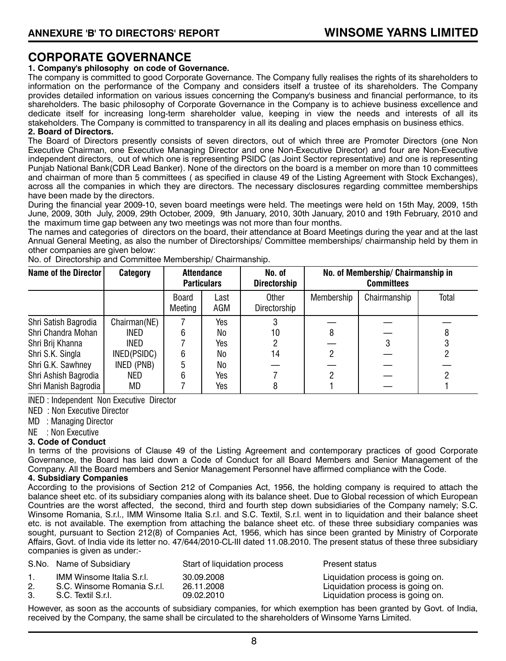## **CORPORATE GOVERNANCE**

## **1. Company's philosophy on code of Governance.**

The company is committed to good Corporate Governance. The Company fully realises the rights of its shareholders to information on the performance of the Company and considers itself a trustee of its shareholders. The Company provides detailed information on various issues concerning the Company's business and financial performance, to its shareholders. The basic philosophy of Corporate Governance in the Company is to achieve business excellence and dedicate itself for increasing long-term shareholder value, keeping in view the needs and interests of all its stakeholders. The Company is committed to transparency in all its dealing and places emphasis on business ethics. **2. Board of Directors.**

The Board of Directors presently consists of seven directors, out of which three are Promoter Directors (one Non Executive Chairman, one Executive Managing Director and one Non-Executive Director) and four are Non-Executive independent directors, out of which one is representing PSIDC (as Joint Sector representative) and one is representing Punjab National Bank(CDR Lead Banker). None of the directors on the board is a member on more than 10 committees and chairman of more than 5 committees ( as specified in clause 49 of the Listing Agreement with Stock Exchanges), across all the companies in which they are directors. The necessary disclosures regarding committee memberships have been made by the directors.

During the financial year 2009-10, seven board meetings were held. The meetings were held on 15th May, 2009, 15th June, 2009, 30th July, 2009, 29th October, 2009, 9th January, 2010, 30th January, 2010 and 19th February, 2010 and the maximum time gap between any two meetings was not more than four months.

The names and categories of directors on the board, their attendance at Board Meetings during the year and at the last Annual General Meeting, as also the number of Directorships/ Committee memberships/ chairmanship held by them in other companies are given below:

| Name of the Director | <b>Category</b> |                  | <b>Attendance</b><br><b>Particulars</b> | No. of<br><b>Directorship</b> | No. of Membership/ Chairmanship in<br><b>Committees</b> |              |       |
|----------------------|-----------------|------------------|-----------------------------------------|-------------------------------|---------------------------------------------------------|--------------|-------|
|                      |                 | Board<br>Meetina | Last<br>AGM                             | Other<br>Directorship         | Membership                                              | Chairmanship | Total |
| Shri Satish Bagrodia | Chairman(NE)    |                  | Yes                                     |                               |                                                         |              |       |
| Shri Chandra Mohan   | <b>INED</b>     | 6                | No                                      | 10                            | 8                                                       |              |       |
| Shri Brij Khanna     | INED.           |                  | Yes                                     |                               |                                                         |              |       |
| Shri S.K. Singla     | INED(PSIDC)     | 6                | No                                      | 14                            |                                                         |              |       |
| Shri G.K. Sawhney    | INED (PNB)      |                  | No                                      |                               |                                                         |              |       |
| Shri Ashish Bagrodia | NED             | 6                | Yes                                     |                               |                                                         |              |       |
| Shri Manish Bagrodia | MD              |                  | Yes                                     |                               |                                                         |              |       |

No. of Directorship and Committee Membership/ Chairmanship.

INED : Independent Non Executive Director

NED : Non Executive Director

MD : Managing Director

NE : Non Executive

## **3. Code of Conduct**

In terms of the provisions of Clause 49 of the Listing Agreement and contemporary practices of good Corporate Governance, the Board has laid down a Code of Conduct for all Board Members and Senior Management of the Company. All the Board members and Senior Management Personnel have affirmed compliance with the Code.

## **4. Subsidiary Companies**

According to the provisions of Section 212 of Companies Act, 1956, the holding company is required to attach the balance sheet etc. of its subsidiary companies along with its balance sheet. Due to Global recession of which European Countries are the worst affected, the second, third and fourth step down subsidiaries of the Company namely; S.C. Winsome Romania, S.r.l., IMM Winsome Italia S.r.l. and S.C. Textil, S.r.l. went in to liquidation and their balance sheet etc. is not available. The exemption from attaching the balance sheet etc. of these three subsidiary companies was sought, pursuant to Section 212(8) of Companies Act, 1956, which has since been granted by Ministry of Corporate Affairs, Govt. of India vide its letter no. 47/644/2010-CL-III dated 11.08.2010. The present status of these three subsidiary companies is given as under:-

| S.No. Name of Subsidiary    | Start of liquidation process | Present status                   |
|-----------------------------|------------------------------|----------------------------------|
| IMM Winsome Italia S.r.I.   | 30.09.2008                   | Liquidation process is going on. |
| S.C. Winsome Romania S.r.I. | 26.11.2008                   | Liquidation process is going on. |
| S.C. Textil S.r.I.          | 09.02.2010                   | Liquidation process is going on. |

However, as soon as the accounts of subsidiary companies, for which exemption has been granted by Govt. of India, received by the Company, the same shall be circulated to the shareholders of Winsome Yarns Limited.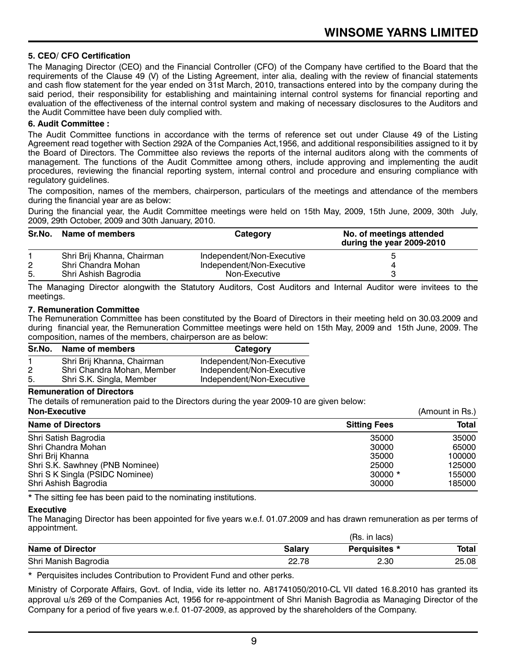## **5. CEO/ CFO Certification**

The Managing Director (CEO) and the Financial Controller (CFO) of the Company have certified to the Board that the requirements of the Clause 49 (V) of the Listing Agreement, inter alia, dealing with the review of financial statements and cash flow statement for the year ended on 31st March, 2010, transactions entered into by the company during the said period, their responsibility for establishing and maintaining internal control systems for financial reporting and evaluation of the effectiveness of the internal control system and making of necessary disclosures to the Auditors and the Audit Committee have been duly complied with.

## **6. Audit Committee :**

The Audit Committee functions in accordance with the terms of reference set out under Clause 49 of the Listing Agreement read together with Section 292A of the Companies Act,1956, and additional responsibilities assigned to it by the Board of Directors. The Committee also reviews the reports of the internal auditors along with the comments of management. The functions of the Audit Committee among others, include approving and implementing the audit procedures, reviewing the financial reporting system, internal control and procedure and ensuring compliance with regulatory guidelines.

The composition, names of the members, chairperson, particulars of the meetings and attendance of the members during the financial year are as below:

During the financial year, the Audit Committee meetings were held on 15th May, 2009, 15th June, 2009, 30th July, 2009, 29th October, 2009 and 30th January, 2010.

|    | Sr.No. Name of members     | Category                  | No. of meetings attended<br>during the year 2009-2010 |
|----|----------------------------|---------------------------|-------------------------------------------------------|
|    | Shri Brij Khanna, Chairman | Independent/Non-Executive |                                                       |
| 2  | Shri Chandra Mohan         | Independent/Non-Executive |                                                       |
| 5. | Shri Ashish Bagrodia       | Non-Executive             |                                                       |

The Managing Director alongwith the Statutory Auditors, Cost Auditors and Internal Auditor were invitees to the meetings.

#### **7. Remuneration Committee**

The Remuneration Committee has been constituted by the Board of Directors in their meeting held on 30.03.2009 and during financial year, the Remuneration Committee meetings were held on 15th May, 2009 and 15th June, 2009. The composition, names of the members, chairperson are as below:

| Sr.No. | Name of members            | Category                  |
|--------|----------------------------|---------------------------|
|        | Shri Brij Khanna, Chairman | Independent/Non-Executive |
| 2      | Shri Chandra Mohan, Member | Independent/Non-Executive |
| -5.    | Shri S.K. Singla, Member   | Independent/Non-Executive |

## **Remuneration of Directors**

The details of remuneration paid to the Directors during the year 2009-10 are given below:<br>Non-Executive

| <b>Non-Executive</b>            |                     | (Amount in Rs.) |
|---------------------------------|---------------------|-----------------|
| <b>Name of Directors</b>        | <b>Sitting Fees</b> | Total           |
| Shri Satish Bagrodia            | 35000               | 35000           |
| Shri Chandra Mohan              | 30000               | 65000           |
| Shri Brij Khanna                | 35000               | 100000          |
| Shri S.K. Sawhney (PNB Nominee) | 25000               | 125000          |
| Shri S K Singla (PSIDC Nominee) | $30000*$            | 155000          |
| Shri Ashish Bagrodia            | 30000               | 185000          |

\* The sitting fee has been paid to the nominating institutions.

#### **Executive**

The Managing Director has been appointed for five years w.e.f. 01.07.2009 and has drawn remuneration as per terms of appointment.

|                         | (Rs. in lacs) |                      |       |  |
|-------------------------|---------------|----------------------|-------|--|
| <b>Name of Director</b> | Salary        | <b>Peraulsites</b> * | Total |  |
| Shri Manish Bagrodia    | 22.78         | 2.30                 | 25.08 |  |

\* Perquisites includes Contribution to Provident Fund and other perks.

Ministry of Corporate Affairs, Govt. of India, vide its letter no. A81741050/2010-CL VII dated 16.8.2010 has granted its approval u/s 269 of the Companies Act, 1956 for re-appointment of Shri Manish Bagrodia as Managing Director of the Company for a period of five years w.e.f. 01-07-2009, as approved by the shareholders of the Company.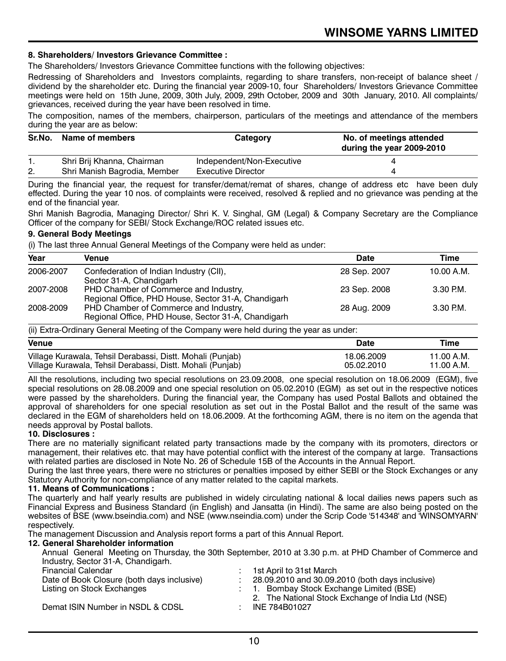## **8. Shareholders/ Investors Grievance Committee :**

The Shareholders/ Investors Grievance Committee functions with the following objectives:

Redressing of Shareholders and Investors complaints, regarding to share transfers, non-receipt of balance sheet / dividend by the shareholder etc. During the financial year 2009-10, four Shareholders/ Investors Grievance Committee meetings were held on 15th June, 2009, 30th July, 2009, 29th October, 2009 and 30th January, 2010. All complaints/ grievances, received during the year have been resolved in time.

The composition, names of the members, chairperson, particulars of the meetings and attendance of the members during the year are as below:

| Sr.No. | Name of members              | Category                  | No. of meetings attended<br>during the year 2009-2010 |
|--------|------------------------------|---------------------------|-------------------------------------------------------|
|        | Shri Brij Khanna, Chairman   | Independent/Non-Executive |                                                       |
| 2.     | Shri Manish Bagrodia, Member | <b>Executive Director</b> |                                                       |

During the financial year, the request for transfer/demat/remat of shares, change of address etc have been duly effected. During the year 10 nos. of complaints were received, resolved & replied and no grievance was pending at the end of the financial year.

Shri Manish Bagrodia, Managing Director/ Shri K. V. Singhal, GM (Legal) & Company Secretary are the Compliance Officer of the company for SEBI/ Stock Exchange/ROC related issues etc.

#### **9. General Body Meetings**

(i) The last three Annual General Meetings of the Company were held as under:

| Year      | Venue                                                                                        | Date         | Time       |
|-----------|----------------------------------------------------------------------------------------------|--------------|------------|
| 2006-2007 | Confederation of Indian Industry (CII).<br>Sector 31-A, Chandigarh                           | 28 Sep. 2007 | 10.00 A.M. |
| 2007-2008 | PHD Chamber of Commerce and Industry,<br>Regional Office, PHD House, Sector 31-A, Chandigarh | 23 Sep. 2008 | 3.30 P.M.  |
| 2008-2009 | PHD Chamber of Commerce and Industry,<br>Regional Office, PHD House, Sector 31-A, Chandigarh | 28 Aug. 2009 | 3.30 P.M.  |

(ii) Extra-Ordinary General Meeting of the Company were held during the year as under:

| 11.00 A.M.<br>11.00 A.M. |
|--------------------------|
| 18.06.2009<br>05.02.2010 |

All the resolutions, including two special resolutions on 23.09.2008, one special resolution on 18.06.2009 (EGM), five special resolutions on 28.08.2009 and one special resolution on 05.02.2010 (EGM) as set out in the respective notices were passed by the shareholders. During the financial year, the Company has used Postal Ballots and obtained the approval of shareholders for one special resolution as set out in the Postal Ballot and the result of the same was declared in the EGM of shareholders held on 18.06.2009. At the forthcoming AGM, there is no item on the agenda that needs approval by Postal ballots.

#### **10. Disclosures :**

There are no materially significant related party transactions made by the company with its promoters, directors or management, their relatives etc. that may have potential conflict with the interest of the company at large. Transactions with related parties are disclosed in Note No. 26 of Schedule 15B of the Accounts in the Annual Report.

During the last three years, there were no strictures or penalties imposed by either SEBI or the Stock Exchanges or any Statutory Authority for non-compliance of any matter related to the capital markets.

#### **11. Means of Communications :**

The quarterly and half yearly results are published in widely circulating national & local dailies news papers such as Financial Express and Business Standard (in English) and Jansatta (in Hindi). The same are also being posted on the websites of BSE (www.bseindia.com) and NSE (www.nseindia.com) under the Scrip Code '514348' and 'WINSOMYARN' respectively.

The management Discussion and Analysis report forms a part of this Annual Report.

## **12. General Shareholder information**

Annual General Meeting on Thursday, the 30th September, 2010 at 3.30 p.m. at PHD Chamber of Commerce and Industry, Sector 31-A, Chandigarh.

| <b>Financial Calendar</b>                  | 1st April to 31st March<br>28.09.2010 and 30.09.2010 (both days inclusive) |
|--------------------------------------------|----------------------------------------------------------------------------|
| Date of Book Closure (both days inclusive) |                                                                            |
| Listing on Stock Exchanges                 | : 1. Bombay Stock Exchange Limited (BSE)                                   |
|                                            | 2. The National Stock Exchange of India Ltd (NSE)                          |
| Demat ISIN Number in NSDL & CDSL           | INE 784B01027                                                              |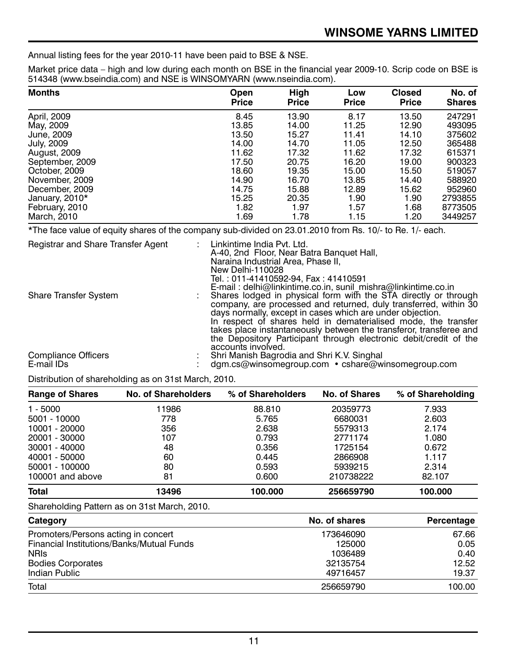Annual listing fees for the year 2010-11 have been paid to BSE & NSE.

Market price data – high and low during each month on BSE in the financial year 2009-10. Scrip code on BSE is 514348 (www.bseindia.com) and NSE is WINSOMYARN (www.nseindia.com).

| <b>Months</b>     | Open<br><b>Price</b> | High<br><b>Price</b> | Low<br><b>Price</b> | <b>Closed</b><br><b>Price</b> | No. of<br><b>Shares</b> |
|-------------------|----------------------|----------------------|---------------------|-------------------------------|-------------------------|
| April, 2009       | 8.45                 | 13.90                | 8.17                | 13.50                         | 247291                  |
| May, 2009         | 13.85                | 14.00                | 11.25               | 12.90                         | 493095                  |
| June, 2009        | 13.50                | 15.27                | 11.41               | 14.10                         | 375602                  |
| <b>July, 2009</b> | 14.00                | 14.70                | 11.05               | 12.50                         | 365488                  |
| August, 2009      | 11.62                | 17.32                | 11.62               | 17.32                         | 615371                  |
| September, 2009   | 17.50                | 20.75                | 16.20               | 19.00                         | 900323                  |
| October, 2009     | 18.60                | 19.35                | 15.00               | 15.50                         | 519057                  |
| November, 2009    | 14.90                | 16.70                | 13.85               | 14.40                         | 588920                  |
| December, 2009    | 14.75                | 15.88                | 12.89               | 15.62                         | 952960                  |
| January, 2010*    | 15.25                | 20.35                | 1.90                | 1.90                          | 2793855                 |
| February, 2010    | 1.82                 | 1.97                 | 1.57                | 1.68                          | 8773505                 |
| March, 2010       | 1.69                 | 1.78                 | 1.15                | 1.20                          | 3449257                 |

\*The face value of equity shares of the company sub-divided on 23.01.2010 from Rs. 10/- to Re. 1/- each.

| Registrar and Share Transfer Agent       | Linkintime India Pvt. Ltd.<br>A-40, 2nd Floor, Near Batra Banguet Hall,<br>Naraina Industrial Area, Phase II,                                                                                                                                                                                                                                                                                                                       |
|------------------------------------------|-------------------------------------------------------------------------------------------------------------------------------------------------------------------------------------------------------------------------------------------------------------------------------------------------------------------------------------------------------------------------------------------------------------------------------------|
|                                          | New Delhi-110028<br>Tel.: 011-41410592-94, Fax: 41410591                                                                                                                                                                                                                                                                                                                                                                            |
|                                          | E-mail: delhi@linkintime.co.in, sunil mishra@linkintime.co.in                                                                                                                                                                                                                                                                                                                                                                       |
| <b>Share Transfer System</b>             | Shares lodged in physical form with the STA directly or through<br>company, are processed and returned, duly transferred, within 30<br>days normally, except in cases which are under objection.<br>In respect of shares held in dematerialised mode, the transfer<br>takes place instantaneously between the transferor, transferee and<br>the Depository Participant through electronic debit/credit of the<br>accounts involved. |
| <b>Compliance Officers</b><br>E-mail IDs | Shri Manish Bagrodia and Shri K.V. Singhal<br>dgm.cs@winsomegroup.com • cshare@winsomegroup.com                                                                                                                                                                                                                                                                                                                                     |

Distribution of shareholding as on 31st March, 2010.

| <b>Range of Shares</b> | No. of Shareholders | % of Shareholders | No. of Shares | % of Shareholding |
|------------------------|---------------------|-------------------|---------------|-------------------|
| $1 - 5000$             | 11986               | 88,810            | 20359773      | 7.933             |
| 5001 - 10000           | 778                 | 5.765             | 6680031       | 2.603             |
| 10001 - 20000          | 356                 | 2.638             | 5579313       | 2.174             |
| 20001 - 30000          | 107                 | 0.793             | 2771174       | 1.080             |
| 30001 - 40000          | 48                  | 0.356             | 1725154       | 0.672             |
| 40001 - 50000          | 60                  | 0.445             | 2866908       | 1.117             |
| 50001 - 100000         | 80                  | 0.593             | 5939215       | 2.314             |
| 100001 and above       | 81                  | 0.600             | 210738222     | 82.107            |
| <b>Total</b>           | 13496               | 100.000           | 256659790     | 100.000           |

Shareholding Pattern as on 31st March, 2010.

| Category                                  | No. of shares | Percentage |
|-------------------------------------------|---------------|------------|
| Promoters/Persons acting in concert       | 173646090     | 67.66      |
| Financial Institutions/Banks/Mutual Funds | 125000        | 0.05       |
| <b>NRIS</b>                               | 1036489       | 0.40       |
| <b>Bodies Corporates</b>                  | 32135754      | 12.52      |
| Indian Public                             | 49716457      | 19.37      |
| Total                                     | 256659790     | 100.00     |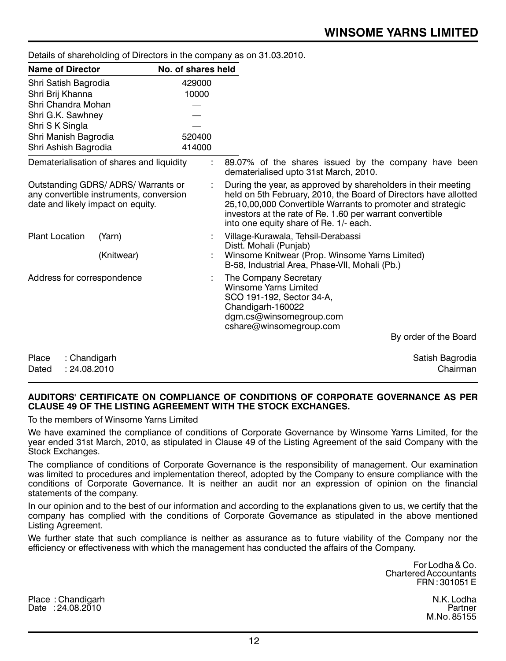Details of shareholding of Directors in the company as on 31.03.2010.

| <b>Name of Director</b>                                                                                           |            | No. of shares held |                                                                                                                                                                                                                                                                                                         |
|-------------------------------------------------------------------------------------------------------------------|------------|--------------------|---------------------------------------------------------------------------------------------------------------------------------------------------------------------------------------------------------------------------------------------------------------------------------------------------------|
| Shri Satish Bagrodia                                                                                              |            | 429000             |                                                                                                                                                                                                                                                                                                         |
| Shri Brij Khanna                                                                                                  |            | 10000              |                                                                                                                                                                                                                                                                                                         |
| Shri Chandra Mohan                                                                                                |            |                    |                                                                                                                                                                                                                                                                                                         |
| Shri G.K. Sawhney                                                                                                 |            |                    |                                                                                                                                                                                                                                                                                                         |
| Shri S K Singla                                                                                                   |            |                    |                                                                                                                                                                                                                                                                                                         |
| Shri Manish Bagrodia                                                                                              |            | 520400             |                                                                                                                                                                                                                                                                                                         |
| Shri Ashish Bagrodia                                                                                              |            | 414000             |                                                                                                                                                                                                                                                                                                         |
| Dematerialisation of shares and liquidity                                                                         |            |                    | 89.07% of the shares issued by the company have been<br>dematerialised upto 31st March, 2010.                                                                                                                                                                                                           |
| Outstanding GDRS/ADRS/Warrants or<br>any convertible instruments, conversion<br>date and likely impact on equity. |            |                    | During the year, as approved by shareholders in their meeting<br>held on 5th February, 2010, the Board of Directors have allotted<br>25,10,00,000 Convertible Warrants to promoter and strategic<br>investors at the rate of Re. 1.60 per warrant convertible<br>into one equity share of Re. 1/- each. |
| <b>Plant Location</b>                                                                                             | (Yarn)     |                    | Village-Kurawala, Tehsil-Derabassi<br>Distt. Mohali (Punjab)                                                                                                                                                                                                                                            |
|                                                                                                                   | (Knitwear) |                    | Winsome Knitwear (Prop. Winsome Yarns Limited)<br>B-58, Industrial Area, Phase-VII, Mohali (Pb.)                                                                                                                                                                                                        |
| Address for correspondence                                                                                        |            |                    | The Company Secretary<br>Winsome Yarns Limited<br>SCO 191-192, Sector 34-A,<br>Chandigarh-160022<br>dgm.cs@winsomegroup.com<br>cshare@winsomegroup.com                                                                                                                                                  |
|                                                                                                                   |            |                    | By order of the Board                                                                                                                                                                                                                                                                                   |
| Place<br>: Chandigarh<br>: 24.08.2010<br>Dated                                                                    |            |                    | Satish Bagrodia<br>Chairman                                                                                                                                                                                                                                                                             |

## **AUDITORS' CERTIFICATE ON COMPLIANCE OF CONDITIONS OF CORPORATE GOVERNANCE AS PER CLAUSE 49 OF THE LISTING AGREEMENT WITH THE STOCK EXCHANGES.**

To the members of Winsome Yarns Limited

We have examined the compliance of conditions of Corporate Governance by Winsome Yarns Limited, for the year ended 31st March, 2010, as stipulated in Clause 49 of the Listing Agreement of the said Company with the Stock Exchanges.

The compliance of conditions of Corporate Governance is the responsibility of management. Our examination was limited to procedures and implementation thereof, adopted by the Company to ensure compliance with the conditions of Corporate Governance. It is neither an audit nor an expression of opinion on the financial statements of the company.

In our opinion and to the best of our information and according to the explanations given to us, we certify that the company has complied with the conditions of Corporate Governance as stipulated in the above mentioned Listing Agreement.

We further state that such compliance is neither as assurance as to future viability of the Company nor the efficiency or effectiveness with which the management has conducted the affairs of the Company.

> For Lodha & Co. Chartered Accountants FRN : 301051 E

Place : Chandigarh N.K. Lodha  $Date : 24.08.2010$ 

M.No. 85155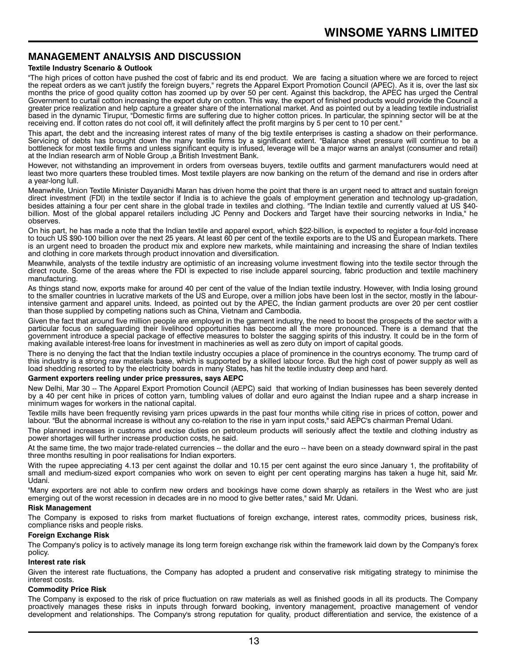## **MANAGEMENT ANALYSIS AND DISCUSSION**

#### **Textile Industry Scenario & Outlook**

"The high prices of cotton have pushed the cost of fabric and its end product. We are facing a situation where we are forced to reject the repeat orders as we can't justify the foreign buyers," regrets the Apparel Export Promotion Council (APEC). As it is, over the last six months the price of good quality cotton has zoomed up by over 50 per cent. Against this backdrop, the APEC has urged the Central Government to curtail cotton increasing the export duty on cotton. This way, the export of finished products would provide the Council a greater price realization and help capture a greater share of the international market. And as pointed out by a leading textile industrialist based in the dynamic Tirupur, "Domestic firms are suffering due to higher cotton prices. In particular, the spinning sector will be at the receiving end. If cotton rates do not cool off, it will definitely affect the profit margins by 5 per cent to 10 per cent."

This apart, the debt and the increasing interest rates of many of the big textile enterprises is casting a shadow on their performance. Servicing of debts has brought down the many textile firms by a significant extent. "Balance sheet pressure will continue to be a bottleneck for most textile firms and unless significant equity is infused, leverage will be a major warns an analyst (consumer and retail) at the Indian research arm of Noble Group ,a British Investment Bank.

However, not withstanding an improvement in orders from overseas buyers, textile outfits and garment manufacturers would need at least two more quarters these troubled times. Most textile players are now banking on the return of the demand and rise in orders after a year-long lull.

Meanwhile, Union Textile Minister Dayanidhi Maran has driven home the point that there is an urgent need to attract and sustain foreign direct investment (FDI) in the textile sector if India is to achieve the goals of employment generation and technology up-gradation, besides attaining a four per cent share in the global trade in textiles and clothing. "The Indian textile and currently valued at US \$40 billion. Most of the global apparel retailers including JC Penny and Dockers and Target have their sourcing networks in India," he observes.

On his part, he has made a note that the Indian textile and apparel export, which \$22-billion, is expected to register a four-fold increase to touch US \$90-100 billion over the next 25 years. At least 60 per cent of the textile exports are to the US and European markets. There is an urgent need to broaden the product mix and explore new markets, while maintaining and increasing the share of Indian textiles and clothing in core markets through product innovation and diversification.

Meanwhile, analysts of the textile industry are optimistic of an increasing volume investment flowing into the textile sector through the direct route. Some of the areas where the FDI is expected to rise include apparel sourcing, fabric production and textile machinery manufacturing.

As things stand now, exports make for around 40 per cent of the value of the Indian textile industry. However, with India losing ground to the smaller countries in lucrative markets of the US and Europe, over a million jobs have been lost in the sector, mostly in the labourintensive garment and apparel units. Indeed, as pointed out by the APEC, the Indian garment products are over 20 per cent costlier than those supplied by competing nations such as China, Vietnam and Cambodia.

Given the fact that around five million people are employed in the garment industry, the need to boost the prospects of the sector with a particular focus on safeguarding their livelihood opportunities has become all the more pronounced. There is a demand that the government introduce a special package of effective measures to bolster the sagging spirits of this industry. It could be in the form of making available interest-free loans for investment in machineries as well as zero duty on import of capital goods.

There is no denying the fact that the Indian textile industry occupies a place of prominence in the countrys economy. The trump card of this industry is a strong raw materials base, which is supported by a skilled labour force. But the high cost of power supply as well as Ioad shedding resorted to by the electricity boards in many States, has hit the textile industry deep and hard.

#### **Garment exporters reeling under price pressures, says AEPC**

New Delhi, Mar 30 -- The Apparel Export Promotion Council (AEPC) said that working of Indian businesses has been severely dented by a 40 per cent hike in prices of cotton yarn, tumbling values of dollar and euro against the Indian rupee and a sharp increase in minimum wages for workers in the national capital.

Textile mills have been frequently revising yarn prices upwards in the past four months while citing rise in prices of cotton, power and labour. "But the abnormal increase is without any co-relation to the rise in yarn input costs," said AEPC's chairman Premal Udani.

The planned increases in customs and excise duties on petroleum products will seriously affect the textile and clothing industry as power shortages will further increase production costs, he said.

At the same time, the two major trade-related currencies -- the dollar and the euro -- have been on a steady downward spiral in the past three months resulting in poor realisations for Indian exporters.

With the rupee appreciating 4.13 per cent against the dollar and 10.15 per cent against the euro since January 1, the profitability of small and medium-sized export companies who work on seven to eight per cent operating margins has taken a huge hit, said Mr. Udani.

"Many exporters are not able to confirm new orders and bookings have come down sharply as retailers in the West who are just emerging out of the worst recession in decades are in no mood to give better rates," said Mr. Udani.

#### **Risk Management**

The Company is exposed to risks from market fluctuations of foreign exchange, interest rates, commodity prices, business risk, compliance risks and people risks.

#### **Foreign Exchange Risk**

The Company's policy is to actively manage its long term foreign exchange risk within the framework laid down by the Company's forex policy.

#### **Interest rate risk**

Given the interest rate fluctuations, the Company has adopted a prudent and conservative risk mitigating strategy to minimise the interest costs.

#### **Commodity Price Risk**

The Company is exposed to the risk of price fluctuation on raw materials as well as finished goods in all its products. The Company proactively manages these risks in inputs through forward booking, inventory management, proactive management of vendor development and relationships. The Company's strong reputation for quality, product differentiation and service, the existence of a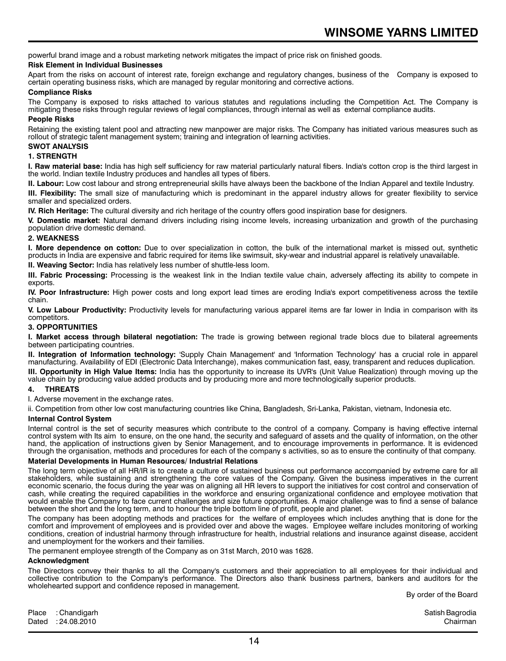powerful brand image and a robust marketing network mitigates the impact of price risk on finished goods.

## **Risk Element in Individual Businesses**

Apart from the risks on account of interest rate, foreign exchange and regulatory changes, business of the Company is exposed to certain operating business risks, which are managed by regular monitoring and corrective actions.

#### **Compliance Risks**

The Company is exposed to risks attached to various statutes and regulations including the Competition Act. The Company is mitigating these risks through regular reviews of legal compliances, through internal as well as external compliance audits.

#### **People Risks**

Retaining the existing talent pool and attracting new manpower are major risks. The Company has initiated various measures such as rollout of strategic talent management system; training and integration of learning activities.

#### **SWOT ANALYSIS**

#### **1. STRENGTH**

**I. Raw material base:** India has high self sufficiency for raw material particularly natural fibers. India's cotton crop is the third largest in the world. Indian textile Industry produces and handles all types of fibers.

**II. Labour:** Low cost labour and strong entrepreneurial skills have always been the backbone of the Indian Apparel and textile Industry.

**III. Flexibility:** The small size of manufacturing which is predominant in the apparel industry allows for greater flexibility to service smaller and specialized orders.

**IV. Rich Heritage:** The cultural diversity and rich heritage of the country offers good inspiration base for designers.

**V. Domestic market:** Natural demand drivers including rising income levels, increasing urbanization and growth of the purchasing population drive domestic demand.

#### **2. WEAKNESS**

**I. More dependence on cotton:** Due to over specialization in cotton, the bulk of the international market is missed out, synthetic products in India are expensive and fabric required for items like swimsuit, sky-wear and industrial apparel is relatively unavailable.

**II. Weaving Sector:** India has relatively less number of shuttle-less loom.

**III. Fabric Processing:** Processing is the weakest link in the Indian textile value chain, adversely affecting its ability to compete in exports.

**IV. Poor Infrastructure:** High power costs and long export lead times are eroding India's export competitiveness across the textile chain.

**V. Low Labour Productivity:** Productivity levels for manufacturing various apparel items are far lower in India in comparison with its competitors.

#### **3. OPPORTUNITIES**

**I. Market access through bilateral negotiation:** The trade is growing between regional trade blocs due to bilateral agreements between participating countries.

**II. Integration of Information technology:** 'Supply Chain Management' and 'Information Technology' has a crucial role in apparel manufacturing. Availability of EDI (Electronic Data Interchange), makes communication fast, easy, transparent and reduces duplication.

**III. Opportunity in High Value Items:** India has the opportunity to increase its UVR's (Unit Value Realization) through moving up the value chain by producing value added products and by producing more and more technologically superior products.

#### **4. THREATS**

I. Adverse movement in the exchange rates.

ii. Competition from other low cost manufacturing countries like China, Bangladesh, Sri-Lanka, Pakistan, vietnam, Indonesia etc.

#### **Internal Control System**

Internal control is the set of security measures which contribute to the control of a company. Company is having effective internal control system with Its aim to ensure, on the one hand, the security and safeguard of assets and the quality of information, on the other hand, the application of instructions given by Senior Management, and to encourage improvements in performance. It is evidenced through the organisation, methods and procedures for each of the company s activities, so as to ensure the continuity of that company.

#### **Material Developments in Human Resources/ Industrial Relations**

The long term objective of all HR/IR is to create a culture of sustained business out performance accompanied by extreme care for all stakeholders, while sustaining and strengthening the core values of the Company. Given the business imperatives in the current economic scenario, the focus during the year was on aligning all HR levers to support the initiatives for cost control and conservation of cash, while creating the required capabilities in the workforce and ensuring organizational confidence and employee motivation that would enable the Company to face current challenges and size future opportunities. A major challenge was to find a sense of balance between the short and the long term, and to honour the triple bottom line of profit, people and planet.

The company has been adopting methods and practices for the welfare of employees which includes anything that is done for the comfort and improvement of employees and is provided over and above the wages. Employee welfare includes monitoring of working conditions, creation of industrial harmony through infrastructure for health, industrial relations and insurance against disease, accident and unemployment for the workers and their families.

The permanent employee strength of the Company as on 31st March, 2010 was 1628.

#### **Acknowledgment**

The Directors convey their thanks to all the Company's customers and their appreciation to all employees for their individual and collective contribution to the Company's performance. The Directors also thank business partners, bankers and auditors for the wholehearted support and confidence reposed in management.

By order of the Board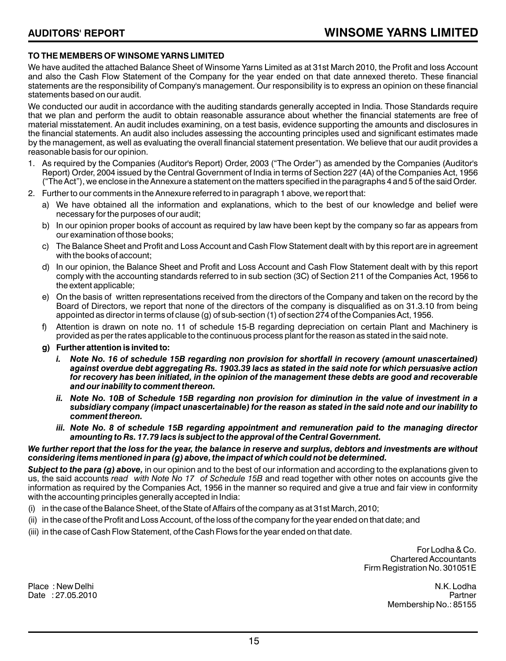## **TO THE MEMBERS OF WINSOME YARNS LIMITED**

We have audited the attached Balance Sheet of Winsome Yarns Limited as at 31st March 2010, the Profit and loss Account and also the Cash Flow Statement of the Company for the year ended on that date annexed thereto. These financial statements are the responsibility of Company's management. Our responsibility is to express an opinion on these financial statements based on our audit.

We conducted our audit in accordance with the auditing standards generally accepted in India. Those Standards require that we plan and perform the audit to obtain reasonable assurance about whether the financial statements are free of material misstatement. An audit includes examining, on a test basis, evidence supporting the amounts and disclosures in the financial statements. An audit also includes assessing the accounting principles used and significant estimates made by the management, as well as evaluating the overall financial statement presentation. We believe that our audit provides a reasonable basis for our opinion.

- 1. As required by the Companies (Auditor's Report) Order, 2003 ("The Order") as amended by the Companies (Auditor's Report) Order, 2004 issued by the Central Government of India in terms of Section 227 (4A) of the Companies Act, 1956 ("The Act"), we enclose in the Annexure a statement on the matters specified in the paragraphs 4 and 5 of the said Order.
- 2. Further to our comments in the Annexure referred to in paragraph 1 above, we report that:
	- a) We have obtained all the information and explanations, which to the best of our knowledge and belief were necessary for the purposes of our audit;
	- b) In our opinion proper books of account as required by law have been kept by the company so far as appears from our examination of those books;
	- c) The Balance Sheet and Profit and Loss Account and Cash Flow Statement dealt with by this report are in agreement with the books of account;
	- d) In our opinion, the Balance Sheet and Profit and Loss Account and Cash Flow Statement dealt with by this report comply with the accounting standards referred to in sub section (3C) of Section 211 of the Companies Act, 1956 to the extent applicable;
	- e) On the basis of written representations received from the directors of the Company and taken on the record by the Board of Directors, we report that none of the directors of the company is disqualified as on 31.3.10 from being appointed as director in terms of clause (g) of sub-section (1) of section 274 of the Companies Act, 1956.
	- f) Attention is drawn on note no. 11 of schedule 15-B regarding depreciation on certain Plant and Machinery is provided as per the rates applicable to the continuous process plant for the reason as stated in the said note.
	- **g) Further attention is invited to:** 
		- *i. Note No. 16 of schedule 15B regarding non provision for shortfall in recovery (amount unascertained) against overdue debt aggregating Rs. 1903.39 lacs as stated in the said note for which persuasive action for recovery has been initiated, in the opinion of the management these debts are good and recoverable and our inability to comment thereon.*
		- *ii. Note No. 10B of Schedule 15B regarding non provision for diminution in the value of investment in a subsidiary company (impact unascertainable) for the reason as stated in the said note and our inability to comment thereon.*
		- *iii. Note No. 8 of schedule 15B regarding appointment and remuneration paid to the managing director amounting to Rs. 17.79 lacs is subject to the approval of the Central Government.*

We further report that the loss for the year, the balance in reserve and surplus, debtors and investments are without *considering items mentioned in para (g) above, the impact of which could not be determined.*

*Subject to the para (g) above,* in our opinion and to the best of our information and according to the explanations given to us, the said accounts *read with Note No 17 of Schedule 15B* and read together with other notes on accounts give the information as required by the Companies Act, 1956 in the manner so required and give a true and fair view in conformity with the accounting principles generally accepted in India:

- (i) in the case of the Balance Sheet, of the State of Affairs of the company as at 31st March, 2010;
- (ii) in the case of the Profit and Loss Account, of the loss of the company for the year ended on that date; and
- (iii) in the case of Cash Flow Statement, of the Cash Flows for the year ended on that date.

For Lodha & Co. Chartered Accountants Firm Registration No. 301051E

Place : New Delhi N.K. Lodha N.K. Lodha N.K. Lodha N.K. Lodha N.K. Lodha N.K. Lodha N.K. Lodha N.K. Lodha N.K. Date : 27.05.2010 Partner Membership No.: 85155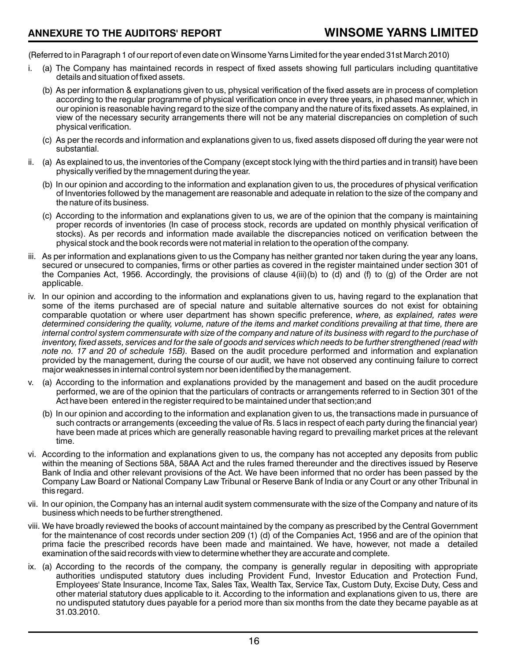(Referred to in Paragraph 1 of our report of even date on Winsome Yarns Limited for the year ended 31st March 2010)

- (a) The Company has maintained records in respect of fixed assets showing full particulars including quantitative details and situation of fixed assets.
	- (b) As per information & explanations given to us, physical verification of the fixed assets are in process of completion according to the regular programme of physical verification once in every three years, in phased manner, which in our opinion is reasonable having regard to the size of the company and the nature of its fixed assets. As explained, in view of the necessary security arrangements there will not be any material discrepancies on completion of such physical verification.
	- (c) As per the records and information and explanations given to us, fixed assets disposed off during the year were not substantial.
- ii. (a) As explained to us, the inventories of the Company (except stock lying with the third parties and in transit) have been physically verified by the mnagement during the year.
	- (b) In our opinion and according to the information and explanation given to us, the procedures of physical verification of Inventories followed by the management are reasonable and adequate in relation to the size of the company and the nature of its business.
	- (c) According to the information and explanations given to us, we are of the opinion that the company is maintaining proper records of inventories (In case of process stock, records are updated on monthly physical verification of stocks). As per records and information made available the discrepancies noticed on verification between the physical stock and the book records were not material in relation to the operation of the company.
- iii. As per information and explanations given to us the Company has neither granted nor taken during the year any loans, secured or unsecured to companies, firms or other parties as covered in the register maintained under section 301 of the Companies Act, 1956. Accordingly, the provisions of clause 4(iii)(b) to (d) and (f) to (g) of the Order are not applicable.
- iv. In our opinion and according to the information and explanations given to us, having regard to the explanation that some of the items purchased are of special nature and suitable alternative sources do not exist for obtaining comparable quotation or where user department has shown specific preference, *where, as explained, rates were determined considering the quality, volume, nature of the items and market conditions prevailing at that time, there are internal control system commensurate with size of the company and nature of its business with regard to the purchase of inventory, fixed assets, services and for the sale of goods and services which needs to be further strengthened (read with note no. 17 and 20 of schedule 15B).* Based on the audit procedure performed and information and explanation provided by the management, during the course of our audit, we have not observed any continuing failure to correct major weaknesses in internal control system nor been identified by the management.
- v. (a) According to the information and explanations provided by the management and based on the audit procedure performed, we are of the opinion that the particulars of contracts or arrangements referred to in Section 301 of the Act have been entered in the register required to be maintained under that section;and
	- (b) In our opinion and according to the information and explanation given to us, the transactions made in pursuance of such contracts or arrangements (exceeding the value of Rs. 5 lacs in respect of each party during the financial year) have been made at prices which are generally reasonable having regard to prevailing market prices at the relevant time.
- vi. According to the information and explanations given to us, the company has not accepted any deposits from public within the meaning of Sections 58A, 58AA Act and the rules framed thereunder and the directives issued by Reserve Bank of India and other relevant provisions of the Act. We have been informed that no order has been passed by the Company Law Board or National Company Law Tribunal or Reserve Bank of India or any Court or any other Tribunal in this regard.
- vii. In our opinion, the Company has an internal audit system commensurate with the size of the Company and nature of its business which needs to be further strengthened.
- viii. We have broadly reviewed the books of account maintained by the company as prescribed by the Central Government for the maintenance of cost records under section 209 (1) (d) of the Companies Act, 1956 and are of the opinion that prima facie the prescribed records have been made and maintained. We have, however, not made a detailed examination of the said records with view to determine whether they are accurate and complete.
- ix. (a) According to the records of the company, the company is generally regular in depositing with appropriate authorities undisputed statutory dues including Provident Fund, Investor Education and Protection Fund, Employees' State Insurance, Income Tax, Sales Tax, Wealth Tax, Service Tax, Custom Duty, Excise Duty, Cess and other material statutory dues applicable to it. According to the information and explanations given to us, there are no undisputed statutory dues payable for a period more than six months from the date they became payable as at 31.03.2010.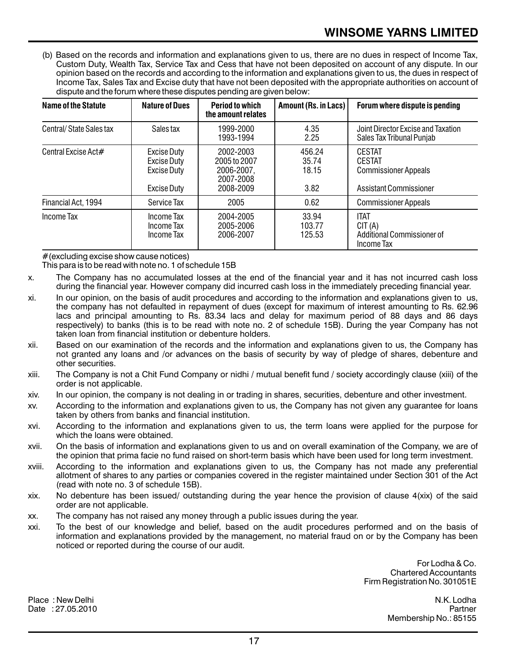(b) Based on the records and information and explanations given to us, there are no dues in respect of Income Tax, Custom Duty, Wealth Tax, Service Tax and Cess that have not been deposited on account of any dispute. In our opinion based on the records and according to the information and explanations given to us, the dues in respect of Income Tax, Sales Tax and Excise duty that have not been deposited with the appropriate authorities on account of dispute and the forum where these disputes pending are given below:

| <b>Name of the Statute</b> | <b>Nature of Dues</b>                                                                | <b>Period to which</b><br>the amount relates                      | Amount (Rs. in Lacs)             | Forum where dispute is pending                                                                 |
|----------------------------|--------------------------------------------------------------------------------------|-------------------------------------------------------------------|----------------------------------|------------------------------------------------------------------------------------------------|
| Central/State Sales tax    | Sales tax                                                                            | 1999-2000<br>1993-1994                                            | 4.35<br>2.25                     | Joint Director Excise and Taxation<br>Sales Tax Tribunal Puniab                                |
| Central Excise Act#        | <b>Excise Duty</b><br><b>Excise Duty</b><br><b>Excise Duty</b><br><b>Excise Duty</b> | 2002-2003<br>2005 to 2007<br>2006-2007,<br>2007-2008<br>2008-2009 | 456.24<br>35.74<br>18.15<br>3.82 | <b>CESTAT</b><br><b>CESTAT</b><br><b>Commissioner Appeals</b><br><b>Assistant Commissioner</b> |
| Financial Act, 1994        | Service Tax                                                                          | 2005                                                              | 0.62                             | <b>Commissioner Appeals</b>                                                                    |
| Income Tax                 | Income Tax<br>Income Tax<br>Income Tax                                               | 2004-2005<br>2005-2006<br>2006-2007                               | 33.94<br>103.77<br>125.53        | <b>ITAT</b><br>CIT(A)<br>Additional Commissioner of<br>Income Tax                              |

#(excluding excise show cause notices)

This para is to be read with note no. 1 of schedule 15B

- x. The Company has no accumulated losses at the end of the financial year and it has not incurred cash loss during the financial year. However company did incurred cash loss in the immediately preceding financial year.
- xi. In our opinion, on the basis of audit procedures and according to the information and explanations given to us, the company has not defaulted in repayment of dues (except for maximum of interest amounting to Rs. 62.96 lacs and principal amounting to Rs. 83.34 lacs and delay for maximum period of 88 days and 86 days respectively) to banks (this is to be read with note no. 2 of schedule 15B). During the year Company has not taken loan from financial institution or debenture holders.
- xii. Based on our examination of the records and the information and explanations given to us, the Company has not granted any loans and /or advances on the basis of security by way of pledge of shares, debenture and other securities.
- xiii. The Company is not a Chit Fund Company or nidhi / mutual benefit fund / society accordingly clause (xiii) of the order is not applicable.
- xiv. In our opinion, the company is not dealing in or trading in shares, securities, debenture and other investment.
- xv. According to the information and explanations given to us, the Company has not given any guarantee for loans taken by others from banks and financial institution.
- xvi. According to the information and explanations given to us, the term loans were applied for the purpose for which the loans were obtained.
- xvii. On the basis of information and explanations given to us and on overall examination of the Company, we are of the opinion that prima facie no fund raised on short-term basis which have been used for long term investment.
- xviii. According to the information and explanations given to us, the Company has not made any preferential allotment of shares to any parties or companies covered in the register maintained under Section 301 of the Act (read with note no. 3 of schedule 15B).
- xix. No debenture has been issued/ outstanding during the year hence the provision of clause 4(xix) of the said order are not applicable.
- xx. The company has not raised any money through a public issues during the year.
- xxi. To the best of our knowledge and belief, based on the audit procedures performed and on the basis of information and explanations provided by the management, no material fraud on or by the Company has been noticed or reported during the course of our audit.

For Lodha & Co. Chartered Accountants Firm Registration No. 301051E

Date : 27.05.2010

Place : New Delhi N.K. Lodha Membership No.: 85155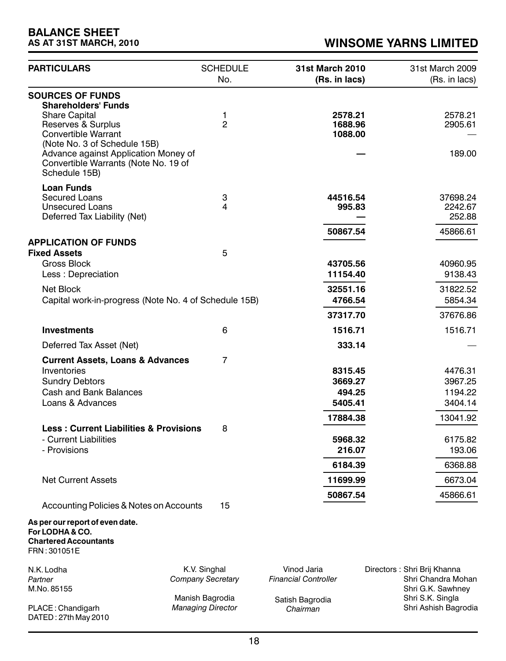## **BALANCE SHEET AS AT 31ST MARCH, 2010**

# **WINSOME YARNS LIMITED**

| <b>PARTICULARS</b>                                                                                 | <b>SCHEDULE</b><br>No.                      | <b>31st March 2010</b><br>(Rs. in lacs) | 31st March 2009<br>(Rs. in lacs)         |
|----------------------------------------------------------------------------------------------------|---------------------------------------------|-----------------------------------------|------------------------------------------|
| <b>SOURCES OF FUNDS</b><br><b>Shareholders' Funds</b><br><b>Share Capital</b>                      | 1                                           | 2578.21                                 | 2578.21                                  |
| Reserves & Surplus<br><b>Convertible Warrant</b><br>(Note No. 3 of Schedule 15B)                   | $\overline{2}$                              | 1688.96<br>1088.00                      | 2905.61                                  |
| Advance against Application Money of<br>Convertible Warrants (Note No. 19 of<br>Schedule 15B)      |                                             |                                         | 189.00                                   |
| <b>Loan Funds</b><br>Secured Loans<br><b>Unsecured Loans</b><br>Deferred Tax Liability (Net)       | 3<br>4                                      | 44516.54<br>995.83                      | 37698.24<br>2242.67<br>252.88            |
|                                                                                                    |                                             | 50867.54                                | 45866.61                                 |
| <b>APPLICATION OF FUNDS</b><br><b>Fixed Assets</b>                                                 | 5                                           |                                         |                                          |
| <b>Gross Block</b>                                                                                 |                                             | 43705.56                                | 40960.95                                 |
| Less : Depreciation                                                                                |                                             | 11154.40                                | 9138.43                                  |
| Net Block<br>Capital work-in-progress (Note No. 4 of Schedule 15B)                                 |                                             | 32551.16<br>4766.54                     | 31822.52<br>5854.34                      |
|                                                                                                    |                                             | 37317.70                                | 37676.86                                 |
| <b>Investments</b>                                                                                 | 6                                           | 1516.71                                 | 1516.71                                  |
| Deferred Tax Asset (Net)                                                                           |                                             | 333.14                                  |                                          |
| <b>Current Assets, Loans &amp; Advances</b>                                                        | 7                                           |                                         |                                          |
| Inventories<br><b>Sundry Debtors</b>                                                               |                                             | 8315.45<br>3669.27                      | 4476.31<br>3967.25                       |
| Cash and Bank Balances                                                                             |                                             | 494.25                                  | 1194.22                                  |
| Loans & Advances                                                                                   |                                             | 5405.41                                 | 3404.14                                  |
|                                                                                                    |                                             | 17884.38                                | 13041.92                                 |
| <b>Less: Current Liabilities &amp; Provisions</b><br>- Current Liabilities                         | 8                                           | 5968.32                                 | 6175.82                                  |
| - Provisions                                                                                       |                                             | 216.07                                  | 193.06                                   |
|                                                                                                    |                                             | 6184.39                                 | 6368.88                                  |
| <b>Net Current Assets</b>                                                                          |                                             | 11699.99                                | 6673.04                                  |
| Accounting Policies & Notes on Accounts                                                            | 15                                          | 50867.54                                | 45866.61                                 |
| As per our report of even date.<br>For LODHA & CO.<br><b>Chartered Accountants</b><br>FRN: 301051E |                                             |                                         |                                          |
| N.K. Lodha                                                                                         | K.V. Singhal                                | Vinod Jaria                             | Directors: Shri Brij Khanna              |
| Partner<br>M.No. 85155                                                                             | Company Secretary                           | <b>Financial Controller</b>             | Shri Chandra Mohan<br>Shri G.K. Sawhney  |
| PLACE: Chandigarh<br>DATED: 27th May 2010                                                          | Manish Bagrodia<br><b>Managing Director</b> | Satish Bagrodia<br>Chairman             | Shri S.K. Singla<br>Shri Ashish Bagrodia |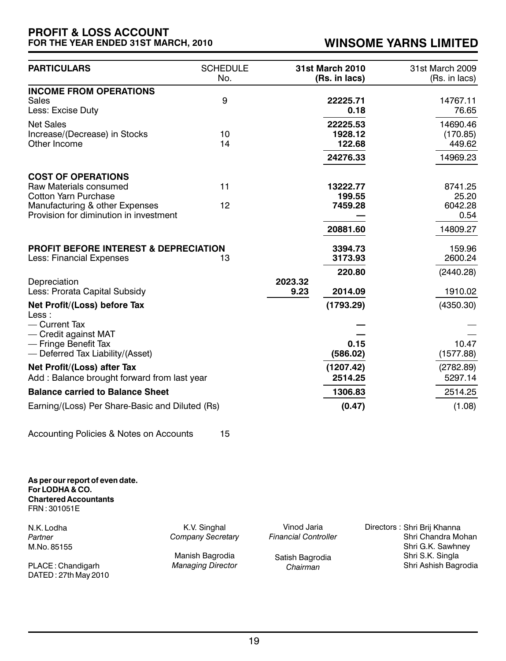## **PROFIT & LOSS ACCOUNT FOR THE YEAR ENDED 31ST MARCH, 2010**

## **WINSOME YARNS LIMITED**

| <b>PARTICULARS</b>                               | <b>SCHEDULE</b><br>No. | <b>31st March 2010</b><br>(Rs. in lacs) |                   | 31st March 2009<br>(Rs. in lacs) |
|--------------------------------------------------|------------------------|-----------------------------------------|-------------------|----------------------------------|
| <b>INCOME FROM OPERATIONS</b>                    |                        |                                         |                   |                                  |
| Sales<br>Less: Excise Duty                       | 9                      |                                         | 22225.71<br>0.18  | 14767.11<br>76.65                |
| <b>Net Sales</b>                                 |                        |                                         | 22225.53          | 14690.46                         |
| Increase/(Decrease) in Stocks<br>Other Income    | 10<br>14               |                                         | 1928.12<br>122.68 | (170.85)<br>449.62               |
|                                                  |                        |                                         | 24276.33          | 14969.23                         |
| <b>COST OF OPERATIONS</b>                        |                        |                                         |                   |                                  |
| Raw Materials consumed                           | 11                     |                                         | 13222.77          | 8741.25                          |
| Cotton Yarn Purchase                             |                        |                                         | 199.55            | 25.20                            |
| Manufacturing & other Expenses                   | 12                     |                                         | 7459.28           | 6042.28                          |
| Provision for diminution in investment           |                        |                                         |                   | 0.54                             |
|                                                  |                        |                                         | 20881.60          | 14809.27                         |
| <b>PROFIT BEFORE INTEREST &amp; DEPRECIATION</b> |                        |                                         | 3394.73           | 159.96                           |
| Less: Financial Expenses                         | 13                     |                                         | 3173.93           | 2600.24                          |
|                                                  |                        |                                         | 220.80            | (2440.28)                        |
| Depreciation                                     |                        | 2023.32                                 |                   |                                  |
| Less: Prorata Capital Subsidy                    |                        | 9.23                                    | 2014.09           | 1910.02                          |
| Net Profit/(Loss) before Tax<br>Less :           |                        |                                         | (1793.29)         | (4350.30)                        |
| — Current Tax                                    |                        |                                         |                   |                                  |
| - Credit against MAT                             |                        |                                         |                   |                                  |
| - Fringe Benefit Tax                             |                        |                                         | 0.15              | 10.47                            |
| - Deferred Tax Liability/(Asset)                 |                        |                                         | (586.02)          | (1577.88)                        |
| Net Profit/(Loss) after Tax                      |                        |                                         | (1207.42)         | (2782.89)                        |
| Add: Balance brought forward from last year      |                        |                                         | 2514.25           | 5297.14                          |
| <b>Balance carried to Balance Sheet</b>          |                        |                                         | 1306.83           | 2514.25                          |
| Earning/(Loss) Per Share-Basic and Diluted (Rs)  |                        |                                         | (0.47)            | (1.08)                           |
| Accounting Policies & Notes on Accounts          | 15                     |                                         |                   |                                  |

**As per our report of even date. For LODHA & CO. Chartered Accountants** FRN : 301051E

| N.K. Lodha                                | K.V. Singhal             | Vinod Jaria                 | Directors: Shri Brij Khanna |
|-------------------------------------------|--------------------------|-----------------------------|-----------------------------|
| Partner                                   | Company Secretary        | <b>Financial Controller</b> | Shri Chandra Mohan          |
| M.No. 85155                               |                          |                             | Shri G.K. Sawhney           |
|                                           | Manish Bagrodia          | Satish Bagrodia             | Shri S.K. Singla            |
| PLACE: Chandigarh<br>DATED: 27th May 2010 | <b>Managing Director</b> | Chairman                    | Shri Ashish Bagrodia        |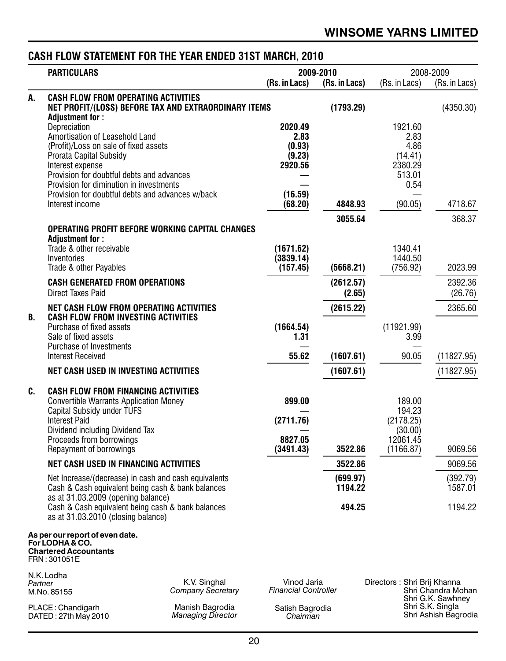## **CASH FLOW STATEMENT FOR THE YEAR ENDED 31ST MARCH, 2010**

|         | <b>PARTICULARS</b>                                                                                                                              |                                             |                                            | 2009-2010           |                                      | 2008-2009                                                     |
|---------|-------------------------------------------------------------------------------------------------------------------------------------------------|---------------------------------------------|--------------------------------------------|---------------------|--------------------------------------|---------------------------------------------------------------|
|         |                                                                                                                                                 |                                             | (Rs. in Lacs)                              | (Rs. in Lacs)       | (Rs. in Lacs)                        | (Rs. in Lacs)                                                 |
| А.      | <b>CASH FLOW FROM OPERATING ACTIVITIES</b><br>NET PROFIT/(LOSS) BEFORE TAX AND EXTRAORDINARY ITEMS<br>Adjustment for:                           |                                             |                                            | (1793.29)           |                                      | (4350.30)                                                     |
|         | Depreciation<br>Amortisation of Leasehold Land                                                                                                  |                                             | 2020.49<br>2.83                            |                     | 1921.60<br>2.83                      |                                                               |
|         | (Profit)/Loss on sale of fixed assets<br>Prorata Capital Subsidy<br>Interest expense<br>Provision for doubtful debts and advances               |                                             | (0.93)<br>(9.23)<br>2920.56                |                     | 4.86<br>(14.41)<br>2380.29<br>513.01 |                                                               |
|         | Provision for diminution in investments<br>Provision for doubtful debts and advances w/back<br>Interest income                                  |                                             | (16.59)<br>(68.20)                         | 4848.93             | 0.54<br>(90.05)                      | 4718.67                                                       |
|         |                                                                                                                                                 |                                             |                                            | 3055.64             |                                      | 368.37                                                        |
|         | OPERATING PROFIT BEFORE WORKING CAPITAL CHANGES<br>Adjustment for:<br>Trade & other receivable                                                  |                                             | (1671.62)                                  |                     | 1340.41                              |                                                               |
|         | Inventories<br>Trade & other Payables                                                                                                           |                                             | (3839.14)<br>(157.45)                      | (5668.21)           | 1440.50<br>(756.92)                  | 2023.99                                                       |
|         | <b>CASH GENERATED FROM OPERATIONS</b><br><b>Direct Taxes Paid</b>                                                                               |                                             |                                            | (2612.57)<br>(2.65) |                                      | 2392.36<br>(26.76)                                            |
|         | NET CASH FLOW FROM OPERATING ACTIVITIES                                                                                                         |                                             |                                            | (2615.22)           |                                      | 2365.60                                                       |
| В.      | <b>CASH FLOW FROM INVESTING ACTIVITIES</b><br>Purchase of fixed assets<br>Sale of fixed assets                                                  |                                             | (1664.54)<br>1.31                          |                     | (11921.99)<br>3.99                   |                                                               |
|         | Purchase of Investments<br><b>Interest Received</b>                                                                                             |                                             | 55.62                                      | (1607.61)           | 90.05                                | (11827.95)                                                    |
|         | NET CASH USED IN INVESTING ACTIVITIES                                                                                                           |                                             |                                            | (1607.61)           |                                      | (11827.95)                                                    |
| C.      | <b>CASH FLOW FROM FINANCING ACTIVITIES</b><br><b>Convertible Warrants Application Money</b>                                                     |                                             | 899.00                                     |                     | 189.00                               |                                                               |
|         | Capital Subsidy under TUFS<br><b>Interest Paid</b>                                                                                              |                                             | (2711.76)                                  |                     | 194.23<br>(2178.25)                  |                                                               |
|         | Dividend including Dividend Tax<br>Proceeds from borrowings<br>Repayment of borrowings                                                          |                                             | 8827.05<br>(3491.43)                       | 3522.86             | (30.00)<br>12061.45<br>(1166.87)     | 9069.56                                                       |
|         | NET CASH USED IN FINANCING ACTIVITIES                                                                                                           |                                             |                                            | 3522.86             |                                      | 9069.56                                                       |
|         | Net Increase/(decrease) in cash and cash equivalents<br>Cash & Cash equivalent being cash & bank balances<br>as at 31.03.2009 (opening balance) |                                             |                                            | (699.97)<br>1194.22 |                                      | (392.79)<br>1587.01                                           |
|         | Cash & Cash equivalent being cash & bank balances<br>as at 31.03.2010 (closing balance)                                                         |                                             |                                            | 494.25              |                                      | 1194.22                                                       |
|         | As per our report of even date.<br>For LODHA & CO.<br><b>Chartered Accountants</b><br>FRN: 301051E                                              |                                             |                                            |                     |                                      |                                                               |
| Partner | N.K. Lodha<br>M.No. 85155                                                                                                                       | K.V. Singhal<br>Company Secretary           | Vinod Jaria<br><b>Financial Controller</b> |                     | Directors : Shri Brij Khanna         | Shri Chandra Mohan                                            |
|         | PLACE: Chandigarh<br>DATED: 27th May 2010                                                                                                       | Manish Bagrodia<br><b>Managing Director</b> | Satish Bagrodia<br>Chairman                |                     |                                      | Shri G.K. Sawhney<br>Shri S.K. Singla<br>Shri Ashish Bagrodia |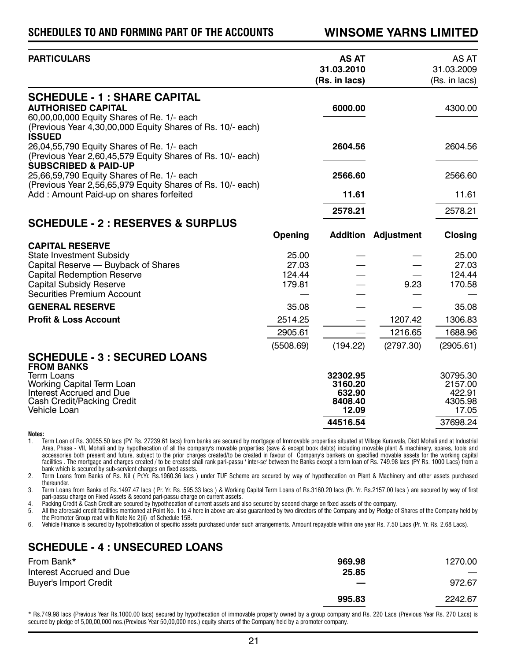**WINSOME YARNS LIMITED**

| <b>PARTICULARS</b>                                                                                                                                                                      |                 | <b>AS AT</b><br>31.03.2010<br>(Rs. in lacs)                   |                            | AS AT<br>31.03.2009<br>(Rs. in lacs)                          |
|-----------------------------------------------------------------------------------------------------------------------------------------------------------------------------------------|-----------------|---------------------------------------------------------------|----------------------------|---------------------------------------------------------------|
| <b>SCHEDULE - 1 : SHARE CAPITAL</b><br><b>AUTHORISED CAPITAL</b><br>60,00,00,000 Equity Shares of Re. 1/- each                                                                          |                 | 6000.00                                                       |                            | 4300.00                                                       |
| (Previous Year 4,30,00,000 Equity Shares of Rs. 10/- each)<br><b>ISSUED</b><br>26,04,55,790 Equity Shares of Re. 1/- each<br>(Previous Year 2,60,45,579 Equity Shares of Rs. 10/- each) |                 | 2604.56                                                       |                            | 2604.56                                                       |
| <b>SUBSCRIBED &amp; PAID-UP</b><br>25,66,59,790 Equity Shares of Re. 1/- each<br>(Previous Year 2,56,65,979 Equity Shares of Rs. 10/- each)                                             |                 | 2566.60                                                       |                            | 2566.60                                                       |
| Add: Amount Paid-up on shares forfeited                                                                                                                                                 |                 | 11.61                                                         |                            | 11.61                                                         |
|                                                                                                                                                                                         |                 | 2578.21                                                       |                            | 2578.21                                                       |
| <b>SCHEDULE - 2 : RESERVES &amp; SURPLUS</b>                                                                                                                                            | Opening         |                                                               | <b>Addition Adjustment</b> | <b>Closing</b>                                                |
| <b>CAPITAL RESERVE</b>                                                                                                                                                                  |                 |                                                               |                            |                                                               |
| State Investment Subsidy                                                                                                                                                                | 25.00           |                                                               |                            | 25.00                                                         |
| Capital Reserve - Buyback of Shares                                                                                                                                                     | 27.03<br>124.44 |                                                               |                            | 27.03<br>124.44                                               |
| <b>Capital Redemption Reserve</b><br>Capital Subsidy Reserve                                                                                                                            | 179.81          |                                                               | 9.23                       | 170.58                                                        |
| Securities Premium Account                                                                                                                                                              |                 |                                                               |                            |                                                               |
| <b>GENERAL RESERVE</b>                                                                                                                                                                  | 35.08           |                                                               |                            | 35.08                                                         |
| <b>Profit &amp; Loss Account</b>                                                                                                                                                        | 2514.25         |                                                               | 1207.42                    | 1306.83                                                       |
|                                                                                                                                                                                         | 2905.61         |                                                               | 1216.65                    | 1688.96                                                       |
|                                                                                                                                                                                         | (5508.69)       | (194.22)                                                      | (2797.30)                  | (2905.61)                                                     |
| <b>SCHEDULE - 3 : SECURED LOANS</b><br><b>FROM BANKS</b>                                                                                                                                |                 |                                                               |                            |                                                               |
| <b>Term Loans</b><br>Working Capital Term Loan<br>Interest Accrued and Due<br>Cash Credit/Packing Credit<br>Vehicle Loan<br>Notes:                                                      |                 | 32302.95<br>3160.20<br>632.90<br>8408.40<br>12.09<br>44516.54 |                            | 30795.30<br>2157.00<br>422.91<br>4305.98<br>17.05<br>37698.24 |

1. Term Loan of Rs. 30055.50 lacs (PY. Rs. 27239.61 lacs) from banks are secured by mortgage of Immovable properties situated at Village Kurawala, Distt Mohali and at Industrial Area, Phase - VII, Mohali and by hypothecation of all the company's movable properties (save & except book debts) including movable plant & machinery, spares, tools and accessories both present and future, subject to the prior charges created/to be created in favour of Company's bankers on specified movable assets for the working capital facilities . The mortgage and charges created / to be created shall rank pari-passu ' inter-se' between the Banks except a term loan of Rs. 749.98 lacs (PY Rs. 1000 Lacs) from a bank which is secured by sub-servient charges on fixed assets.

2. Term Loans from Banks of Rs. Nil ( Pr.Yr. Rs.1960.36 lacs ) under TUF Scheme are secured by way of hypothecation on Plant & Machinery and other assets purchased thereunder.

3. Term Loans from Banks of Rs.1497.47 lacs ( Pr. Yr. Rs. 595.33 lacs ) & Working Capital Term Loans of Rs.3160.20 lacs (Pr. Yr. Rs.2157.00 lacs ) are secured by way of first pari-passu charge on Fixed Assets & second pari-passu charge on current assets.

4. Packing Credit & Cash Credit are secured by hypothecation of current assets and also secured by second charge on fixed assets of the company.

All the aforesaid credit facilities mentioned at Point No. 1 to 4 here in above are also guaranteed by two directors of the Company and by Pledge of Shares of the Company held by the Promoter Group read with Note No 2(ii) of Schedule 15B.

6. Vehicle Finance is secured by hypothetication of specific assets purchased under such arrangements. Amount repayable within one year Rs. 7.50 Lacs (Pr. Yr. Rs. 2.68 Lacs).

## **SCHEDULE - 4 : UNSECURED LOANS**

| From Bank*               | 969.98 | 1270.00                  |
|--------------------------|--------|--------------------------|
| Interest Accrued and Due | 25.85  | $\overline{\phantom{m}}$ |
| Buyer's Import Credit    |        | 972.67                   |
|                          | 995.83 | 2242.67                  |

\* Rs.749.98 lacs (Previous Year Rs.1000.00 lacs) secured by hypothecation of immovable property owned by a group company and Rs. 220 Lacs (Previous Year Rs. 270 Lacs) is secured by pledge of 5,00,00,000 nos.(Previous Year 50,00,000 nos.) equity shares of the Company held by a promoter company.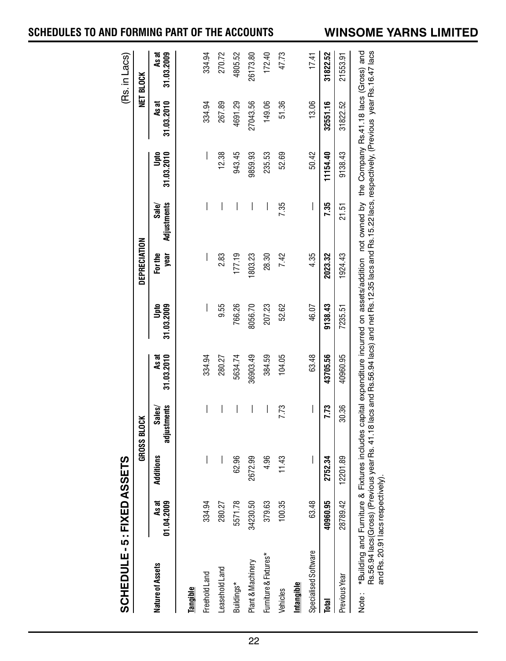## **WINSOME YARNS LIMITED**

andRs. 20.91 lacs respectively).

| <b>SCHEDULE - 5 : FIXED A</b>                                                                                                                        |                     | SELS      |                                |                     |                                                                                                                                                           |                        |                            |                 |                     | (Rs. in Lacs)       |
|------------------------------------------------------------------------------------------------------------------------------------------------------|---------------------|-----------|--------------------------------|---------------------|-----------------------------------------------------------------------------------------------------------------------------------------------------------|------------------------|----------------------------|-----------------|---------------------|---------------------|
|                                                                                                                                                      |                     |           | GROSS BLOCK                    |                     |                                                                                                                                                           | DEPRECIATION           |                            |                 |                     | <b>NET BLOCK</b>    |
| Nature of Assets                                                                                                                                     | As at<br>01.04.2009 | Additions | adjustments<br>Sales/          | 31.03.2010<br>As at | 31.03.2009<br>률                                                                                                                                           | year<br><b>For the</b> | Adjustments<br>$S$ ale $/$ | 31.03.2010<br>률 | As at<br>31.03.2010 | As at<br>31.03.2009 |
| <b>Tangible</b>                                                                                                                                      |                     |           |                                |                     |                                                                                                                                                           |                        |                            |                 |                     |                     |
| Freehold Land                                                                                                                                        | 334.94              | I         | I                              | 334.94              | I                                                                                                                                                         | I                      | I                          | I               | 334.94              | 334.94              |
| easehold Land                                                                                                                                        | 280.27              | I         | $\begin{array}{c} \end{array}$ | 280.27              | 9.55                                                                                                                                                      | 2.83                   | $\overline{\phantom{a}}$   | 12.38           | 267.89              | 270.72              |
| Buildings*                                                                                                                                           | 5571.78             | 62.96     | $\overline{\phantom{a}}$       | 5634.74             | 766.26                                                                                                                                                    | 177.19                 | I                          | 943.45          | 4691.29             | 4805.52             |
| Plant & Machinery                                                                                                                                    | 34230.50            | 2672.99   | I                              | 36903.49            | 8056.70                                                                                                                                                   | 1803.23                | I                          | 9859.93         | 27043.56            | 26173.80            |
| -urniture & Fixtures*                                                                                                                                | 379.63              | 4.96      | I                              | 384.59              | 207.23                                                                                                                                                    | 28.30                  | I                          | 235.53          | 149.06              | 172.40              |
| Vehicles                                                                                                                                             | 100.35              | 11.43     | 7.73                           | 104.05              | 52.62                                                                                                                                                     | 7.42                   | 7.35                       | 52.69           | 51.36               | 47.73               |
| Intangible                                                                                                                                           |                     |           |                                |                     |                                                                                                                                                           |                        |                            |                 |                     |                     |
| Specialised Software                                                                                                                                 | 63.48               |           | I                              | 63.48               | 46.07                                                                                                                                                     | 4.35                   | I                          | 50.42           | 13.06               | 17.41               |
| <u>Tal</u>                                                                                                                                           | 40960.95            | 2752.34   | 7.73                           | 43705.56            | 9138.43                                                                                                                                                   | 2023.32                | 7.35                       | 11154.40        | 32551.16            | 31822.52            |
| Previous Year                                                                                                                                        | 28789.42            | 12201.89  | 30.36                          | 40960.95            | 7235.51                                                                                                                                                   | 1924.43                | 21.51                      | 9138.43         | 31822.52            | 21553.91            |
| Note: *Building and Furniture & Fixtures includes capital expenditure incurred on assets/addition not owned by the Company Rs.41.18 lacs (Gross) and |                     |           |                                |                     | Rs.56.94 lacs(Gross) (Previous year Rs. 41.18 lacs and Rs.56.94 lacs) and net Rs.12.35 lacs and Rs.15.22 lacs, respectively, (Previous year Rs.16.47 lacs |                        |                            |                 |                     |                     |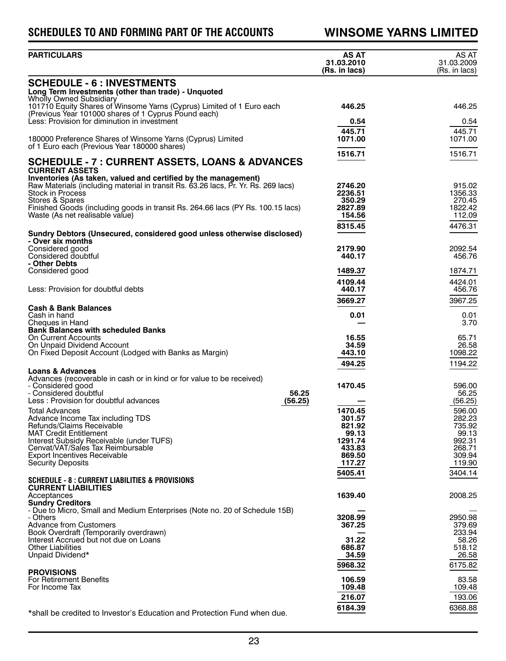## **WINSOME YARNS LIMITED**

| <b>PARTICULARS</b>                                                                                                                                              | AS AT<br>31.03.2010<br>(Rs. in lacs) | AS AT<br>31.03.2009<br>(Rs. in lacs) |
|-----------------------------------------------------------------------------------------------------------------------------------------------------------------|--------------------------------------|--------------------------------------|
| <b>SCHEDULE - 6 : INVESTMENTS</b><br>Long Term Investments (other than trade) - Unquoted                                                                        |                                      |                                      |
| <b>Wholly Owned Subsidiary</b><br>101710 Equity Shares of Winsome Yarns (Cyprus) Limited of 1 Euro each<br>(Previous Year 101000 shares of 1 Cyprus Pound each) | 446.25                               | 446.25                               |
| Less: Provision for diminution in investment                                                                                                                    | 0.54                                 | 0.54                                 |
| 180000 Preference Shares of Winsome Yarns (Cyprus) Limited                                                                                                      | 445.71<br>1071.00                    | 445.71<br>1071.00                    |
| of 1 Euro each (Previous Year 180000 shares)                                                                                                                    |                                      |                                      |
|                                                                                                                                                                 | 1516.71                              | 1516.71                              |
| <b>SCHEDULE - 7 : CURRENT ASSETS, LOANS &amp; ADVANCES</b><br><b>CURRENT ASSETS</b>                                                                             |                                      |                                      |
| Inventories (As taken, valued and certified by the management)                                                                                                  |                                      |                                      |
| Raw Materials (including material in transit Rs. 63.26 lacs, Pr. Yr. Rs. 269 lacs)<br><b>Stock in Process</b>                                                   | 2746.20<br>2236.51                   | 915.02<br>1356.33                    |
| Stores & Spares                                                                                                                                                 | 350.29                               | 270.45                               |
| Finished Goods (including goods in transit Rs. 264.66 lacs (PY Rs. 100.15 lacs)<br>Waste (As net realisable value)                                              | 2827.89<br>154.56                    | 1822.42<br>112.09                    |
|                                                                                                                                                                 | 8315.45                              | 4476.31                              |
| Sundry Debtors (Unsecured, considered good unless otherwise disclosed)<br>- Over six months                                                                     |                                      |                                      |
| Considered good                                                                                                                                                 | 2179.90                              | 2092.54                              |
| Considered doubtful<br>- Other Debts                                                                                                                            | 440.17                               | 456.76                               |
| Considered good                                                                                                                                                 | 1489.37                              | 1874.71                              |
|                                                                                                                                                                 | 4109.44                              | 4424.01                              |
| Less: Provision for doubtful debts                                                                                                                              | 440.17                               | 456.76                               |
| <b>Cash &amp; Bank Balances</b>                                                                                                                                 | 3669.27                              | 3967.25                              |
| Cash in hand                                                                                                                                                    | 0.01                                 | 0.01                                 |
| Cheques in Hand<br><b>Bank Balances with scheduled Banks</b>                                                                                                    |                                      | 3.70                                 |
| On Current Accounts                                                                                                                                             | 16.55                                | 65.71                                |
| On Unpaid Dividend Account<br>On Fixed Deposit Account (Lodged with Banks as Margin)                                                                            | 34.59<br>443.10                      | 26.58<br>1098.22                     |
|                                                                                                                                                                 | 494.25                               | 1194.22                              |
| <b>Loans &amp; Advances</b>                                                                                                                                     |                                      |                                      |
| Advances (recoverable in cash or in kind or for value to be received)<br>- Considered good                                                                      | 1470.45                              | 596.00                               |
| - Considered doubtful                                                                                                                                           | 56.25                                | 56.25                                |
| Less: Provision for doubtful advances<br>Total Advances                                                                                                         | (56.25)<br>1470.45                   | (56.25)<br>596.00                    |
| Advance Income Tax including TDS                                                                                                                                | 301.57                               | 282.23                               |
| Refunds/Claims Receivable<br><b>MAT Credit Entitlement</b>                                                                                                      | 821.92                               | 735.92<br>99.13                      |
| Interest Subsidy Receivable (under TUFS)                                                                                                                        | 99.13<br>1291.74                     | 992.31                               |
| Cenvat/VAT/Sales Tax Reimbursable                                                                                                                               | 433.83                               | 268.71                               |
| <b>Export Incentives Receivable</b><br><b>Security Deposits</b>                                                                                                 | 869.50<br>117.27                     | 309.94<br>119.90                     |
|                                                                                                                                                                 | 5405.41                              | 3404.14                              |
| SCHEDULE - 8 : CURRENT LIABILITIES & PROVISIONS<br><b>CURRENT LIABILITIES</b>                                                                                   |                                      |                                      |
| Acceptances                                                                                                                                                     | 1639.40                              | 2008.25                              |
| <b>Sundry Creditors</b><br>- Due to Micro, Small and Medium Enterprises (Note no. 20 of Schedule 15B)                                                           |                                      |                                      |
| - Others                                                                                                                                                        | 3208.99                              | 2950.98                              |
| <b>Advance from Customers</b><br>Book Overdraft (Temporarily overdrawn)                                                                                         | 367.25                               | 379.69<br>233.94                     |
| Interest Accrued but not due on Loans                                                                                                                           | 31.22                                | 58.26                                |
| <b>Other Liabilities</b><br>Unpaid Dividend*                                                                                                                    | 686.87<br>34.59                      | 518.12<br>26.58                      |
|                                                                                                                                                                 | 5968.32                              | 6175.82                              |
| <b>PROVISIONS</b>                                                                                                                                               |                                      |                                      |
| For Retirement Benefits<br>For Income Tax                                                                                                                       | 106.59<br>109.48                     | 83.58<br>109.48                      |
|                                                                                                                                                                 | 216.07                               | 193.06                               |
|                                                                                                                                                                 | 6184.39                              | 6368.88                              |
| *shall be credited to Investor's Education and Protection Fund when due.                                                                                        |                                      |                                      |

23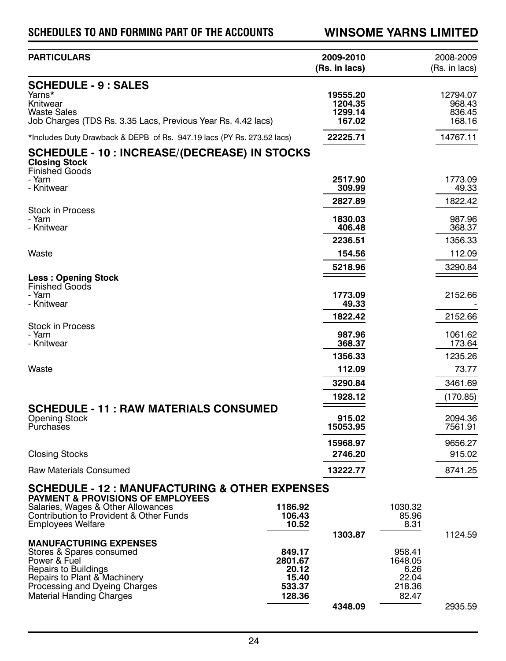**WINSOME YARNS LIMITED**

| <b>PARTICULARS</b>                                                                                                                                                                                    | 2009-2010<br>(Rs. in lacs)                                                    |                                                       | 2008-2009<br>(Rs. in lacs)             |
|-------------------------------------------------------------------------------------------------------------------------------------------------------------------------------------------------------|-------------------------------------------------------------------------------|-------------------------------------------------------|----------------------------------------|
| <b>SCHEDULE - 9 : SALES</b><br>Yarns*<br>Knitwear<br><b>Waste Sales</b><br>Job Charges (TDS Rs. 3.35 Lacs, Previous Year Rs. 4.42 lacs)                                                               | 19555.20<br>1204.35<br>1299.14<br>167.02                                      |                                                       | 12794.07<br>968.43<br>836.45<br>168.16 |
| *Includes Duty Drawback & DEPB of Rs. 947.19 lacs (PY Rs. 273.52 lacs)                                                                                                                                | 22225.71                                                                      |                                                       | 14767.11                               |
| SCHEDULE - 10 : INCREASE/(DECREASE) IN STOCKS<br><b>Closing Stock</b><br><b>Finished Goods</b>                                                                                                        |                                                                               |                                                       |                                        |
| - Yarn<br>- Knitwear                                                                                                                                                                                  | 2517.90<br>309.99                                                             |                                                       | 1773.09<br>49.33                       |
| <b>Stock in Process</b>                                                                                                                                                                               | 2827.89                                                                       |                                                       | 1822.42                                |
| - Yarn<br>- Knitwear                                                                                                                                                                                  | 1830.03<br>406.48                                                             |                                                       | 987.96<br>368.37                       |
|                                                                                                                                                                                                       | 2236.51                                                                       |                                                       | 1356.33                                |
| Waste                                                                                                                                                                                                 | 154.56                                                                        |                                                       | 112.09                                 |
| <b>Less: Opening Stock</b>                                                                                                                                                                            | 5218.96                                                                       |                                                       | 3290.84                                |
| Finished Goods<br>- Yarn<br>- Knitwear                                                                                                                                                                | 1773.09<br>49.33                                                              |                                                       | 2152.66                                |
|                                                                                                                                                                                                       | 1822.42                                                                       |                                                       | 2152.66                                |
| <b>Stock in Process</b><br>- Yarn<br>- Knitwear                                                                                                                                                       | 987.96<br>368.37                                                              |                                                       | 1061.62<br>173.64                      |
|                                                                                                                                                                                                       | 1356.33                                                                       |                                                       | 1235.26                                |
| Waste                                                                                                                                                                                                 | 112.09                                                                        |                                                       | 73.77                                  |
|                                                                                                                                                                                                       | 3290.84                                                                       |                                                       | 3461.69                                |
|                                                                                                                                                                                                       | 1928.12                                                                       |                                                       | (170.85)                               |
| <b>SCHEDULE - 11: RAW MATERIALS CONSUMED</b><br><b>Opening Stock</b><br>Purchases                                                                                                                     | 915.02<br>15053.95                                                            |                                                       | 2094.36<br>7561.91                     |
| <b>Closing Stocks</b>                                                                                                                                                                                 | 15968.97<br>2746.20                                                           |                                                       | 9656.27<br>915.02                      |
| <b>Raw Materials Consumed</b>                                                                                                                                                                         | 13222.77                                                                      |                                                       | 8741.25                                |
| <b>SCHEDULE - 12: MANUFACTURING &amp; OTHER EXPENSES</b><br><b>PAYMENT &amp; PROVISIONS OF EMPLOYEES</b>                                                                                              |                                                                               |                                                       |                                        |
| Salaries, Wages & Other Allowances<br>Contribution to Provident & Other Funds<br><b>Employees Welfare</b>                                                                                             | 1186.92<br>106.43<br>10.52                                                    | 1030.32<br>85.96<br>8.31                              |                                        |
| <b>MANUFACTURING EXPENSES</b><br>Stores & Spares consumed<br>Power & Fuel<br>Repairs to Buildings<br>Repairs to Plant & Machinery<br>Processing and Dyeing Charges<br><b>Material Handing Charges</b> | 1303.87<br>849.17<br>2801.67<br>20.12<br>15.40<br>533.37<br>128.36<br>4348.09 | 958.41<br>1648.05<br>6.26<br>22.04<br>218.36<br>82.47 | 1124.59                                |
|                                                                                                                                                                                                       |                                                                               |                                                       | 2935.59                                |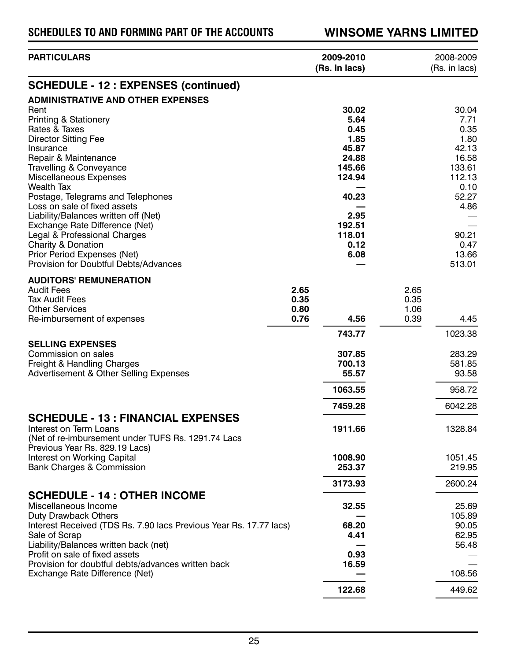**WINSOME YARNS LIMITED**

| <b>PARTICULARS</b>                                                                                                                                                                                                   | 2009-2010<br>(Rs. in lacs)               |                      | 2008-2009<br>(Rs. in lacs)        |
|----------------------------------------------------------------------------------------------------------------------------------------------------------------------------------------------------------------------|------------------------------------------|----------------------|-----------------------------------|
| <b>SCHEDULE - 12 : EXPENSES (continued)</b>                                                                                                                                                                          |                                          |                      |                                   |
| <b>ADMINISTRATIVE AND OTHER EXPENSES</b><br>Rent<br>Printing & Stationery                                                                                                                                            | 30.02<br>5.64                            |                      | 30.04<br>7.71                     |
| Rates & Taxes<br><b>Director Sitting Fee</b><br>Insurance                                                                                                                                                            | 0.45<br>1.85<br>45.87                    |                      | 0.35<br>1.80<br>42.13             |
| Repair & Maintenance<br>Travelling & Conveyance<br>Miscellaneous Expenses<br><b>Wealth Tax</b>                                                                                                                       | 24.88<br>145.66<br>124.94                |                      | 16.58<br>133.61<br>112.13<br>0.10 |
| Postage, Telegrams and Telephones<br>Loss on sale of fixed assets                                                                                                                                                    | 40.23                                    |                      | 52.27<br>4.86                     |
| Liability/Balances written off (Net)<br>Exchange Rate Difference (Net)<br>Legal & Professional Charges<br>Charity & Donation<br>Prior Period Expenses (Net)<br>Provision for Doubtful Debts/Advances                 | 2.95<br>192.51<br>118.01<br>0.12<br>6.08 |                      | 90.21<br>0.47<br>13.66<br>513.01  |
| <b>AUDITORS' REMUNERATION</b><br><b>Audit Fees</b><br>Tax Audit Fees<br><b>Other Services</b>                                                                                                                        | 2.65<br>0.35<br>0.80                     | 2.65<br>0.35<br>1.06 |                                   |
| Re-imbursement of expenses                                                                                                                                                                                           | 0.76<br>4.56<br>743.77                   | 0.39                 | 4.45<br>1023.38                   |
| <b>SELLING EXPENSES</b><br>Commission on sales<br>Freight & Handling Charges<br>Advertisement & Other Selling Expenses                                                                                               | 307.85<br>700.13<br>55.57                |                      | 283.29<br>581.85<br>93.58         |
|                                                                                                                                                                                                                      | 1063.55                                  |                      | 958.72                            |
|                                                                                                                                                                                                                      | 7459.28                                  |                      | 6042.28                           |
| <b>SCHEDULE - 13 : FINANCIAL EXPENSES</b><br>Interest on Term Loans<br>(Net of re-imbursement under TUFS Rs. 1291.74 Lacs                                                                                            | 1911.66                                  |                      | 1328.84                           |
| Previous Year Rs. 829.19 Lacs)<br>Interest on Working Capital<br>Bank Charges & Commission                                                                                                                           | 1008.90<br>253.37                        |                      | 1051.45<br>219.95                 |
| <b>SCHEDULE - 14 : OTHER INCOME</b>                                                                                                                                                                                  | 3173.93                                  |                      | 2600.24                           |
| Miscellaneous Income<br>Duty Drawback Others                                                                                                                                                                         | 32.55                                    |                      | 25.69<br>105.89                   |
| Interest Received (TDS Rs. 7.90 lacs Previous Year Rs. 17.77 lacs)<br>Sale of Scrap<br>Liability/Balances written back (net)<br>Profit on sale of fixed assets<br>Provision for doubtful debts/advances written back | 68.20<br>4.41<br>0.93<br>16.59           |                      | 90.05<br>62.95<br>56.48           |
| Exchange Rate Difference (Net)                                                                                                                                                                                       |                                          |                      | 108.56                            |
|                                                                                                                                                                                                                      | 122.68                                   |                      | 449.62                            |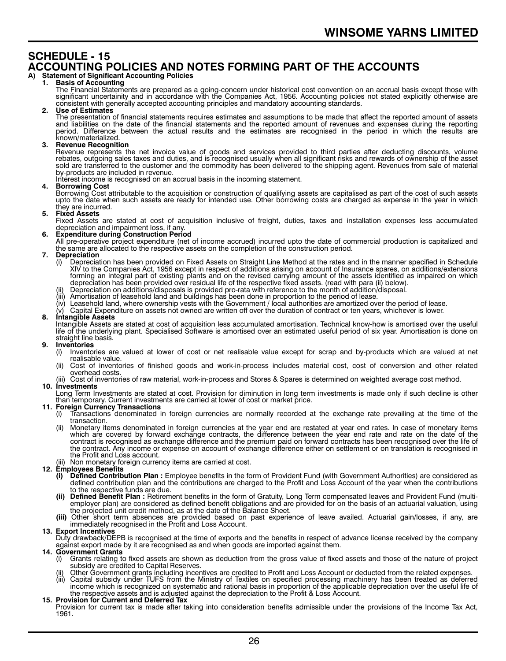## **SCHEDULE - 15 ACCOUNTING POLICIES AND NOTES FORMING PART OF THE ACCOUNTS**

#### **A) Statement of Significant Accounting Policies 1. Basis of Accounting**

The Financial Statements are prepared as a going-concern under historical cost convention on an accrual basis except those with significant uncertainity and in accordance with the Companies Act, 1956. Accounting policies not stated explicitly otherwise are consistent with generally accepted accounting principles and mandatory accounting standards.

#### **2. Use of Estimates**

The presentation of financial statements requires estimates and assumptions to be made that affect the reported amount of assets<br>and liabilities on the date of the financial statements and the reported amount of revenues a period. Difference between the actual results and the estimates are recognised in the period in which the results are known/materialized.

#### **3. Revenue Recognition**

Revenue represents the net invoice value of goods and services provided to third parties after deducting discounts, volume rebates, outgoing sales taxes and duties, and is recognised usually when all significant risks and rewards of ownership of the asset sold are transferred to the customer and the commodity has been delivered to the shipping agent. Revenues from sale of material by-products are included in revenue.

Interest income is recognised on an accrual basis in the incoming statement.

**4. Borrowing Cost** Borrowing Cost attributable to the acquisition or construction of qualifying assets are capitalised as part of the cost of such assets upto the date when such assets are ready for intended use. Other borrowing costs are charged as expense in the year in which they are incurred.

#### **5. Fixed Assets**

Fixed Assets are stated at cost of acquisition inclusive of freight, duties, taxes and installation expenses less accumulated depreciation and impairment loss, if any.

- **6. Expenditure during Construction Period**
	- All pre-operative project expenditure (net of income accrued) incurred upto the date of commercial production is capitalized and the same are allocated to the respective assets on the completion of the construction period.

#### **7. Depreciation**

- Depreciation has been provided on Fixed Assets on Straight Line Method at the rates and in the manner specified in Schedule XIV to the Companies Act, 1956 except in respect of additions arising on account of Insurance spares, on additions/extensions forming an integral part of existing plants and on the revised carrying amount of the assets identified as impaired on which<br>depreciation has been provided over residual life of the respective fixed assets. (read with para
- (ii) Depreciation on additions/disposals is provided pro-rata with reference to the month of addition/disposal.<br>(iii) Amortisation of leasehold land and buildings has been done in proportion to the period of lease.
- (iii) Amortisation of leasehold land and buildings has been done in proportion to the period of lease.<br>(iv) Leasehold land, where ownership vests with the Government / local authorities are amortized ov
- Leasehold land, where ownership vests with the Government / local authorities are amortized over the period of lease.
- Capital Expenditure on assets not owned are written off over the duration of contract or ten years, whichever is lower.

#### **8. Intangible Assets**

Intangible Assets are stated at cost of acquisition less accumulated amortisation. Technical know-how is amortised over the useful life of the underlying plant. Specialised Software is amortised over an estimated useful period of six year. Amortisation is done on straight line basis.

#### **9. Inventories**

- (i) Inventories are valued at lower of cost or net realisable value except for scrap and by-products which are valued at net realisable value.
- (ii) Cost of inventories of finished goods and work-in-process includes material cost, cost of conversion and other related overhead costs.
- (iii) Cost of inventories of raw material, work-in-process and Stores & Spares is determined on weighted average cost method.

#### **10. Investments**

Long Term Investments are stated at cost. Provision for diminution in long term investments is made only if such decline is other than temporary. Current investments are carried at lower of cost or market price.

## **11. Foreign Currency Transactions**

- (i) Transactions denominated in foreign currencies are normally recorded at the exchange rate prevailing at the time of the transaction.
- (ii) Monetary items denominated in foreign currencies at the year end are restated at year end rates. In case of monetary items which are covered by forward exchange contract is recognised as exchange difference and the pr the Profit and Loss account.
- (iii) Non monetary foreign currency items are carried at cost.

#### **12. Employees Benefits**

- (i) Defined Contribution Plan : Employee benefits in the form of Provident Fund (with Government Authorities) are considered as defined contributions are charged to the Profit and Loss Account of the year when the contribu
- **(ii) Defined Benefit Plan :** Retirement benefits in the form of Gratuity, Long Term compensated leaves and Provident Fund (multiemployer plan) are considered as defined benefit obligations and are provided for on the basis of an actuarial valuation, using the projected unit credit method, as at the date of the Balance Sheet.
- **(iii)** Other short term absences are provided based on past experience of leave availed. Actuarial gain/losses, if any, are immediately recognised in the Profit and Loss Account.

#### **13. Export Incentives**

Duty drawback/DEPB is recognised at the time of exports and the benefits in respect of advance license received by the company against export made by it are recognised as and when goods are imported against them.

## **14. Government Grants**

- Grants relating to fixed assets are shown as deduction from the gross value of fixed assets and those of the nature of project subsidy are credited to Capital Reserves.
- Other Government grants including incentives are credited to Profit and Loss Account or deducted from the related expenses.
- iii) Capital subsidy under TUFS from the Ministry of Textiles on specified processing machinery has been treated as deferred income which is comparted in the proportion of the applicable depreciation over the useful life o

#### **15. Provision for Current and Deferred Tax**

Provision for current tax is made after taking into consideration benefits admissible under the provisions of the Income Tax Act, 1961.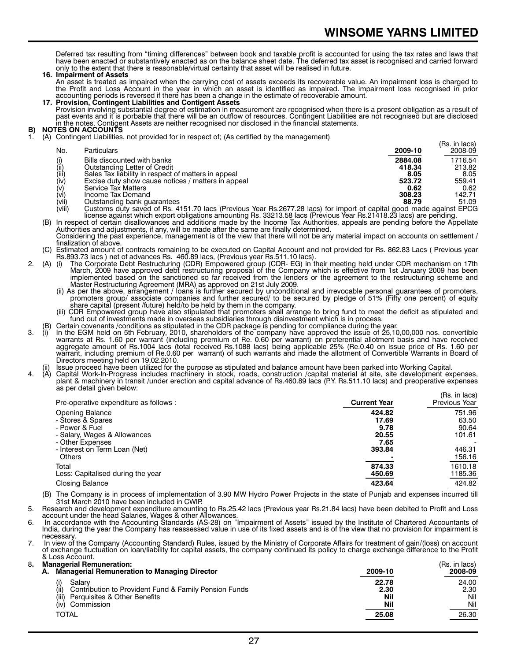Deferred tax resulting from "timing differences" between book and taxable profit is accounted for using the tax rates and laws that have been enacted or substantively enacted as on the balance sheet date. The deferred tax asset is recognised and carried forward only to the extent that there is reasonable/virtual certainty that asset will be realised in future.

#### **16. Impairment of Assets**

An asset is treated as impaired when the carrying cost of assets exceeds its recoverable value. An impairment loss is charged to the Profit and Loss Account in the year in which an asset is identified as impaired. The impairment loss recognised in prior accounting periods is reversed if there has been a change in the estimate of recoverable amount.

#### **17. Provision, Contingent Liabilities and Contigent Assets**

Provision involving substantial degree of estimation in measurement are recognised when there is a present obligation as a result of past events and it is porbable that there will be an outflow of resources. Contingent Liabilities are not recognised but are disclosed in the notes. Contigent Assets are neither recognised nor disclosed in the financial statements. **B) NOTES ON ACCOUNTS**

1. (A) Contingent Liabilities, not provided for in respect of; (As certified by the management)

| No.                                 | <b>Particulars</b>                                  | 2009-10 | (Rs. in lacs)<br>2008-09 |
|-------------------------------------|-----------------------------------------------------|---------|--------------------------|
|                                     | Bills discounted with banks                         | 2884.08 | 1716.54                  |
| (i)<br>(ii)<br>(iii)<br>(iV)<br>(v) | Outstanding Letter of Credit                        | 418.34  | 213.82                   |
|                                     | Sales Tax liability in respect of matters in appeal | 8.05    | 8.05                     |
|                                     | Excise duty show cause notices / matters in appeal  | 523.72  | 559.41                   |
|                                     | <b>Service Tax Matters</b>                          | 0.62    | 0.62                     |
| (vi)                                | Income Tax Demand                                   | 308.23  | 142.71                   |
| (vii)                               | Outstanding bank guarantees                         | 88.79   | 51.09                    |

61.09 00tstanding bank guarantees<br>(viii) Customs duty saved of Rs. 4151.70 lacs (Previous Year Rs.2677.28 lacs) for import of capital good made against EPCG<br>license against which export obligations amounting Rs. 33213.58 l

(B) In respect of certain disallowances and additions made by the Income Tax Authorities, appeals are pending before the Appellate Authorities and adjustments, if any, will be made after the same are finally determined. Considering the past experience, management is of the view that there will not be any material impact on accounts on settlement /

finalization of above

- 
- C) Estimated amount of contracts remaining to be executed on Capital Account and not provided for Rs. 862.83 Lacs ( Previous year<br>Rs.893.73 lacs ) net of advances Rs. 400.89 lacs, (Previous year Rs.11.10 lacs).<br>(A) (i) The implemented based on the sanctioned so far received from the lenders or the agreement to the restructuring scheme and

Master Restructuring Agreement (MRA) as approved on 21st July 2009. (ii) As per the above, arrangement / loans is further secured by unconditional and irrevocable personal guarantees of promoters, promoters group/ associate companies and further secured/ to be secured by pledge of 51% (Fifty one percent) of equity share capital (present /future) held/to be held by them in the company.

- (iii) CDR Empowered group have also stipulated that promoters shall arrange to bring fund to meet the deficit as stipulated and fund out of investments made in overseas subsidiaries through disinvestment which is in process.
- 
- (B) Certain covenants /conditions as stipulated in the CDR package is pending for compliance during the year.<br>(i) In the EGM halo in Star February, 2010, shareholders of the company have approved the issue of 25,10,00,000 warrant, including premium of Re.0.60 per warrant) of such warrants and made the allotment of Convertible Warrants in Board of Directors meeting held on 19.02.2010.
	- Issue proceed have been utilized for the purpose as stipulated and balance amount have been parked into Working Capital.
- 4. (A) Capital Work-In-Progress includes machinery in stock, roads, construction /capital material at site, site development expenses,<br>plant & machinery in transit /under erection and capital advance of Rs.460.89 lacs (P.Y as per detail given below:

| Pre-operative expenditure as follows :                                                                                                                       | <b>Current Year</b>                                | (Rs. in lacs)<br>Previous Year                         |
|--------------------------------------------------------------------------------------------------------------------------------------------------------------|----------------------------------------------------|--------------------------------------------------------|
| Opening Balance<br>- Stores & Spares<br>- Power & Fuel<br>- Salary, Wages & Allowances<br>- Other Expenses<br>- Interest on Term Loan (Net)<br><b>Others</b> | 424.82<br>17.69<br>9.78<br>20.55<br>7.65<br>393.84 | 751.96<br>63.50<br>90.64<br>101.61<br>446.31<br>156.16 |
| Total<br>Less: Capitalised during the year<br><b>Closing Balance</b>                                                                                         | 874.33<br>450.69<br>423.64                         | 1610.18<br>1185.36<br>424.82                           |

(B) The Company is in process of implementation of 3.90 MW Hydro Power Projects in the state of Punjab and expenses incurred till 31st March 2010 have been included in CWIP.

5. Research and development expenditure amounting to Rs.25.42 lacs (Previous year Rs.21.84 lacs) have been debited to Profit and Loss<br>account under the head Salaries, Wages & other Allowances.<br>6. In accordance with the Acc necessary.

7. In view of the Company (Accounting Standard) Rules, issued by the Ministry of Corporate Affairs for treatment of gain/(loss) on account of exchange fluctuation on loan/liability for capital assets, the company continued its policy to charge exchange difference to the Profit & Loss Account.

| 8. Managerial Remuneration:<br><b>Managerial Remuneration to Managing Director</b><br>А. | 2009-10 | (Rs. in lacs)<br>2008-09 |
|------------------------------------------------------------------------------------------|---------|--------------------------|
| Salary<br>(i)                                                                            | 22.78   | 24.00                    |
| Contribution to Provident Fund & Family Pension Funds<br>(ii)                            | 2.30    | 2.30                     |
| (iii)<br>Perquisites & Other Benefits                                                    | Nil     | Nil                      |
| (iv) Commission                                                                          | Nil     | Nil                      |
| <b>TOTAL</b>                                                                             | 25.08   | 26.30                    |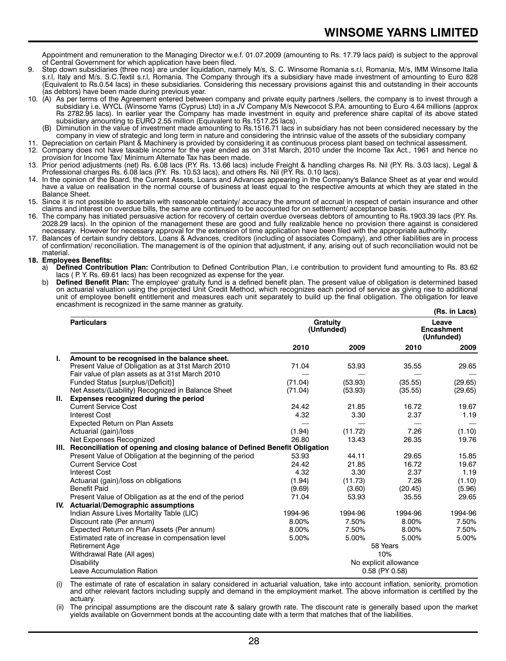Appointment and remuneration to the Managing Director w.e.f. 01.07.2009 (amounting to Rs. 17.79 lacs paid) is subject to the approval of Central Government for which application have been filed.

- 9. Step down subsidiaries (three nos) are under liquidation, namely M/s, S. C. Winsome Romania s.r.l, Romania, M/s, IMM Winsome Italia s.r.l, Italy and M/s. S.C.Textil s.r.l, Romania. The Company through it's a subsidiary have made investment of amounting to Euro 828 (Equivalent to Rs.0.54 lacs) in these subsidiaries. Considering this necessary provisions against this and outstanding in their accounts (as debtors) have been made during previous year.
- 10. (A) As per terms of the Agreement entered between company and private equity partners /sellers, the company is to invest through a<br>subsidiary i.e. WYCL (Winsome Yarns (Cyprus) Ltd) in a JV Company M/s Newcocot S.P.A. a Rs 2782.95 lacs). In earlier year the Company has made investment in equity and preference share capital of its above stated subsidiary amounting to EURO 2.55 million (Equivalent to Rs.1517.25 lacs).
	- (B) Diminution in the value of investment made amounting to Rs.1516.71 lacs in subsidiary has not been considered necessary by the company in view of strategic and long term in nature and considering the intrinsic value of the assets of the subsidiary company
- 11. Depreciation on certain Plant & Machinery is provided by considering it as continuous process plant based on technical assessment.
- 12. Company does not have taxable income for the year ended as on 31st March, 2010 under the Income Tax Act., 1961 and hence no provision for Income Tax/ Minimum Alternate Tax has been made.
- 13. Prior period adjustments (net) Rs. 6.08 lacs (P.Y. Rs. 13.66 lacs) include Freight & handling charges Rs. Nil (P.Y. Rs. 3.03 lacs), Legal & Professional charges Rs. 6.08 lacs (P.Y. Rs. 10.53 lacs), and others Rs. Nil (P.Y. Rs. 0.10 lacs).
- 14. In the opinion of the Board, the Current Assets, Loans and Advances appearing in the Company's Balance Sheet as at year end would have a value on realisation in the normal course of business at least equal to the respective amounts at which they are stated in the Balance Sheet.
- 15. Since it is not possible to ascertain with reasonable certainty/ accuracy the amount of accrual in respect of certain insurance and other claims and interest on overdue bills, the same are continued to be accounted for on settlement/ acceptance basis.
- 16. The company has initiated persuasive action for recovery of certain overdue overseas debtors of amounting to Rs.1903.39 lacs (P.Y. Rs. 2028.29 lacs). In the opinion of the management these are good and fully realizable hence no provision there against is considered necessary. However for necessary approval for the extension of time application have been filed with the appropriate authority.
- 17. Balances of certain sundry debtors, Loans & Advances, creditors (including of associates Company), and other liabilities are in process of confirmation/ reconciliation. The management is of the opinion that adjustment, if any, arising out of such reconciliation would not be material.

#### **18. Employees Benefits:**

- a) **Defined Contribution Plan:** Contribution to Defined Contribution Plan, i.e contribution to provident fund amounting to Rs. 83.62 lacs ( P. Y. Rs. 69.61 lacs) has been recognized as expense for the year.
- b) **Defined Benefit Plan:** The employee' gratuity fund is a defined benefit plan. The present value of obligation is determined based on actuarial valuation using the projected Unit Credit Method, which recognizes each period of service as giving rise to additional unit of employee benefit entitlement and measures each unit separately to build up the final obligation. The obligation for leave encashment is recognized in the same manner as gratuity. **(Rs. in Lacs)**

|     | <b>Particulars</b>                                                                                                                                                                                                                                                                                              |                                                     | Gratuity<br>(Unfunded)                               |                                                                                                       | Leave<br><b>Encashment</b><br>(Unfunded)            |
|-----|-----------------------------------------------------------------------------------------------------------------------------------------------------------------------------------------------------------------------------------------------------------------------------------------------------------------|-----------------------------------------------------|------------------------------------------------------|-------------------------------------------------------------------------------------------------------|-----------------------------------------------------|
|     |                                                                                                                                                                                                                                                                                                                 | 2010                                                | 2009                                                 | 2010                                                                                                  | 2009                                                |
| ı.  | Amount to be recognised in the balance sheet.<br>Present Value of Obligation as at 31st March 2010<br>Fair value of plan assets as at 31st March 2010                                                                                                                                                           | 71.04                                               | 53.93                                                | 35.55                                                                                                 | 29.65                                               |
|     | Funded Status [surplus/(Deficit)]<br>Net Assets/(Liability) Recognized in Balance Sheet                                                                                                                                                                                                                         | (71.04)<br>(71.04)                                  | (53.93)<br>(53.93)                                   | (35.55)<br>(35.55)                                                                                    | (29.65)<br>(29.65)                                  |
| Ш.  | Expenses recognized during the period<br><b>Current Service Cost</b><br><b>Interest Cost</b><br><b>Expected Return on Plan Assets</b><br>Actuarial (gain)/loss                                                                                                                                                  | 24.42<br>4.32<br>(1.94)                             | 21.85<br>3.30<br>(11.72)                             | 16.72<br>2.37<br>7.26                                                                                 | 19.67<br>1.19<br>(1.10)                             |
|     | Net Expenses Recognized<br>III. Reconciliation of opening and closing balance of Defined Benefit Obligation                                                                                                                                                                                                     | 26.80                                               | 13.43                                                | 26.35                                                                                                 | 19.76                                               |
|     | Present Value of Obligation at the beginning of the period<br><b>Current Service Cost</b><br><b>Interest Cost</b><br>Actuarial (gain)/loss on obligations<br><b>Benefit Paid</b><br>Present Value of Obligation as at the end of the period                                                                     | 53.93<br>24.42<br>4.32<br>(1.94)<br>(9.69)<br>71.04 | 44.11<br>21.85<br>3.30<br>(11.73)<br>(3.60)<br>53.93 | 29.65<br>16.72<br>2.37<br>7.26<br>(20.45)<br>35.55                                                    | 15.85<br>19.67<br>1.19<br>(1.10)<br>(5.96)<br>29.65 |
| IV. | <b>Actuarial/Demographic assumptions</b><br>Indian Assure Lives Mortality Table (LIC)<br>Discount rate (Per annum)<br>Expected Return on Plan Assets (Per annum)<br>Estimated rate of increase in compensation level<br>Retirement Age<br>Withdrawal Rate (All ages)<br>Disability<br>Leave Accumulation Ration | 1994-96<br>8.00%<br>8.00%<br>5.00%                  | 1994-96<br>7.50%<br>7.50%<br>5.00%                   | 1994-96<br>8.00%<br>8.00%<br>5.00%<br>58 Years<br>10%<br>No explicit allowance<br>$0.58$ (PY $0.58$ ) | 1994-96<br>7.50%<br>7.50%<br>5.00%                  |

(i) The estimate of rate of escalation in salary considered in actuarial valuation, take into account inflation, seniority, promotion and other relevant factors including supply and demand in the employment market. The above information is certified by the actuary.

(ii) The principal assumptions are the discount rate & salary growth rate. The discount rate is generally based upon the market yields available on Government bonds at the accounting date with a term that matches that of the liabilities.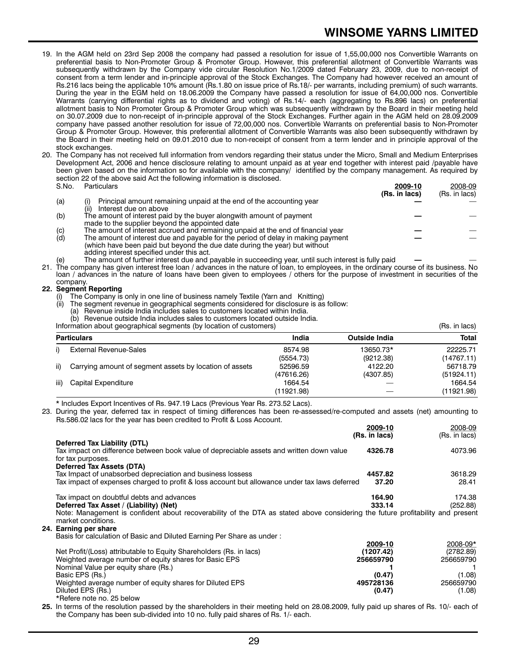## **WINSOME YARNS LIMITED**

- 19. In the AGM held on 23rd Sep 2008 the company had passed a resolution for issue of 1,55,00,000 nos Convertible Warrants on preferential basis to Non-Promoter Group & Promoter Group. However, this preferential allotment of Convertible Warrants was subsequently withdrawn by the Company vide circular Resolution No.1/2009 dated February 23, 2009, due to non-receipt of consent from a term lender and in-principle approval of the Stock Exchanges. The Company had however received an amount of Rs.216 lacs being the applicable 10% amount (Rs.1.80 on issue price of Rs.18/- per warrants, including premium) of such warrants. During the year in the EGM held on 18.06.2009 the Company have passed a resolution for issue of 64,00,000 nos. Convertible Warrants (carrying differential rights as to dividend and voting) of Rs.14/- each (aggregating to Rs.896 lacs) on preferential allotment basis to Non Promoter Group & Promoter Group which was subsequently withdrawn by the Board in their meeting held on 30.07.2009 due to non-receipt of in-principle approval of the Stock Exchanges. Further again in the AGM held on 28.09.2009 company have passed another resolution for issue of 72,00,000 nos. Convertible Warrants on preferential basis to Non-Promoter Group & Promoter Group. However, this preferential allotment of Convertible Warrants was also been subsequently withdrawn by the Board in their meeting held on 09.01.2010 due to non-receipt of consent from a term lender and in principle approval of the stock exchanges.
- 20. The Company has not received full information from vendors regarding their status under the Micro, Small and Medium Enterprises Development Act, 2006 and hence disclosure relating to amount unpaid as at year end together with interest paid /payable have been given based on the information so for available with the company/ identified by the company management. As required by section 22 of the above said Act the following information is disclosed.

| S.No. | <b>Particulars</b>                                                                                                     | 2009-10       | 2008-09       |
|-------|------------------------------------------------------------------------------------------------------------------------|---------------|---------------|
|       |                                                                                                                        | (Rs. in lacs) | (Rs. in lacs) |
| (a)   | Principal amount remaining unpaid at the end of the accounting year<br>Interest due on above<br>(ii)                   |               |               |
| (b)   | The amount of interest paid by the buyer alongwith amount of payment<br>made to the supplier beyond the appointed date |               |               |
| (c)   | The amount of interest accrued and remaining unpaid at the end of financial year                                       |               |               |
| (d)   | The amount of interest due and payable for the period of delay in making payment                                       |               |               |

(which have been paid but beyond the due date during the year) but without adding interest specified under this act.

The amount of further interest due and payable in succeeding year, until such interest is fully paid

21. The company has given interest free loan / advances in the nature of loan, to employees, in the ordinary course of its business. No loan / advances in the nature of loans have been given to employees / others for the purpose of investment in securities of the company.

#### **22. Segment Reporting**

- (i) The Company is only in one line of business namely Textile (Yarn and Knitting)
- (ii) The segment revenue in geographical segments considered for disclosure is as follow:
- (a) Revenue inside India includes sales to customers located within India. (b) Revenue outside India includes sales to customers located outside India.

Information about geographical segments (by location of customers) example about the state of the state (Rs. in lacs)

| <b>Particulars</b> |                                                         | India      | <b>Outside India</b> | Total      |  |
|--------------------|---------------------------------------------------------|------------|----------------------|------------|--|
|                    | External Revenue-Sales                                  | 8574.98    | 13650.73*            | 22225.71   |  |
|                    |                                                         | (5554.73)  | (9212.38)            | (14767.11) |  |
| ii)                | Carrying amount of segment assets by location of assets | 52596.59   | 4122.20              | 56718.79   |  |
|                    |                                                         | (47616.26) | (4307.85)            | (51924.11) |  |
| iii)               | Capital Expenditure                                     | 1664.54    |                      | 1664.54    |  |
|                    |                                                         | (11921.98) |                      | (11921.98) |  |

\* Includes Export Incentives of Rs. 947.19 Lacs (Previous Year Rs. 273.52 Lacs).

23. During the year, deferred tax in respect of timing differences has been re-assessed/re-computed and assets (net) amounting to Rs.586.02 lacs for the year has been credited to Profit & Loss Account.

|                                                                                                                                                      | 2009-10<br>(Rs. in lacs) | 2008-09<br>(Rs. in lacs) |
|------------------------------------------------------------------------------------------------------------------------------------------------------|--------------------------|--------------------------|
| Deferred Tax Liability (DTL)                                                                                                                         |                          |                          |
| Tax impact on difference between book value of depreciable assets and written down value<br>for tax purposes.                                        | 4326.78                  | 4073.96                  |
| Deferred Tax Assets (DTA)                                                                                                                            |                          |                          |
| Tax Impact of unabsorbed depreciation and business lossess                                                                                           | 4457.82                  | 3618.29                  |
| Tax impact of expenses charged to profit & loss account but allowance under tax laws deferred                                                        | 37.20                    | 28.41                    |
| Tax impact on doubtful debts and advances                                                                                                            | 164.90                   | 174.38                   |
| Deferred Tax Asset / (Liability) (Net)                                                                                                               | 333.14                   | (252.88)                 |
| Note: Management is confident about recoverability of the DTA as stated above considering the future profitability and present<br>market conditions. |                          |                          |
| 24. Earning per share                                                                                                                                |                          |                          |
| Basis for calculation of Basic and Diluted Earning Per Share as under:                                                                               |                          |                          |
|                                                                                                                                                      | 2009-10                  | 2008-09*                 |
| Net Profit/(Loss) attributable to Equity Shareholders (Rs. in lacs)                                                                                  | (1207.42)                | (2782.89)                |
| Weighted average number of equity shares for Basic EPS                                                                                               | 256659790                | 256659790                |
| Nominal Value per equity share (Rs.)                                                                                                                 |                          |                          |
| Basic EPS (Rs.)                                                                                                                                      | (0.47)                   | (1.08)                   |
| Weighted average number of equity shares for Diluted EPS                                                                                             | 495728136                | 256659790                |
| Diluted EPS (Rs.)                                                                                                                                    | (0.47)                   | (1.08)                   |
| *Refere note no. 25 below                                                                                                                            |                          |                          |

**25.** In terms of the resolution passed by the shareholders in their meeting held on 28.08.2009, fully paid up shares of Rs. 10/- each of the Company has been sub-divided into 10 no. fully paid shares of Rs. 1/- each.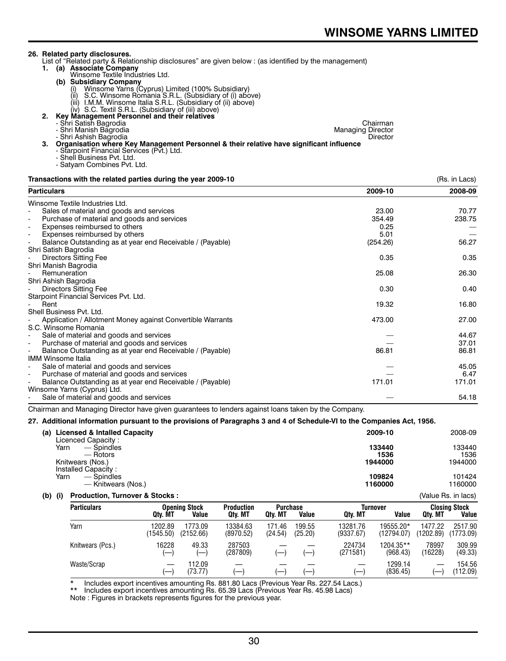#### **26. Related party disclosures.**

List of "Related party & Relationship disclosures" are given below : (as identified by the management) **1. (a) Associate Company** Winsome Textile Industries Ltd.

- 
- **(b) Subsidiary Company**
	-
	-
	- (i) Winsome Yarns (Cyprus) Limited (100% Subsidiary) (ii) S.C. Winsome Romania S.R.L. (Subsidiary of (i) above) (iii) I.M.M. Winsome Italia S.R.L. (Subsidiary of (ii) above)
	- (iv) S.C. Textil S.R.L. (Subsidiary of (iii) above)
- 

**2. Key Management Personnel and their relatives** - Shri Satish Bagrodia Chairman

- 
- -
- Shri Manish Bagrodia<br>- Shri Ashish Bagrodia<br>- Shri Ashish The Key Management Personnel & their relative have significant influence<br>- Starpoint Financial Services (Pvt.) Ltd.<br>- Shell Business Pvt. Ltd.
	-
	- Satyam Combines Pvt. Ltd.

#### **Transactions with the related parties during the year 2009-10** (Rs. in Lacs) (Rs. in Lacs)

| <b>Particulars</b>                                                                    | 2009-10  | 2008-09 |
|---------------------------------------------------------------------------------------|----------|---------|
| Winsome Textile Industries Ltd.                                                       |          |         |
| Sales of material and goods and services<br>$\overline{a}$                            | 23.00    | 70.77   |
| Purchase of material and goods and services<br>$\overline{\phantom{a}}$               | 354.49   | 238.75  |
| Expenses reimbursed to others<br>$\overline{\phantom{a}}$                             | 0.25     |         |
| Expenses reimbursed by others<br>$\overline{\phantom{a}}$                             | 5.01     |         |
| Balance Outstanding as at year end Receivable / (Payable)                             | (254.26) | 56.27   |
| Shri Satish Bagrodia                                                                  |          |         |
| Directors Sitting Fee                                                                 | 0.35     | 0.35    |
| Shri Manish Bagrodia                                                                  |          |         |
| Remuneration                                                                          | 25.08    | 26.30   |
| Shri Ashish Bagrodia                                                                  |          |         |
| Directors Sitting Fee                                                                 | 0.30     | 0.40    |
| Starpoint Financial Services Pvt. Ltd.                                                |          |         |
| Rent                                                                                  | 19.32    | 16.80   |
| Shell Business Pvt. Ltd.                                                              |          |         |
| Application / Allotment Money against Convertible Warrants                            | 473.00   | 27.00   |
| S.C. Winsome Romania                                                                  |          |         |
| Sale of material and goods and services                                               |          | 44.67   |
| Purchase of material and goods and services<br>٠                                      |          | 37.01   |
| Balance Outstanding as at year end Receivable / (Payable)<br>$\overline{\phantom{a}}$ | 86.81    | 86.81   |
| <b>IMM Winsome Italia</b>                                                             |          |         |
| Sale of material and goods and services<br>$\sim$                                     |          | 45.05   |
| Purchase of material and goods and services<br>$\overline{\phantom{a}}$               |          | 6.47    |
| Balance Outstanding as at year end Receivable / (Payable)                             | 171.01   | 171.01  |
| Winsome Yarns (Cyprus) Ltd.                                                           |          |         |
| Sale of material and goods and services                                               |          | 54.18   |

Chairman and Managing Director have given guarantees to lenders against loans taken by the Company.

#### **27. Additional information pursuant to the provisions of Paragraphs 3 and 4 of Schedule-VI to the Companies Act, 1956.**

| <b>Licensed &amp; Intalled Capacity</b><br>(a) | 2009-10 | 2008-09 |
|------------------------------------------------|---------|---------|
| Licenced Capacity:                             |         |         |
| Yarn<br>— Spindles                             | 133440  | 133440  |
| — Rotors                                       | 1536    | 1536    |
| Knitwears (Nos.)                               | 1944000 | 1944000 |
| Installed Capacity:                            |         |         |
| Yarn<br>— Spindles                             | 109824  | 101424  |
| — Knitwears (Nos.)                             | 1160000 | 1160000 |
|                                                |         |         |

**(b) (i) Production, Turnover & Stocks :** (Value Rs. in lacs)

| $110$ uuvuviii. Turiiv YVI u vivviiv .         |                      |                                   |                              |                                     |                   | $x + 10$ . $x + 100$  |                                          |                      |                      |
|------------------------------------------------|----------------------|-----------------------------------|------------------------------|-------------------------------------|-------------------|-----------------------|------------------------------------------|----------------------|----------------------|
| <b>Particulars</b><br>Openina Stock<br>Qtv. MT |                      | Value                             | <b>Production</b><br>Qty. MT | <b>Purchase</b><br>Value<br>Qtv. MT |                   | Turnover<br>Qty. MT   | <b>Closing Stock</b><br>Value<br>Qtv. MT |                      |                      |
| Yarn                                           | 1202.89<br>(1545.50) | 1773.09<br>(2152.66)              | 13384.63<br>(8970.52)        | 171.46<br>(24.54)                   | 199.55<br>(25.20) | 13281.76<br>(9337.67) | 19555.20*<br>(12794.07)                  | 1477.22<br>(1202.89) | 2517.90<br>(1773.09) |
| Knitwears (Pcs.)                               | 16228                | 49.33<br>$\overline{\phantom{0}}$ | 287503<br>(287809)           |                                     | $=$               | 224734<br>(271581)    | 1204.35**<br>(968.43)                    | 78997<br>(16228)     | 309.99<br>(49.33)    |
| Waste/Scrap                                    |                      | 112.09<br>(73.77)                 |                              | —                                   | $-$               | —                     | 1299.14<br>(836.45)                      |                      | 154.56<br>(112.09)   |

\* Includes export incentives amounting Rs. 881.80 Lacs (Previous Year Rs. 227.54 Lacs.)

Includes export incentives amounting Rs. 65.39 Lacs (Previous Year Rs. 45.98 Lacs)

Note : Figures in brackets represents figures for the previous year.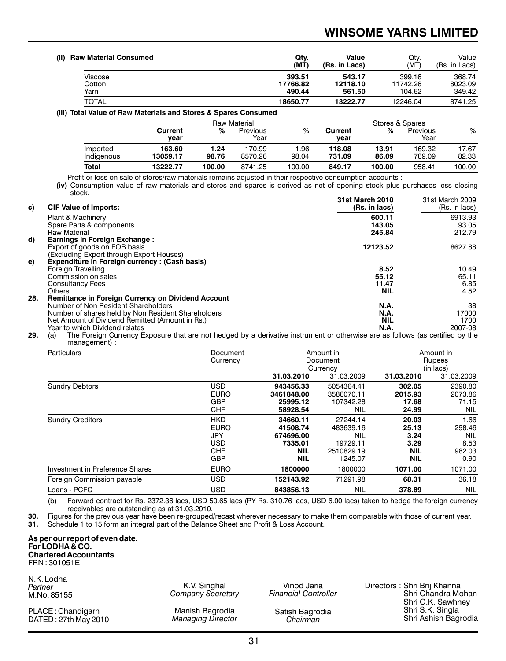## **WINSOME YARNS LIMITED**

| (ii) Raw Material Consumed | Qtv.     | Value         | Qtv.     | Value         |
|----------------------------|----------|---------------|----------|---------------|
|                            | (MT)     | (Rs. in Lacs) | (MT)     | (Rs. in Lacs) |
| Viscose                    | 393.51   | 543.17        | 399.16   | 368.74        |
| Cotton                     | 17766.82 | 12118.10      | 11742.26 | 8023.09       |
| Yarn                       | 490.44   | 561.50        | 104.62   | 349.42        |
| TOTAL                      | 18650.77 | 13222.77      | 12246.04 | 8741.25       |
|                            |          |               |          |               |

#### **(iii) Total Value of Raw Materials and Stores & Spares Consumed**

|              | Raw Material    |        |                  |        |                 |        |                  |        |
|--------------|-----------------|--------|------------------|--------|-----------------|--------|------------------|--------|
|              | Current<br>vear | %      | Previous<br>Year | %      | Current<br>vear | %      | Previous<br>Year | %      |
| Imported     | 163.60          | 1.24   | 170.99           | 1.96   | 118.08          | 13.91  | 169.32           | 17.67  |
| Indigenous   | 13059.17        | 98.76  | 8570.26          | 98.04  | 731.09          | 86.09  | 789.09           | 82.33  |
| <b>Total</b> | 13222.77        | 100.00 | 8741.25          | 100.00 | 849.17          | 100.00 | 958.41           | 100.00 |

Profit or loss on sale of stores/raw materials remains adjusted in their respective consumption accounts :

**(iv)** Consumption value of raw materials and stores and spares is derived as net of opening stock plus purchases less closing stock.

|     | owur.                                              | <b>31st March 2010</b> | 31st March 2009 |
|-----|----------------------------------------------------|------------------------|-----------------|
| C)  | <b>CIF Value of Imports:</b>                       | (Rs. in lacs)          | (Rs. in lacs)   |
|     | Plant & Machinery                                  | 600.11                 | 6913.93         |
|     | Spare Parts & components                           | 143.05                 | 93.05           |
|     | <b>Raw Material</b>                                | 245.84                 | 212.79          |
| d)  | Earnings in Foreign Exchange:                      |                        |                 |
|     | Export of goods on FOB basis                       | 12123.52               | 8627.88         |
|     | (Excluding Export through Export Houses)           |                        |                 |
| e)  | Expenditure in Foreign currency: (Cash basis)      |                        |                 |
|     | Foreign Travelling                                 | 8.52                   | 10.49           |
|     | Commission on sales                                | 55.12                  | 65.11           |
|     | <b>Consultancy Fees</b>                            | 11.47                  | 6.85            |
|     | Others                                             | <b>NIL</b>             | 4.52            |
| 28. | Remittance in Foreign Currency on Dividend Account |                        |                 |
|     | Number of Non Resident Shareholders                | <b>N.A.</b>            | 38              |
|     | Number of shares held by Non Resident Shareholders | <b>N.A.</b>            | 17000           |
|     | Net Amount of Dividend Remitted (Amount in Rs.)    | <b>NIL</b>             | 1700            |
|     | Year to which Dividend relates                     | N.A.                   | 2007-08         |

Year to which Dividend relates **N.A.** 2007-08 **29.** (a) The Foreign Currency Exposure that are not hedged by a derivative instrument or otherwise are as follows (as certified by the management) :

| Particulars                     | Document    | Amount in  |            | Amount in  |            |  |
|---------------------------------|-------------|------------|------------|------------|------------|--|
|                                 | Currency    |            | Document   |            | Rupees     |  |
|                                 |             |            | Currency   |            | (in lacs)  |  |
|                                 |             | 31.03.2010 | 31.03.2009 | 31.03.2010 | 31.03.2009 |  |
| <b>Sundry Debtors</b>           | <b>USD</b>  | 943456.33  | 5054364.41 | 302.05     | 2390.80    |  |
|                                 | <b>EURO</b> | 3461848.00 | 3586070.11 | 2015.93    | 2073.86    |  |
|                                 | <b>GBP</b>  | 25995.12   | 107342.28  | 17.68      | 71.15      |  |
|                                 | <b>CHF</b>  | 58928.54   | NIL        | 24.99      | <b>NIL</b> |  |
| <b>Sundry Creditors</b>         | <b>HKD</b>  | 34660.11   | 27244.14   | 20.03      | 1.66       |  |
|                                 | <b>EURO</b> | 41508.74   | 483639.16  | 25.13      | 298.46     |  |
|                                 | <b>JPY</b>  | 674696.00  | <b>NIL</b> | 3.24       | <b>NIL</b> |  |
|                                 | <b>USD</b>  | 7335.01    | 19729.11   | 3.29       | 8.53       |  |
|                                 | <b>CHF</b>  | NIL        | 2510829.19 | <b>NIL</b> | 982.03     |  |
|                                 | <b>GBP</b>  | NIL        | 1245.07    | <b>NIL</b> | 0.90       |  |
| Investment in Preference Shares | <b>EURO</b> | 1800000    | 1800000    | 1071.00    | 1071.00    |  |
| Foreign Commission payable      | <b>USD</b>  | 152143.92  | 71291.98   | 68.31      | 36.18      |  |
| Loans - PCFC                    | <b>USD</b>  | 843856.13  | NIL        | 378.89     | <b>NIL</b> |  |

(b) Forward contract for Rs. 2372.36 lacs, USD 50.65 lacs (PY Rs. 310.76 lacs, USD 6.00 lacs) taken to hedge the foreign currency receivables are outstanding as at 31.03.2010.

**30.** Figures for the previous year have been re-grouped/recast wherever necessary to make them comparable with those of current year. **31.** Schedule 1 to 15 form an integral part of the Balance Sheet and Profit & Loss Account.

#### **As per our report of even date. For LODHA & CO. Chartered Accountants** FRN : 301051E

N.K. Lodha *Partner* M.No. 85155

K.V. Singhal *Company Secretary*

Manish Bagrodia

Vinod Jaria *Financial Controller*

Satish Bagrodia *Chairman*

Directors : Shri Brij Khanna Shri Chandra Mohan Shri G.K. Sawhney Shri S.K. Singla Shri Ashish Bagrodia

PLACE : Chandigarh DATED : 27th May 2010

*Managing Director*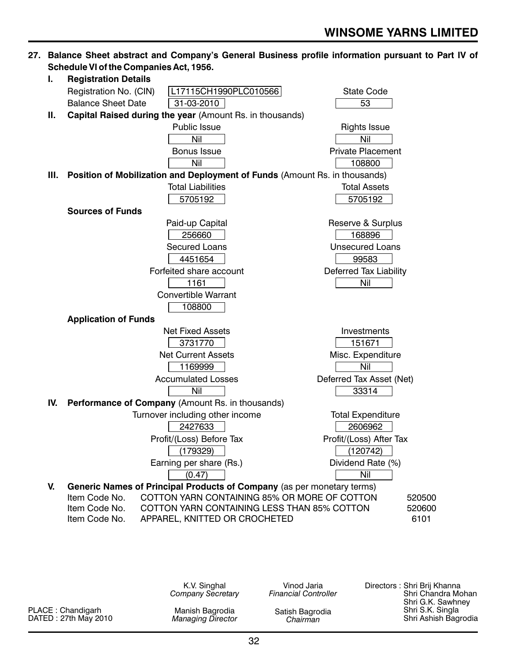## **I. Registration Details** Registration No. (CIN) L17115CH1990PLC010566 Balance Sheet Date 31-03-2010 **II. Capital Raised during the year** (Amount Rs. in thousands) Public Issue **Rights** Issue Nil Nil Bonus Issue **Private Placement** Nil 108800 **III. Position of Mobilization and Deployment of Funds** (Amount Rs. in thousands) Total Liabilities Total Assets 5705192 5705192 **Sources of Funds** Paid-up Capital **Reserve & Surplus** Reserve & Surplus 256660 168896 Secured Loans **Unsecured Loans** 4451654 99583 Forfeited share account Deferred Tax Liability 1161 Nil Convertible Warrant 108800 **Application of Funds** Net Fixed Assets **Investments** 3731770 151671 Net Current Assets Misc. Expenditure 1169999 Nil Accumulated Losses **Deferred Tax Asset (Net)** Nil 33314 **IV. Performance of Company** (Amount Rs. in thousands) Turnover including other income Total Expenditure 2427633 2606962 Profit/(Loss) Before Tax Profit/(Loss) After Tax (179329) (120742) Earning per share (Rs.) Dividend Rate (%) (0.47) Nil **V. Generic Names of Principal Products of Company** (as per monetary terms) ltem Code No. **COTTON YARN CONTAINING 85% OR MORE OF COTTON** Item Code No. COTTON YARN CONTAINING 85% OR MORE OF COTTON 520500<br>Item Code No. COTTON YARN CONTAINING LESS THAN 85% COTTON 520600 COTTON YARN CONTAINING LESS THAN 85% COTTON 520600 Item Code No. APPAREL, KNITTED OR CROCHETED 6101

**27. Balance Sheet abstract and Company's General Business profile information pursuant to Part IV of Schedule VI of the Companies Act, 1956.**

> K.V. Singhal *Company Secretary*

Vinod Jaria *Financial Controller*

PLACE : Chandigarh DATED : 27th May 2010

Manish Bagrodia *Managing Director* Satish Bagrodia *Chairman*

Directors : Shri Brij Khanna Shri Chandra Mohan Shri G.K. Sawhney Shri S.K. Singla Shri Ashish Bagrodia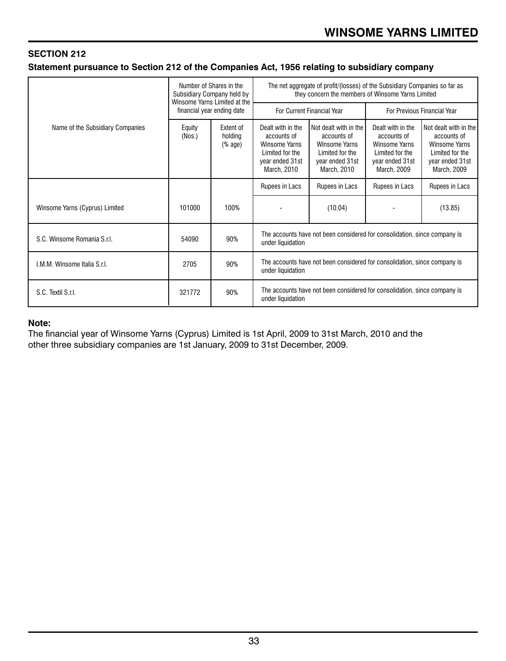## **SECTION 212**

## **Statement pursuance to Section 212 of the Companies Act, 1956 relating to subsidiary company**

|                                  | Number of Shares in the<br>Subsidiary Company held by<br>Winsome Yarns Limited at the<br>financial year ending date |                                 | The net aggregate of profit/(losses) of the Subsidiary Companies so far as<br>they concern the members of Winsome Yarns Limited |                                                                                                            |                                                                                                               |                                                                                                                   |  |  |
|----------------------------------|---------------------------------------------------------------------------------------------------------------------|---------------------------------|---------------------------------------------------------------------------------------------------------------------------------|------------------------------------------------------------------------------------------------------------|---------------------------------------------------------------------------------------------------------------|-------------------------------------------------------------------------------------------------------------------|--|--|
|                                  |                                                                                                                     |                                 |                                                                                                                                 | For Current Financial Year                                                                                 | For Previous Financial Year                                                                                   |                                                                                                                   |  |  |
| Name of the Subsidiary Companies | Equity<br>(Nos.)                                                                                                    | Extent of<br>holding<br>(% age) | Dealt with in the<br>accounts of<br>Winsome Yarns<br>Limited for the<br>year ended 31st<br>March, 2010                          | Not dealt with in the<br>accounts of<br>Winsome Yarns<br>Limited for the<br>year ended 31st<br>March, 2010 | Dealt with in the<br>accounts of<br><b>Winsome Yarns</b><br>Limited for the<br>year ended 31st<br>March, 2009 | Not dealt with in the<br>accounts of<br><b>Winsome Yarns</b><br>Limited for the<br>year ended 31st<br>March, 2009 |  |  |
|                                  |                                                                                                                     |                                 | Rupees in Lacs                                                                                                                  | Rupees in Lacs                                                                                             | Rupees in Lacs                                                                                                | Rupees in Lacs                                                                                                    |  |  |
| Winsome Yarns (Cyprus) Limited   | 101000                                                                                                              | 100%                            |                                                                                                                                 | (10.04)                                                                                                    |                                                                                                               | (13.85)                                                                                                           |  |  |
| S.C. Winsome Romania S.r.I.      | 54090                                                                                                               | 90%                             | The accounts have not been considered for consolidation, since company is<br>under liquidation                                  |                                                                                                            |                                                                                                               |                                                                                                                   |  |  |
| I.M.M. Winsome Italia S.r.I.     | 2705                                                                                                                | 90%                             | The accounts have not been considered for consolidation, since company is<br>under liquidation                                  |                                                                                                            |                                                                                                               |                                                                                                                   |  |  |
| S.C. Textil S.r.I.               | 321772                                                                                                              | 90%                             | The accounts have not been considered for consolidation, since company is<br>under liquidation                                  |                                                                                                            |                                                                                                               |                                                                                                                   |  |  |

## **Note:**

The financial year of Winsome Yarns (Cyprus) Limited is 1st April, 2009 to 31st March, 2010 and the other three subsidiary companies are 1st January, 2009 to 31st December, 2009.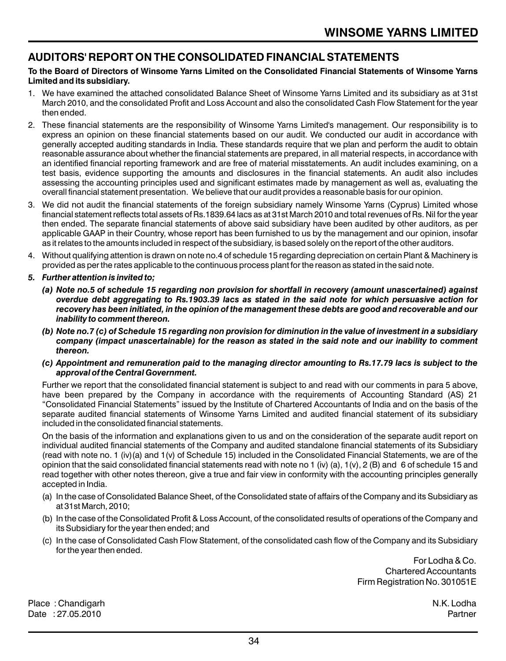## **AUDITORS' REPORT ON THE CONSOLIDATED FINANCIAL STATEMENTS**

## **To the Board of Directors of Winsome Yarns Limited on the Consolidated Financial Statements of Winsome Yarns Limited and its subsidiary.**

- 1. We have examined the attached consolidated Balance Sheet of Winsome Yarns Limited and its subsidiary as at 31st March 2010, and the consolidated Profit and Loss Account and also the consolidated Cash Flow Statement for the year then ended.
- 2. These financial statements are the responsibility of Winsome Yarns Limited's management. Our responsibility is to express an opinion on these financial statements based on our audit. We conducted our audit in accordance with generally accepted auditing standards in India. These standards require that we plan and perform the audit to obtain reasonable assurance about whether the financial statements are prepared, in all material respects, in accordance with an identified financial reporting framework and are free of material misstatements. An audit includes examining, on a test basis, evidence supporting the amounts and disclosures in the financial statements. An audit also includes assessing the accounting principles used and significant estimates made by management as well as, evaluating the overall financial statement presentation. We believe that our audit provides a reasonable basis for our opinion.
- 3. We did not audit the financial statements of the foreign subsidiary namely Winsome Yarns (Cyprus) Limited whose financial statement reflects total assets of Rs.1839.64 lacs as at 31st March 2010 and total revenues of Rs. Nil for the year then ended. The separate financial statements of above said subsidiary have been audited by other auditors, as per applicable GAAP in their Country, whose report has been furnished to us by the management and our opinion, insofar as it relates to the amounts included in respect of the subsidiary, is based solely on the report of the other auditors.
- 4. Without qualifying attention is drawn on note no.4 of schedule 15 regarding depreciation on certain Plant & Machinery is provided as per the rates applicable to the continuous process plant for the reason as stated in the said note.
- *5. Further attention is invited to;*
	- *(a) Note no.5 of schedule 15 regarding non provision for shortfall in recovery (amount unascertained) against overdue debt aggregating to Rs.1903.39 lacs as stated in the said note for which persuasive action for recovery has been initiated, in the opinion of the management these debts are good and recoverable and our inability to comment thereon.*
	- *(b) Note no.7 (c) of Schedule 15 regarding non provision for diminution in the value of investment in a subsidiary company (impact unascertainable) for the reason as stated in the said note and our inability to comment thereon.*
	- *(c) Appointment and remuneration paid to the managing director amounting to Rs.17.79 lacs is subject to the approval of the Central Government.*

Further we report that the consolidated financial statement is subject to and read with our comments in para 5 above, have been prepared by the Company in accordance with the requirements of Accounting Standard (AS) 21 "Consolidated Financial Statements" issued by the Institute of Chartered Accountants of India and on the basis of the separate audited financial statements of Winsome Yarns Limited and audited financial statement of its subsidiary included in the consolidated financial statements.

On the basis of the information and explanations given to us and on the consideration of the separate audit report on individual audited financial statements of the Company and audited standalone financial statements of its Subsidiary (read with note no. 1 (iv)(a) and 1(v) of Schedule 15) included in the Consolidated Financial Statements, we are of the opinion that the said consolidated financial statements read with note no 1 (iv) (a),  $1(v)$ ,  $2(B)$  and 6 of schedule 15 and read together with other notes thereon, give a true and fair view in conformity with the accounting principles generally accepted in India.

- (a) In the case of Consolidated Balance Sheet, of the Consolidated state of affairs of the Company and its Subsidiary as at 31st March, 2010;
- (b) In the case of the Consolidated Profit & Loss Account, of the consolidated results of operations of the Company and its Subsidiary for the year then ended; and
- (c) In the case of Consolidated Cash Flow Statement, of the consolidated cash flow of the Company and its Subsidiary for the year then ended.

For Lodha & Co. Chartered Accountants Firm Registration No. 301051E

Place : Chandigarh N.K. Lodha N.K. Lodha N.K. Lodha N.K. Lodha N.K. Lodha N.K. Lodha N.K. Lodha N.K. Lodha N.K. Lodha Date : 27.05.2010 Partner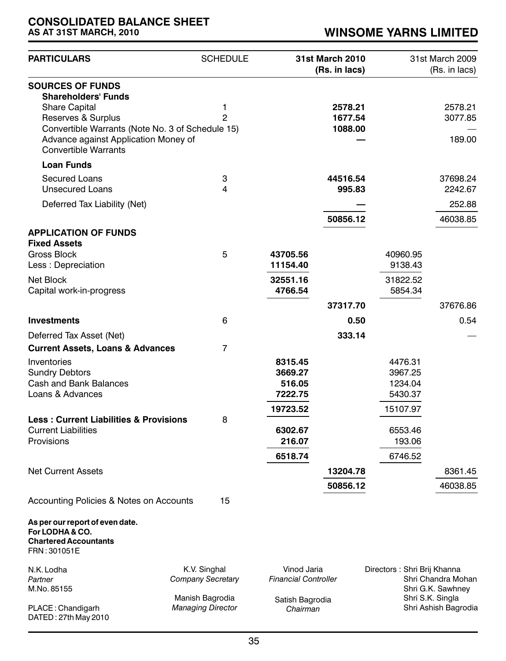## **CONSOLIDATED BALANCE SHEET AS AT 31ST MARCH, 2010**

## **WINSOME YARNS LIMITED**

| <b>PARTICULARS</b>                                                                                                                                                                                                             |                                             | <b>SCHEDULE</b>     | <b>31st March 2010</b><br>(Rs. in lacs)    |                               | 31st March 2009<br>(Rs. in lacs)         |                                         |
|--------------------------------------------------------------------------------------------------------------------------------------------------------------------------------------------------------------------------------|---------------------------------------------|---------------------|--------------------------------------------|-------------------------------|------------------------------------------|-----------------------------------------|
| <b>SOURCES OF FUNDS</b><br><b>Shareholders' Funds</b><br><b>Share Capital</b><br>Reserves & Surplus<br>Convertible Warrants (Note No. 3 of Schedule 15)<br>Advance against Application Money of<br><b>Convertible Warrants</b> |                                             | 1<br>$\overline{2}$ |                                            | 2578.21<br>1677.54<br>1088.00 |                                          | 2578.21<br>3077.85<br>189.00            |
| <b>Loan Funds</b>                                                                                                                                                                                                              |                                             |                     |                                            |                               |                                          |                                         |
| Secured Loans<br><b>Unsecured Loans</b>                                                                                                                                                                                        |                                             | 3<br>4              |                                            | 44516.54<br>995.83            |                                          | 37698.24<br>2242.67                     |
| Deferred Tax Liability (Net)                                                                                                                                                                                                   |                                             |                     |                                            | 50856.12                      |                                          | 252.88<br>46038.85                      |
| <b>APPLICATION OF FUNDS</b><br><b>Fixed Assets</b><br><b>Gross Block</b>                                                                                                                                                       |                                             | 5                   | 43705.56                                   |                               | 40960.95                                 |                                         |
| Less : Depreciation                                                                                                                                                                                                            |                                             |                     | 11154.40                                   |                               | 9138.43                                  |                                         |
| Net Block<br>Capital work-in-progress                                                                                                                                                                                          |                                             |                     | 32551.16<br>4766.54                        |                               | 31822.52<br>5854.34                      |                                         |
|                                                                                                                                                                                                                                |                                             |                     |                                            | 37317.70                      |                                          | 37676.86                                |
| <b>Investments</b>                                                                                                                                                                                                             |                                             | 6                   |                                            | 0.50                          |                                          | 0.54                                    |
| Deferred Tax Asset (Net)                                                                                                                                                                                                       |                                             |                     |                                            | 333.14                        |                                          |                                         |
| <b>Current Assets, Loans &amp; Advances</b>                                                                                                                                                                                    |                                             | 7                   |                                            |                               |                                          |                                         |
| Inventories<br><b>Sundry Debtors</b><br>Cash and Bank Balances<br>Loans & Advances                                                                                                                                             |                                             |                     | 8315.45<br>3669.27<br>516.05<br>7222.75    |                               | 4476.31<br>3967.25<br>1234.04<br>5430.37 |                                         |
| <b>Less: Current Liabilities &amp; Provisions</b><br><b>Current Liabilities</b><br>Provisions                                                                                                                                  |                                             | 8                   | 19723.52<br>6302.67<br>216.07              |                               | 15107.97<br>6553.46<br>193.06            |                                         |
|                                                                                                                                                                                                                                |                                             |                     | 6518.74                                    |                               | 6746.52                                  |                                         |
| <b>Net Current Assets</b>                                                                                                                                                                                                      |                                             |                     |                                            | 13204.78                      |                                          | 8361.45                                 |
| Accounting Policies & Notes on Accounts                                                                                                                                                                                        |                                             | 15                  |                                            | 50856.12                      |                                          | 46038.85                                |
| As per our report of even date.<br>For LODHA & CO.<br><b>Chartered Accountants</b><br>FRN: 301051E                                                                                                                             |                                             |                     |                                            |                               |                                          |                                         |
| N.K. Lodha<br>Partner<br>M.No. 85155                                                                                                                                                                                           | K.V. Singhal<br>Company Secretary           |                     | Vinod Jaria<br><b>Financial Controller</b> |                               | Directors : Shri Brij Khanna             | Shri Chandra Mohan<br>Shri G.K. Sawhney |
| PLACE: Chandigarh<br>DATED: 27th May 2010                                                                                                                                                                                      | Manish Bagrodia<br><b>Managing Director</b> |                     | Satish Bagrodia<br>Chairman                |                               | Shri S.K. Singla<br>Shri Ashish Bagrodia |                                         |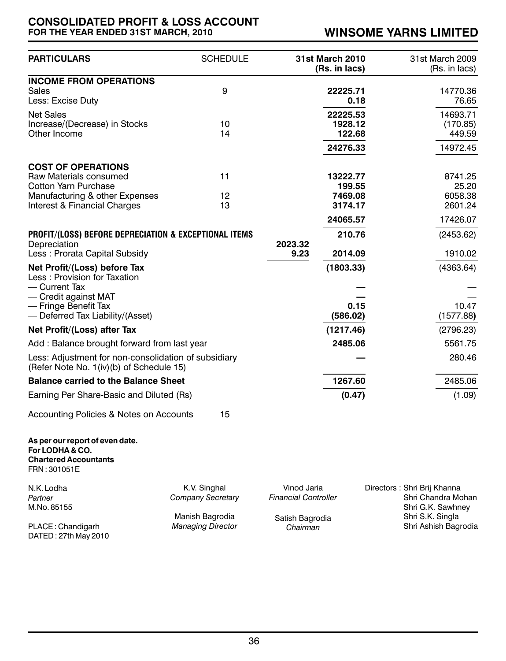## **CONSOLIDATED PROFIT & LOSS ACCOUNT FOR THE YEAR ENDED 31ST MARCH, 2010**

## **WINSOME YARNS LIMITED**

| <b>PARTICULARS</b>                                                                                 | <b>SCHEDULE</b>          |                             | <b>31st March 2010</b><br>(Rs. in lacs) | 31st March 2009<br>(Rs. in lacs) |
|----------------------------------------------------------------------------------------------------|--------------------------|-----------------------------|-----------------------------------------|----------------------------------|
| <b>INCOME FROM OPERATIONS</b>                                                                      |                          |                             |                                         |                                  |
| Sales                                                                                              | 9                        |                             | 22225.71                                | 14770.36                         |
| Less: Excise Duty                                                                                  |                          |                             | 0.18                                    | 76.65                            |
| <b>Net Sales</b>                                                                                   |                          |                             | 22225.53                                | 14693.71                         |
| Increase/(Decrease) in Stocks                                                                      | 10                       |                             | 1928.12                                 | (170.85)                         |
| Other Income                                                                                       | 14                       |                             | 122.68                                  | 449.59                           |
|                                                                                                    |                          |                             | 24276.33                                | 14972.45                         |
|                                                                                                    |                          |                             |                                         |                                  |
| <b>COST OF OPERATIONS</b><br>Raw Materials consumed                                                | 11                       |                             | 13222.77                                | 8741.25                          |
| Cotton Yarn Purchase                                                                               |                          |                             | 199.55                                  | 25.20                            |
| Manufacturing & other Expenses                                                                     | 12                       |                             | 7469.08                                 | 6058.38                          |
| Interest & Financial Charges                                                                       | 13                       |                             | 3174.17                                 | 2601.24                          |
|                                                                                                    |                          |                             | 24065.57                                | 17426.07                         |
| PROFIT/(LOSS) BEFORE DEPRECIATION & EXCEPTIONAL ITEMS                                              |                          |                             | 210.76                                  | (2453.62)                        |
| Depreciation                                                                                       |                          | 2023.32                     |                                         |                                  |
| Less : Prorata Capital Subsidy                                                                     |                          | 9.23                        | 2014.09                                 | 1910.02                          |
| Net Profit/(Loss) before Tax<br>Less: Provision for Taxation                                       |                          |                             | (1803.33)                               | (4363.64)                        |
| — Current Tax                                                                                      |                          |                             |                                         |                                  |
| - Credit against MAT                                                                               |                          |                             |                                         |                                  |
| - Fringe Benefit Tax                                                                               |                          |                             | 0.15                                    | 10.47                            |
| - Deferred Tax Liability/(Asset)                                                                   |                          |                             | (586.02)                                | (1577.88)                        |
| Net Profit/(Loss) after Tax                                                                        |                          |                             | (1217.46)                               | (2796.23)                        |
| Add: Balance brought forward from last year                                                        |                          |                             | 2485.06                                 | 5561.75                          |
| Less: Adjustment for non-consolidation of subsidiary<br>(Refer Note No. 1(iv)(b) of Schedule 15)   |                          |                             |                                         | 280.46                           |
| <b>Balance carried to the Balance Sheet</b>                                                        |                          |                             | 1267.60                                 | 2485.06                          |
| Earning Per Share-Basic and Diluted (Rs)                                                           |                          |                             | (0.47)                                  | (1.09)                           |
| Accounting Policies & Notes on Accounts                                                            | 15                       |                             |                                         |                                  |
| As per our report of even date.<br>For LODHA & CO.<br><b>Chartered Accountants</b><br>FRN: 301051E |                          |                             |                                         |                                  |
| N.K. Lodha                                                                                         | K.V. Singhal             | Vinod Jaria                 |                                         | Directors : Shri Brij Khanna     |
| Partner                                                                                            | Company Secretary        | <b>Financial Controller</b> |                                         | Shri Chandra Mohan               |
| M.No. 85155                                                                                        |                          |                             |                                         | Shri G.K. Sawhney                |
|                                                                                                    | Manish Bagrodia          | Satish Bagrodia             |                                         | Shri S.K. Singla                 |
| PLACE: Chandigarh<br>DATED : 27th May 2010                                                         | <b>Managing Director</b> | Chairman                    |                                         | Shri Ashish Bagrodia             |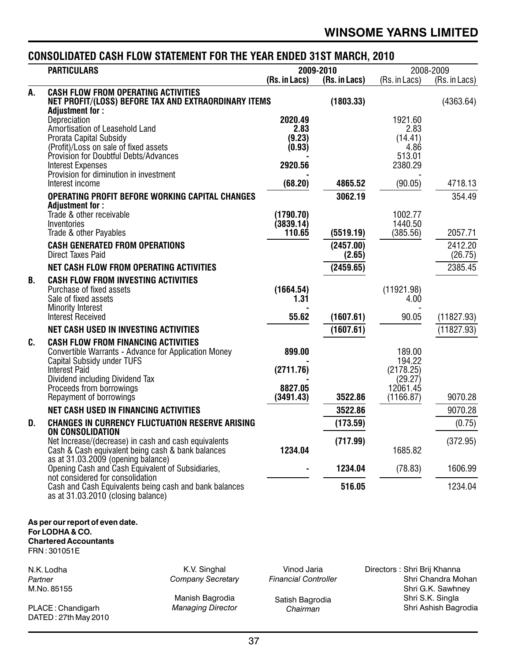## **CONSOLIDATED CASH FLOW STATEMENT FOR THE YEAR ENDED 31ST MARCH, 2010**

|         | <b>PARTICULARS</b>                                                                                                    |                          |                             | 2009-2010     |                             | 2008-2009                             |
|---------|-----------------------------------------------------------------------------------------------------------------------|--------------------------|-----------------------------|---------------|-----------------------------|---------------------------------------|
|         |                                                                                                                       |                          | (Rs. in Lacs)               | (Rs. in Lacs) | (Rs. in Lacs)               | (Rs. in Lacs)                         |
| A.      | <b>CASH FLOW FROM OPERATING ACTIVITIES</b><br>NET PROFIT/(LOSS) BEFORE TAX AND EXTRAORDINARY ITEMS<br>Adjustment for: |                          |                             | (1803.33)     |                             | (4363.64)                             |
|         | Depreciation                                                                                                          |                          | 2020.49                     |               | 1921.60                     |                                       |
|         | Amortisation of Leasehold Land<br>Prorata Capital Subsidy                                                             |                          | 2.83<br>(9.23)              |               | 2.83<br>(14.41)             |                                       |
|         | (Profit)/Loss on sale of fixed assets                                                                                 |                          | (0.93)                      |               | 4.86                        |                                       |
|         | Provision for Doubtful Debts/Advances<br><b>Interest Expenses</b>                                                     |                          | 2920.56                     |               | 513.01<br>2380.29           |                                       |
|         | Provision for diminution in investment                                                                                |                          |                             |               |                             |                                       |
|         | Interest income                                                                                                       |                          | (68.20)                     | 4865.52       | (90.05)                     | 4718.13                               |
|         | OPERATING PROFIT BEFORE WORKING CAPITAL CHANGES<br><b>Adjustment for:</b>                                             |                          |                             | 3062.19       |                             | 354.49                                |
|         | Trade & other receivable<br>Inventories                                                                               |                          | (1790.70)<br>(3839.14)      |               | 1002.77<br>1440.50          |                                       |
|         | Trade & other Payables                                                                                                |                          | 110.65                      | (5519.19)     | (385.56)                    | 2057.71                               |
|         | <b>CASH GENERATED FROM OPERATIONS</b>                                                                                 |                          |                             | (2457.00)     |                             | 2412.20                               |
|         | <b>Direct Taxes Paid</b>                                                                                              |                          |                             | (2.65)        |                             | (26.75)                               |
|         | NET CASH FLOW FROM OPERATING ACTIVITIES                                                                               |                          |                             | (2459.65)     |                             | 2385.45                               |
| В.      | <b>CASH FLOW FROM INVESTING ACTIVITIES</b><br>Purchase of fixed assets                                                |                          | (1664.54)                   |               | (11921.98)                  |                                       |
|         | Sale of fixed assets                                                                                                  |                          | 1.31                        |               | 4.00                        |                                       |
|         | <b>Minority Interest</b><br>Interest Received                                                                         |                          | 55.62                       | (1607.61)     | 90.05                       | (11827.93)                            |
|         | NET CASH USED IN INVESTING ACTIVITIES                                                                                 |                          |                             | (1607.61)     |                             | (11827.93)                            |
| C.      | <b>CASH FLOW FROM FINANCING ACTIVITIES</b>                                                                            |                          |                             |               |                             |                                       |
|         | Convertible Warrants - Advance for Application Money                                                                  |                          | 899.00                      |               | 189.00                      |                                       |
|         | Capital Subsidy under TUFS<br><b>Interest Paid</b>                                                                    |                          | (2711.76)                   |               | 194.22<br>(2178.25)         |                                       |
|         | Dividend including Dividend Tax                                                                                       |                          |                             |               | (29.27)                     |                                       |
|         | Proceeds from borrowings<br>Repayment of borrowings                                                                   |                          | 8827.05<br>(3491.43)        | 3522.86       | 12061.45<br>(1166.87)       | 9070.28                               |
|         | NET CASH USED IN FINANCING ACTIVITIES                                                                                 |                          |                             | 3522.86       |                             | 9070.28                               |
| D.      | <b>CHANGES IN CURRENCY FLUCTUATION RESERVE ARISING</b>                                                                |                          |                             | (173.59)      |                             | (0.75)                                |
|         | ON CONSOLIDATION                                                                                                      |                          |                             |               |                             |                                       |
|         | Net Increase/(decrease) in cash and cash equivalents<br>Cash & Cash equivalent being cash & bank balances             |                          | 1234.04                     | (717.99)      | 1685.82                     | (372.95)                              |
|         | as at 31.03.2009 (opening balance)                                                                                    |                          |                             |               |                             |                                       |
|         | Opening Cash and Cash Equivalent of Subsidiaries,<br>not considered for consolidation                                 |                          |                             | 1234.04       | (78.83)                     | 1606.99                               |
|         | Cash and Cash Equivalents being cash and bank balances<br>as at 31.03.2010 (closing balance)                          |                          |                             | 516.05        |                             | 1234.04                               |
|         | As per our report of even date.<br>For LODHA & CO.<br><b>Chartered Accountants</b><br>FRN: 301051E                    |                          |                             |               |                             |                                       |
|         | N.K. Lodha                                                                                                            | K.V. Singhal             | Vinod Jaria                 |               | Directors: Shri Brij Khanna |                                       |
| Partner |                                                                                                                       | Company Secretary        | <b>Financial Controller</b> |               |                             | Shri Chandra Mohan                    |
|         | M.No. 85155                                                                                                           | Manish Bagrodia          |                             |               |                             | Shri G.K. Sawhney<br>Shri S.K. Singla |
|         | PLACE: Chandigarh<br>DATED: 27th May 2010                                                                             | <b>Managing Director</b> | Satish Bagrodia<br>Chairman |               |                             | Shri Ashish Bagrodia                  |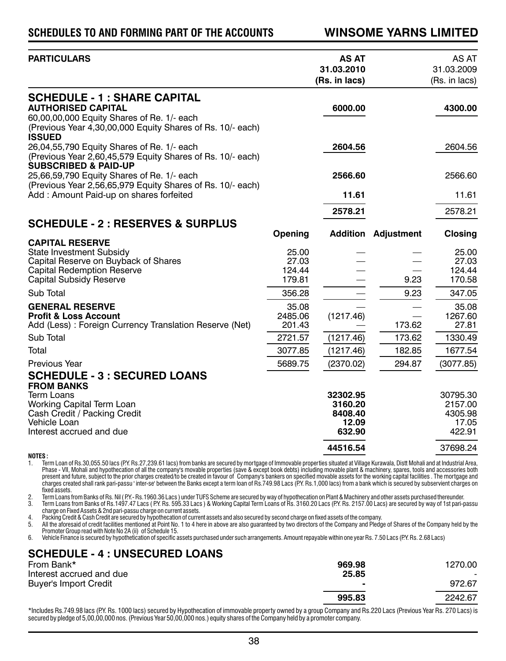**WINSOME YARNS LIMITED**

| <b>PARTICULARS</b>                                                                                                                                                |                                    | <b>AS AT</b><br>31.03.2010<br>(Rs. in lacs)       |                            | AS AT<br>31.03.2009<br>(Rs. in lacs)              |
|-------------------------------------------------------------------------------------------------------------------------------------------------------------------|------------------------------------|---------------------------------------------------|----------------------------|---------------------------------------------------|
| <b>SCHEDULE - 1 : SHARE CAPITAL</b>                                                                                                                               |                                    |                                                   |                            |                                                   |
| <b>AUTHORISED CAPITAL</b><br>60,00,00,000 Equity Shares of Re. 1/- each                                                                                           |                                    | 6000.00                                           |                            | 4300.00                                           |
| (Previous Year 4,30,00,000 Equity Shares of Rs. 10/- each)<br><b>ISSUED</b><br>26,04,55,790 Equity Shares of Re. 1/- each                                         |                                    | 2604.56                                           |                            | 2604.56                                           |
| (Previous Year 2,60,45,579 Equity Shares of Rs. 10/- each)<br><b>SUBSCRIBED &amp; PAID-UP</b>                                                                     |                                    |                                                   |                            |                                                   |
| 25,66,59,790 Equity Shares of Re. 1/- each                                                                                                                        |                                    | 2566.60                                           |                            | 2566.60                                           |
| (Previous Year 2,56,65,979 Equity Shares of Rs. 10/- each)<br>Add: Amount Paid-up on shares forfeited                                                             |                                    | 11.61                                             |                            | 11.61                                             |
|                                                                                                                                                                   |                                    | 2578.21                                           |                            | 2578.21                                           |
| <b>SCHEDULE - 2 : RESERVES &amp; SURPLUS</b>                                                                                                                      |                                    |                                                   |                            |                                                   |
|                                                                                                                                                                   | Opening                            |                                                   | <b>Addition Adjustment</b> | Closing                                           |
| <b>CAPITAL RESERVE</b><br>State Investment Subsidy<br>Capital Reserve on Buyback of Shares<br><b>Capital Redemption Reserve</b><br><b>Capital Subsidy Reserve</b> | 25.00<br>27.03<br>124.44<br>179.81 |                                                   | 9.23                       | 25.00<br>27.03<br>124.44<br>170.58                |
| Sub Total                                                                                                                                                         | 356.28                             |                                                   | 9.23                       | 347.05                                            |
| <b>GENERAL RESERVE</b><br><b>Profit &amp; Loss Account</b><br>Add (Less): Foreign Currency Translation Reserve (Net)                                              | 35.08<br>2485.06<br>201.43         | (1217.46)                                         | 173.62                     | 35.08<br>1267.60<br>27.81                         |
| Sub Total                                                                                                                                                         | 2721.57                            | (1217.46)                                         | 173.62                     | 1330.49                                           |
| Total                                                                                                                                                             | 3077.85                            | (1217.46)                                         | 182.85                     | 1677.54                                           |
| <b>Previous Year</b>                                                                                                                                              | 5689.75                            | (2370.02)                                         | 294.87                     | (3077.85)                                         |
| <b>SCHEDULE - 3 : SECURED LOANS</b><br><b>FROM BANKS</b>                                                                                                          |                                    |                                                   |                            |                                                   |
| Term Loans<br>Working Capital Term Loan<br>Cash Credit / Packing Credit<br>Vehicle Loan<br>Interest accrued and due                                               |                                    | 32302.95<br>3160.20<br>8408.40<br>12.09<br>632.90 |                            | 30795.30<br>2157.00<br>4305.98<br>17.05<br>422.91 |
| <b>NOTES.</b>                                                                                                                                                     |                                    | 44516.54                                          |                            | 37698.24                                          |

**NOTES :**<br>1. Term Loan of Rs.30,055.50 lacs (P.Y. Rs.27,239.61 lacs) from banks are secured by mortgage of Immovable properties situated at Village Kurawala, Distt Mohali and at Industrial Area, Phase - VII, Mohali and hypothecation of all the company's movable properties (save & except book debts) including movable plant & machinery, spares, tools and accessories both<br>present and tuture, subject to the prior char fixed assets.

2. Term Loans from Banks of Rs. Nil (PY-Rs.1960.36 Lacs) under TUFS Scheme are secured by way of hypothecation on Plant & Machinery and other assets purchased thereunder.<br>3. Term Loans from Banks of Rs.1497-47 Lacs (PY-Rs.

Term Loans from Banks of Rs.1497.47 Lacs ( P.Y. Rs. 595.33 Lacs ) & Working Capital Term Loans of Rs. 3160.20 Lacs ( P.Y. Rs. 2157.00 Lacs) are secured by way of 1st pari-passu charge on Fixed Assets & 2nd pari-passu charge on current assets.

4. Packing Credit & Cash Credit are secured by hypothecation of current assets and also secured by second charge on fixed assets of the company.

All the aforesaid of credit facilities mentioned at Point No. 1 to 4 here in above are also quaranteed by two directors of the Company and Pledge of Shares of the Company held by the Promoter Group read with Note No 2A (ii) of Schedule 15.

6. Vehicle Finance is secured by hypothetication of specific assets purchased under such arrangements. Amount repayable within one year Rs. 7.50 Lacs (P.Y. Rs. 2.68 Lacs)

## **SCHEDULE - 4 : UNSECURED LOANS**

| From Bank*                   | 969.98         | 1270.00 |
|------------------------------|----------------|---------|
| Interest accrued and due     | 25.85          |         |
| <b>Buyer's Import Credit</b> | $\blacksquare$ | 972.67  |
|                              | 995.83         | 2242.67 |

\*Includes Rs.749.98 lacs (P.Y. Rs. 1000 lacs) secured by Hypothecation of immovable property owned by a group Company and Rs.220 Lacs (Previous Year Rs. 270 Lacs) is secured by pledge of 5,00,00,000 nos. (Previous Year 50,00,000 nos.) equity shares of the Company held by a promoter company.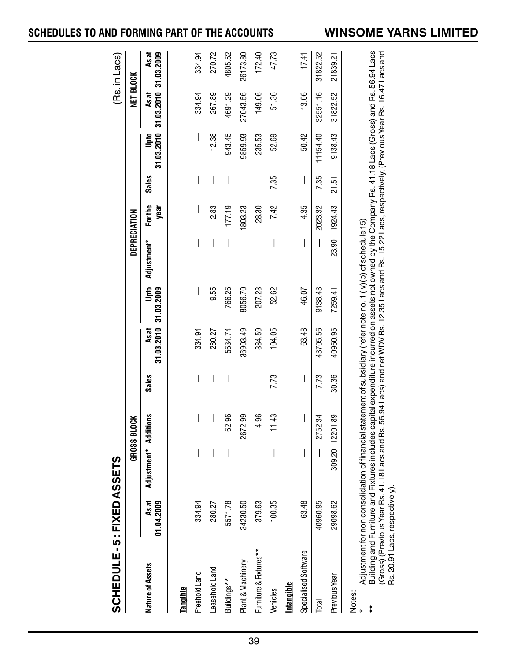| <b>SCHEDULE-5: FIXEDA</b> |                            | SSETS                                                                                                                                                                                                                                          |                 |       |                     |                    |                                |                |                          |                    |                               | (Rs. in Lacs) |
|---------------------------|----------------------------|------------------------------------------------------------------------------------------------------------------------------------------------------------------------------------------------------------------------------------------------|-----------------|-------|---------------------|--------------------|--------------------------------|----------------|--------------------------|--------------------|-------------------------------|---------------|
|                           |                            |                                                                                                                                                                                                                                                | GROSS BLOCK     |       |                     |                    |                                | DEPRECIATION   |                          |                    | <b>NET BLOCK</b>              |               |
| Nature of Assets          | As at<br>01.04.2009        | Adjustment* Additions                                                                                                                                                                                                                          |                 | Sales | 31.03.2010<br>As at | Upto<br>31.03.2009 | Adjustment*                    | Forthe<br>year | Sales                    | 31.03.2010<br>Upto | 31.03.2010 31.03.2009<br>Asat | As at         |
| <b>Tangible</b>           |                            |                                                                                                                                                                                                                                                |                 |       |                     |                    |                                |                |                          |                    |                               |               |
| Freehold Land             | 334.94                     | I                                                                                                                                                                                                                                              | I               | I     | 334.94              | I                  | I                              |                | I                        | I                  | 334.94                        | 334.94        |
| Leasehold Land            | 280.27                     | I                                                                                                                                                                                                                                              | I               | I     | 280.27              | 9.55               | I                              | 2.83           | I                        | 12.38              | 267.89                        | 270.72        |
| Buildings**               | 5571.78                    | I                                                                                                                                                                                                                                              | 62.96           | I     | 5634.74             | 766.26             | $\begin{array}{c} \end{array}$ | 177.19         | I                        | 943.45             | 4691.29                       | 4805.52       |
| Plant & Machinery         | 34230.50                   | I                                                                                                                                                                                                                                              | 2672.99         | I     | 36903.49            | 8056.70            | $\overline{\phantom{a}}$       | 1803.23        | I                        | 9859.93            | 27043.56                      | 26173.80      |
| Furniture & Fixtures**    | 379.63                     | $\overline{\phantom{a}}$                                                                                                                                                                                                                       | 4.96            | I     | 384.59              | 207.23             | $\overline{\phantom{a}}$       | 28.30          | $\overline{\phantom{a}}$ | 235.53             | 149.06                        | 172.40        |
| Vehicles                  | 100.35                     | $\begin{array}{c} \end{array}$                                                                                                                                                                                                                 | 11.43           | 7.73  | 104.05              | 52.62              | I                              | 7.42           | 7.35                     | 52.69              | 51.36                         | 47.73         |
| Intangible                |                            |                                                                                                                                                                                                                                                |                 |       |                     |                    |                                |                |                          |                    |                               |               |
| Specialised Software      | 63.48                      |                                                                                                                                                                                                                                                | I               | I     | 63.48               | 46.07              | I                              | 4.35           | I                        | 50.42              | 13.06                         | 17.41         |
| Total                     | 40960.95                   | I                                                                                                                                                                                                                                              | 2752.34         | 7.73  | 43705.56            | 9138.43            | $\overline{\phantom{a}}$       | 2023.32        | 7.35                     | 11154.40           | 32551.16                      | 31822.52      |
| Previous Year             | 29098.62                   |                                                                                                                                                                                                                                                | 309.20 12201.89 | 30.36 | 40960.95            | 7259.41            | 23.90                          | 1924.43        | 21.51                    | 9138.43            | 31822.52                      | 21839.21      |
| Notes:                    | Building and Furniture and | Fixtures includes capital expenditure incurred on assets not owned by the Company Rs. 41.18 Lacs (Gross) and Rs. 56.94 Lacs<br>Adjustment for non consolidation of financial statement of subsidiary (refer note no. 1 (iv)(b) of schedule 15) |                 |       |                     |                    |                                |                |                          |                    |                               |               |

z

(Gross) (Previous Year Rs. 41.18 Lacs and Rs. 56.94 Lacs) and net W e V Rs. 12.35 Lacs and Rs. 15.22 Lacs, respectively, (Previous Year Rs. 16.47 Lacs and Rs. 20.91 Lacs,respectively).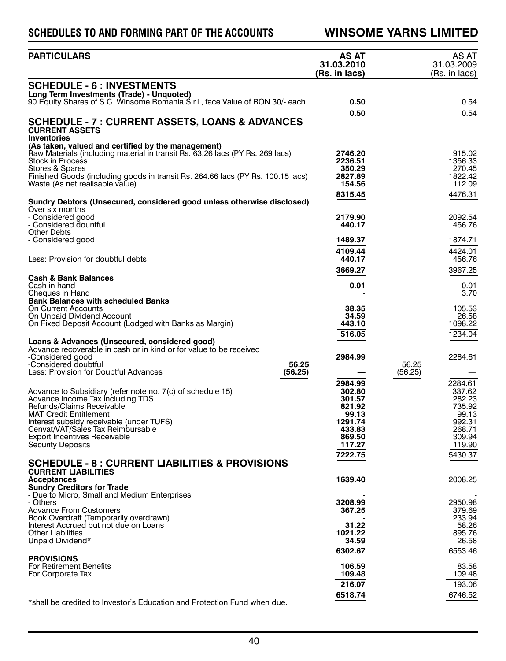**WINSOME YARNS LIMITED**

| <b>PARTICULARS</b>                                                                                                  | <b>AS AT</b>       | AS AT             |
|---------------------------------------------------------------------------------------------------------------------|--------------------|-------------------|
|                                                                                                                     | 31.03.2010         | 31.03.2009        |
|                                                                                                                     | (Rs. in lacs)      | (Rs. in lacs)     |
| <b>SCHEDULE - 6 : INVESTMENTS</b><br>Long Term Investments (Trade) - Unquoted)                                      |                    |                   |
| 90 Equity Shares of S.C. Winsome Romania S.r.l., face Value of RON 30/- each                                        | 0.50               | 0.54              |
|                                                                                                                     | 0.50               | 0.54              |
| <b>SCHEDULE - 7 : CURRENT ASSETS, LOANS &amp; ADVANCES</b>                                                          |                    |                   |
| <b>CURRENT ASSETS</b><br><b>Inventories</b>                                                                         |                    |                   |
| (As taken, valued and certified by the management)                                                                  |                    |                   |
| Raw Materials (including material in transit Rs. 63.26 lacs (PY Rs. 269 lacs)<br>Stock in Process                   | 2746.20<br>2236.51 | 915.02<br>1356.33 |
| Stores & Spares                                                                                                     | 350.29             | 270.45            |
| Finished Goods (including goods in transit Rs. 264.66 lacs (PY Rs. 100.15 lacs)<br>Waste (As net realisable value)  | 2827.89<br>154.56  | 1822.42<br>112.09 |
|                                                                                                                     | 8315.45            | 4476.31           |
| Sundry Debtors (Unsecured, considered good unless otherwise disclosed)                                              |                    |                   |
| Over six months<br>- Considered good                                                                                | 2179.90            | 2092.54           |
| - Considered dountful                                                                                               | 440.17             | 456.76            |
| Other Debts                                                                                                         | 1489.37            | 1874.71           |
| - Considered good                                                                                                   | 4109.44            | 4424.01           |
| Less: Provision for doubtful debts                                                                                  | 440.17             | 456.76            |
|                                                                                                                     | 3669.27            | 3967.25           |
| <b>Cash &amp; Bank Balances</b>                                                                                     |                    |                   |
| Cash in hand<br>Cheques in Hand                                                                                     | 0.01               | 0.01<br>3.70      |
| <b>Bank Balances with scheduled Banks</b>                                                                           |                    |                   |
| On Current Accounts<br>On Unpaid Dividend Account                                                                   | 38.35<br>34.59     | 105.53<br>26.58   |
| On Fixed Deposit Account (Lodged with Banks as Margin)                                                              | 443.10             | 1098.22           |
|                                                                                                                     | 516.05             | 1234.04           |
| Loans & Advances (Unsecured, considered good)<br>Advance recoverable in cash or in kind or for value to be received |                    |                   |
| -Considered good                                                                                                    | 2984.99            | 2284.61           |
| -Considered doubtful<br>56.25<br>Less: Provision for Doubtful Advances<br>(56.25)                                   |                    | 56.25<br>(56.25)  |
|                                                                                                                     | 2984.99            | 2284.61           |
| Advance to Subsidiary (refer note no. 7(c) of schedule 15)                                                          | 302.80             | 337.62            |
| Advance Income Tax including TDS<br>Refunds/Claims Receivable                                                       | 301.57<br>821.92   | 282.23<br>735.92  |
| <b>MAT Credit Entitlement</b>                                                                                       | 99.13              | 99.13             |
| Interest subsidy receivable (under TUFS)<br>Cenvat/VAT/Sales Tax Reimbursable                                       | 1291.74<br>433.83  | 992.31<br>268.71  |
| <b>Export Incentives Receivable</b>                                                                                 | 869.50             | 309.94            |
| <b>Security Deposits</b>                                                                                            | 117.27             | 119.90            |
| <b>SCHEDULE - 8 : CURRENT LIABILITIES &amp; PROVISIONS</b>                                                          | 7222.75            | 5430.37           |
| <b>CURRENT LIABILITIES</b>                                                                                          |                    |                   |
| <b>Acceptances</b>                                                                                                  | 1639.40            | 2008.25           |
| <b>Sundry Creditors for Trade</b><br>- Due to Micro, Small and Medium Enterprises                                   |                    |                   |
| - Others                                                                                                            | 3208.99            | 2950.98           |
| <b>Advance From Customers</b><br>Book Overdraft (Temporarily overdrawn)                                             | 367.25             | 379.69<br>233.94  |
| Interest Accrued but not due on Loans                                                                               | 31.22              | 58.26             |
| <b>Other Liabilities</b><br>Unpaid Dividend*                                                                        | 1021.22<br>34.59   | 895.76<br>26.58   |
|                                                                                                                     | 6302.67            | 6553.46           |
| <b>PROVISIONS</b>                                                                                                   |                    |                   |
| For Retirement Benefits<br>For Corporate Tax                                                                        | 106.59<br>109.48   | 83.58<br>109.48   |
|                                                                                                                     | 216.07             | 193.06            |
|                                                                                                                     | 6518.74            | 6746.52           |

\*shall be credited to Investor's Education and Protection Fund when due.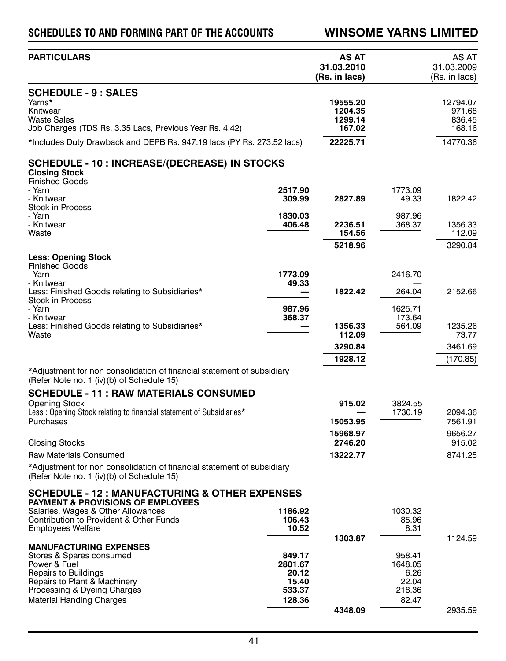**WINSOME YARNS LIMITED**

| <b>PARTICULARS</b>                                                                                                                                                                                                     |                                                         | <b>AS AT</b><br>31.03.2010<br>(Rs. in lacs) |                                                       | AS AT<br>31.03.2009<br>(Rs. in lacs)   |
|------------------------------------------------------------------------------------------------------------------------------------------------------------------------------------------------------------------------|---------------------------------------------------------|---------------------------------------------|-------------------------------------------------------|----------------------------------------|
| <b>SCHEDULE - 9 : SALES</b><br>Yarns*<br>Knitwear<br><b>Waste Sales</b><br>Job Charges (TDS Rs. 3.35 Lacs, Previous Year Rs. 4.42)                                                                                     |                                                         | 19555.20<br>1204.35<br>1299.14<br>167.02    |                                                       | 12794.07<br>971.68<br>836.45<br>168.16 |
| *Includes Duty Drawback and DEPB Rs. 947.19 lacs (PY Rs. 273.52 lacs)                                                                                                                                                  |                                                         | 22225.71                                    |                                                       | 14770.36                               |
| SCHEDULE - 10 : INCREASE/(DECREASE) IN STOCKS<br><b>Closing Stock</b><br><b>Finished Goods</b><br>- Yarn<br>- Knitwear<br><b>Stock in Process</b>                                                                      | 2517.90<br>309.99                                       | 2827.89                                     | 1773.09<br>49.33                                      | 1822.42                                |
| - Yarn<br>- Knitwear<br>Waste                                                                                                                                                                                          | 1830.03<br>406.48                                       | 2236.51<br>154.56                           | 987.96<br>368.37                                      | 1356.33<br>112.09                      |
| <b>Less: Opening Stock</b><br><b>Finished Goods</b><br>- Yarn<br>- Knitwear                                                                                                                                            | 1773.09<br>49.33                                        | 5218.96                                     | 2416.70                                               | 3290.84                                |
| Less: Finished Goods relating to Subsidiaries*<br>Stock in Process<br>- Yarn                                                                                                                                           | 987.96                                                  | 1822.42                                     | 264.04<br>1625.71                                     | 2152.66                                |
| - Knitwear<br>Less: Finished Goods relating to Subsidiaries*<br>Waste                                                                                                                                                  | 368.37                                                  | 1356.33<br>112.09                           | 173.64<br>564.09                                      | 1235.26<br>73.77                       |
|                                                                                                                                                                                                                        |                                                         | 3290.84                                     |                                                       | 3461.69                                |
| *Adjustment for non consolidation of financial statement of subsidiary<br>(Refer Note no. 1 (iv)(b) of Schedule 15)                                                                                                    |                                                         | 1928.12                                     |                                                       | (170.85)                               |
| <b>SCHEDULE - 11 : RAW MATERIALS CONSUMED</b><br><b>Opening Stock</b><br>Less: Opening Stock relating to financial statement of Subsidiaries*<br>Purchases                                                             |                                                         | 915.02<br>15053.95<br>15968.97              | 3824.55<br>1730.19                                    | 2094.36<br>7561.91<br>9656.27          |
| <b>Closing Stocks</b>                                                                                                                                                                                                  |                                                         | 2746.20                                     |                                                       | 915.02                                 |
| <b>Raw Materials Consumed</b>                                                                                                                                                                                          |                                                         | 13222.77                                    |                                                       | 8741.25                                |
| *Adjustment for non consolidation of financial statement of subsidiary<br>(Refer Note no. 1 (iv)(b) of Schedule 15)                                                                                                    |                                                         |                                             |                                                       |                                        |
| <b>SCHEDULE - 12 : MANUFACTURING &amp; OTHER EXPENSES</b><br><b>PAYMENT &amp; PROVISIONS OF EMPLOYEES</b><br>Salaries, Wages & Other Allowances<br>Contribution to Provident & Other Funds<br><b>Employees Welfare</b> | 1186.92<br>106.43<br>10.52                              |                                             | 1030.32<br>85.96<br>8.31                              |                                        |
| <b>MANUFACTURING EXPENSES</b><br>Stores & Spares consumed<br>Power & Fuel<br><b>Repairs to Buildings</b><br>Repairs to Plant & Machinery<br>Processing & Dyeing Charges<br><b>Material Handing Charges</b>             | 849.17<br>2801.67<br>20.12<br>15.40<br>533.37<br>128.36 | 1303.87                                     | 958.41<br>1648.05<br>6.26<br>22.04<br>218.36<br>82.47 | 1124.59                                |
|                                                                                                                                                                                                                        |                                                         | 4348.09                                     |                                                       | 2935.59                                |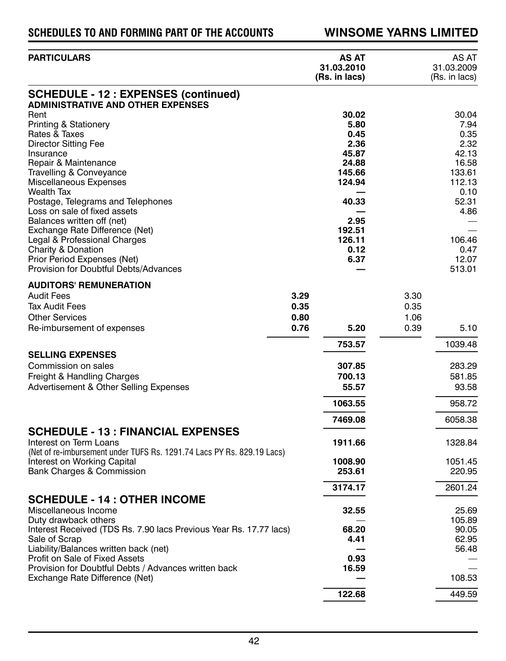**WINSOME YARNS LIMITED**

| <b>PARTICULARS</b>                                                                                    |      | AS AT<br>31.03.2010 |      | AS AT<br>31.03.2009 |
|-------------------------------------------------------------------------------------------------------|------|---------------------|------|---------------------|
|                                                                                                       |      | (Rs. in lacs)       |      | (Rs. in lacs)       |
| <b>SCHEDULE - 12 : EXPENSES (continued)</b><br><b>ADMINISTRATIVE AND OTHER EXPENSES</b>               |      |                     |      |                     |
| Rent                                                                                                  |      | 30.02               |      | 30.04               |
| <b>Printing &amp; Stationery</b>                                                                      |      | 5.80                |      | 7.94                |
| Rates & Taxes                                                                                         |      | 0.45                |      | 0.35                |
| <b>Director Sitting Fee</b>                                                                           |      | 2.36                |      | 2.32<br>42.13       |
| Insurance<br>Repair & Maintenance                                                                     |      | 45.87<br>24.88      |      | 16.58               |
| Travelling & Conveyance                                                                               |      | 145.66              |      | 133.61              |
| Miscellaneous Expenses                                                                                |      | 124.94              |      | 112.13              |
| Wealth Tax                                                                                            |      |                     |      | 0.10                |
| Postage, Telegrams and Telephones                                                                     |      | 40.33               |      | 52.31               |
| Loss on sale of fixed assets<br>Balances written off (net)                                            |      | 2.95                |      | 4.86                |
| Exchange Rate Difference (Net)                                                                        |      | 192.51              |      |                     |
| Legal & Professional Charges                                                                          |      | 126.11              |      | 106.46              |
| Charity & Donation                                                                                    |      | 0.12                |      | 0.47                |
| Prior Period Expenses (Net)                                                                           |      | 6.37                |      | 12.07               |
| Provision for Doubtful Debts/Advances                                                                 |      |                     |      | 513.01              |
| <b>AUDITORS' REMUNERATION</b>                                                                         |      |                     |      |                     |
| <b>Audit Fees</b>                                                                                     | 3.29 |                     | 3.30 |                     |
| <b>Tax Audit Fees</b>                                                                                 | 0.35 |                     | 0.35 |                     |
| <b>Other Services</b>                                                                                 | 0.80 |                     | 1.06 |                     |
| Re-imbursement of expenses                                                                            | 0.76 | 5.20                | 0.39 | 5.10                |
|                                                                                                       |      | 753.57              |      | 1039.48             |
| <b>SELLING EXPENSES</b>                                                                               |      |                     |      |                     |
| Commission on sales                                                                                   |      | 307.85              |      | 283.29              |
| Freight & Handling Charges                                                                            |      | 700.13              |      | 581.85              |
| Advertisement & Other Selling Expenses                                                                |      | 55.57               |      | 93.58               |
|                                                                                                       |      | 1063.55             |      | 958.72              |
|                                                                                                       |      | 7469.08             |      | 6058.38             |
| <b>SCHEDULE - 13 : FINANCIAL EXPENSES</b>                                                             |      |                     |      |                     |
| Interest on Term Loans                                                                                |      | 1911.66             |      | 1328.84             |
| (Net of re-imbursement under TUFS Rs. 1291.74 Lacs PY Rs. 829.19 Lacs)<br>Interest on Working Capital |      | 1008.90             |      | 1051.45             |
| Bank Charges & Commission                                                                             |      | 253.61              |      | 220.95              |
|                                                                                                       |      |                     |      |                     |
|                                                                                                       |      | 3174.17             |      | 2601.24             |
| <b>SCHEDULE - 14 : OTHER INCOME</b>                                                                   |      |                     |      |                     |
| Miscellaneous Income<br>Duty drawback others                                                          |      | 32.55               |      | 25.69<br>105.89     |
| Interest Received (TDS Rs. 7.90 lacs Previous Year Rs. 17.77 lacs)                                    |      | 68.20               |      | 90.05               |
| Sale of Scrap                                                                                         |      | 4.41                |      | 62.95               |
| Liability/Balances written back (net)                                                                 |      |                     |      | 56.48               |
| Profit on Sale of Fixed Assets                                                                        |      | 0.93                |      |                     |
| Provision for Doubtful Debts / Advances written back<br>Exchange Rate Difference (Net)                |      | 16.59               |      | 108.53              |
|                                                                                                       |      |                     |      |                     |
|                                                                                                       |      | 122.68              |      | 449.59              |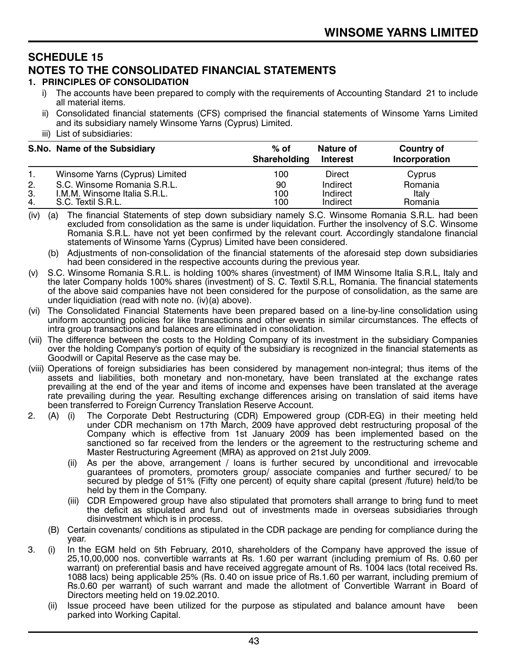## **SCHEDULE 15 NOTES TO THE CONSOLIDATED FINANCIAL STATEMENTS**

## **1. PRINCIPLES OF CONSOLIDATION**

- i) The accounts have been prepared to comply with the requirements of Accounting Standard 21 to include all material items.
- ii) Consolidated financial statements (CFS) comprised the financial statements of Winsome Yarns Limited and its subsidiary namely Winsome Yarns (Cyprus) Limited.
- iii) List of subsidiaries:

|                          | S.No. Name of the Subsidiary                                                      | $%$ of<br><b>Shareholding</b> | Nature of<br><b>Interest</b>     | <b>Country of</b><br>Incorporation |
|--------------------------|-----------------------------------------------------------------------------------|-------------------------------|----------------------------------|------------------------------------|
|                          | Winsome Yarns (Cyprus) Limited                                                    | 100                           | Direct                           | Cyprus                             |
| 2.<br>3.<br>$\mathbf{4}$ | S.C. Winsome Romania S.R.L.<br>I.M.M. Winsome Italia S.R.L.<br>S.C. Textil S.R.L. | 90<br>100<br>100              | Indirect<br>Indirect<br>Indirect | Romania<br>Italy<br>Romania        |

- (iv) (a) The financial Statements of step down subsidiary namely S.C. Winsome Romania S.R.L. had been excluded from consolidation as the same is under liquidation. Further the insolvency of S.C. Winsome Romania S.R.L. have not yet been confirmed by the relevant court. Accordingly standalone financial statements of Winsome Yarns (Cyprus) Limited have been considered.
	- (b) Adjustments of non-consolidation of the financial statements of the aforesaid step down subsidiaries had been considered in the respective accounts during the previous year.
- (v) S.C. Winsome Romania S.R.L. is holding 100% shares (investment) of IMM Winsome Italia S.R.L, Italy and the later Company holds 100% shares (investment) of S. C. Textil S.R.L, Romania. The financial statements of the above said companies have not been considered for the purpose of consolidation, as the same are under liquidiation (read with note no. (iv)(a) above).
- (vi) The Consolidated Financial Statements have been prepared based on a line-by-line consolidation using uniform accounting policies for like transactions and other events in similar circumstances. The effects of intra group transactions and balances are eliminated in consolidation.
- (vii) The difference between the costs to the Holding Company of its investment in the subsidiary Companies over the holding Company's portion of equity of the subsidiary is recognized in the financial statements as Goodwill or Capital Reserve as the case may be.
- (viii) Operations of foreign subsidiaries has been considered by management non-integral; thus items of the assets and liabilities, both monetary and non-monetary, have been translated at the exchange rates prevailing at the end of the year and items of income and expenses have been translated at the average rate prevailing during the year. Resulting exchange differences arising on translation of said items have been transferred to Foreign Currency Translation Reserve Account.
- 2. (A) (i) The Corporate Debt Restructuring (CDR) Empowered group (CDR-EG) in their meeting held under CDR mechanism on 17th March, 2009 have approved debt restructuring proposal of the Company which is effective from 1st January 2009 has been implemented based on the sanctioned so far received from the lenders or the agreement to the restructuring scheme and Master Restructuring Agreement (MRA) as approved on 21st July 2009.
	- (ii) As per the above, arrangement / loans is further secured by unconditional and irrevocable guarantees of promoters, promoters group/ associate companies and further secured/ to be secured by pledge of 51% (Fifty one percent) of equity share capital (present /future) held/to be held by them in the Company.
	- (iii) CDR Empowered group have also stipulated that promoters shall arrange to bring fund to meet the deficit as stipulated and fund out of investments made in overseas subsidiaries through disinvestment which is in process.
	- (B) Certain covenants/ conditions as stipulated in the CDR package are pending for compliance during the year.
- 3. (i) In the EGM held on 5th February, 2010, shareholders of the Company have approved the issue of 25,10,00,000 nos. convertible warrants at Rs. 1.60 per warrant (including premium of Rs. 0.60 per warrant) on preferential basis and have received aggregate amount of Rs. 1004 lacs (total received Rs. 1088 lacs) being applicable 25% (Rs. 0.40 on issue price of Rs.1.60 per warrant, including premium of Rs.0.60 per warrant) of such warrant and made the allotment of Convertible Warrant in Board of Directors meeting held on 19.02.2010.
	- (ii) Issue proceed have been utilized for the purpose as stipulated and balance amount have been parked into Working Capital.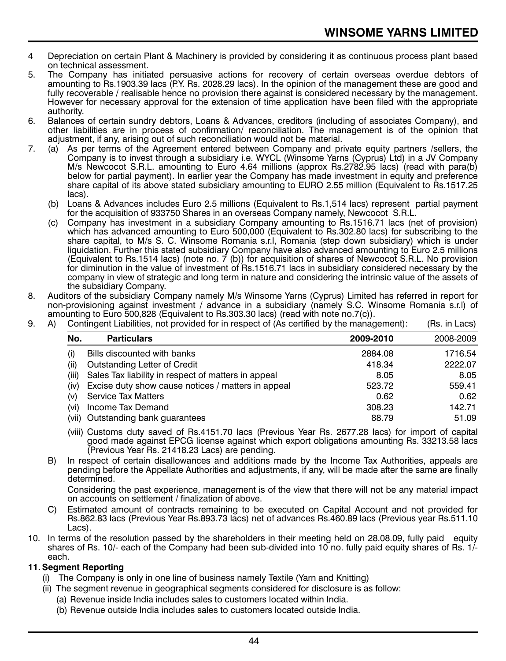- 4 Depreciation on certain Plant & Machinery is provided by considering it as continuous process plant based on technical assessment.
- 5. The Company has initiated persuasive actions for recovery of certain overseas overdue debtors of amounting to Rs.1903.39 lacs (P.Y. Rs. 2028.29 lacs). In the opinion of the management these are good and fully recoverable / realisable hence no provision there against is considered necessary by the management. However for necessary approval for the extension of time application have been filed with the appropriate authority.
- 6. Balances of certain sundry debtors, Loans & Advances, creditors (including of associates Company), and other liabilities are in process of confirmation/ reconciliation. The management is of the opinion that adjustment, if any, arising out of such reconciliation would not be material.
- 7. (a) As per terms of the Agreement entered between Company and private equity partners /sellers, the Company is to invest through a subsidiary i.e. WYCL (Winsome Yarns (Cyprus) Ltd) in a JV Company M/s Newcocot S.R.L. amounting to Euro 4.64 millions (approx Rs.2782.95 lacs) (read with para(b) below for partial payment). In earlier year the Company has made investment in equity and preference share capital of its above stated subsidiary amounting to EURO 2.55 million (Equivalent to Rs.1517.25 lacs).
	- (b) Loans & Advances includes Euro 2.5 millions (Equivalent to Rs.1,514 lacs) represent partial payment for the acquisition of 933750 Shares in an overseas Company namely, Newcocot S.R.L.
	- (c) Company has investment in a subsidiary Company amounting to Rs.1516.71 lacs (net of provision) which has advanced amounting to Euro 500,000 (Equivalent to Rs.302.80 lacs) for subscribing to the share capital, to M/s S. C. Winsome Romania s.r.l, Romania (step down subsidiary) which is under liquidation. Further this stated subsidiary Company have also advanced amounting to Euro 2.5 millions (Equivalent to Rs.1514 lacs) (note no. 7 (b)) for acquisition of shares of Newcocot S.R.L. No provision for diminution in the value of investment of Rs.1516.71 lacs in subsidiary considered necessary by the company in view of strategic and long term in nature and considering the intrinsic value of the assets of the subsidiary Company.
- 8. Auditors of the subsidiary Company namely M/s Winsome Yarns (Cyprus) Limited has referred in report for non-provisioning against investment / advance in a subsidiary (namely S.C. Winsome Romania s.r.l) of amounting to Euro 500,828 (Equivalent to Rs.303.30 lacs) (read with note no.7(c)).

| No.   | <b>Particulars</b>                                  | 2009-2010 | 2008-2009 |
|-------|-----------------------------------------------------|-----------|-----------|
| (i)   | Bills discounted with banks                         | 2884.08   | 1716.54   |
| (ii)  | Outstanding Letter of Credit                        | 418.34    | 2222.07   |
| (iii) | Sales Tax liability in respect of matters in appeal | 8.05      | 8.05      |
| (iv)  | Excise duty show cause notices / matters in appeal  | 523.72    | 559.41    |
| (v)   | Service Tax Matters                                 | 0.62      | 0.62      |
| (vi)  | Income Tax Demand                                   | 308.23    | 142.71    |
|       | (vii) Outstanding bank guarantees                   | 88.79     | 51.09     |
|       |                                                     |           |           |

9. A) Contingent Liabilities, not provided for in respect of (As certified by the management): (Rs. in Lacs)

- (viii) Customs duty saved of Rs.4151.70 lacs (Previous Year Rs. 2677.28 lacs) for import of capital good made against EPCG license against which export obligations amounting Rs. 33213.58 lacs (Previous Year Rs. 21418.23 Lacs) are pending.
- B) In respect of certain disallowances and additions made by the Income Tax Authorities, appeals are pending before the Appellate Authorities and adjustments, if any, will be made after the same are finally determined.

Considering the past experience, management is of the view that there will not be any material impact on accounts on settlement / finalization of above.

- C) Estimated amount of contracts remaining to be executed on Capital Account and not provided for Rs.862.83 lacs (Previous Year Rs.893.73 lacs) net of advances Rs.460.89 lacs (Previous year Rs.511.10 Lacs).
- 10. In terms of the resolution passed by the shareholders in their meeting held on 28.08.09, fully paid equity shares of Rs. 10/- each of the Company had been sub-divided into 10 no. fully paid equity shares of Rs. 1/ each.

## **11.Segment Reporting**

- (i) The Company is only in one line of business namely Textile (Yarn and Knitting)
- (ii) The segment revenue in geographical segments considered for disclosure is as follow:
	- (a) Revenue inside India includes sales to customers located within India.
	- (b) Revenue outside India includes sales to customers located outside India.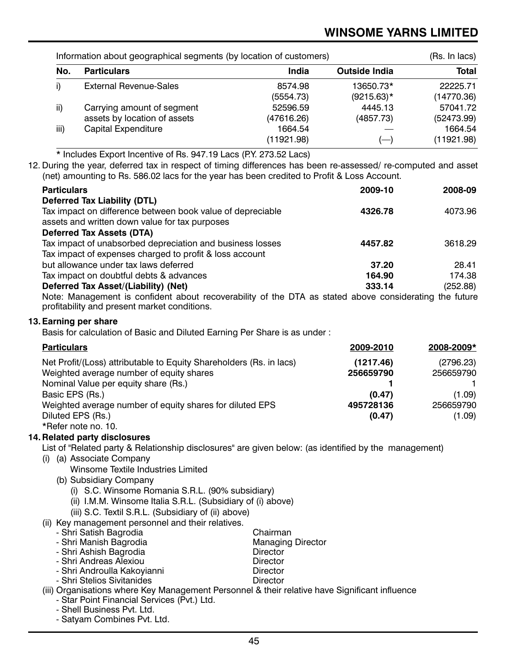## **WINSOME YARNS LIMITED**

|      | Information about geographical segments (by location of customers) |                        |                            | (Rs. In lacs)          |
|------|--------------------------------------------------------------------|------------------------|----------------------------|------------------------|
| No.  | <b>Particulars</b>                                                 | India                  | <b>Outside India</b>       | Total                  |
| i)   | <b>External Revenue-Sales</b>                                      | 8574.98<br>(5554.73)   | 13650.73*<br>$(9215.63)^*$ | 22225.71<br>(14770.36) |
| ii)  | Carrying amount of segment<br>assets by location of assets         | 52596.59<br>(47616.26) | 4445.13<br>(4857.73)       | 57041.72<br>(52473.99) |
| iii) | Capital Expenditure                                                | 1664.54<br>(11921.98)  |                            | 1664.54<br>(11921.98)  |

\* Includes Export Incentive of Rs. 947.19 Lacs (P.Y. 273.52 Lacs)

12. During the year, deferred tax in respect of timing differences has been re-assessed/ re-computed and asset (net) amounting to Rs. 586.02 lacs for the year has been credited to Profit & Loss Account.

| <b>Particulars</b>                                         | 2009-10 | 2008-09  |
|------------------------------------------------------------|---------|----------|
| Deferred Tax Liability (DTL)                               |         |          |
| Tax impact on difference between book value of depreciable | 4326.78 | 4073.96  |
| assets and written down value for tax purposes             |         |          |
| Deferred Tax Assets (DTA)                                  |         |          |
| Tax impact of unabsorbed depreciation and business losses  | 4457.82 | 3618.29  |
| Tax impact of expenses charged to profit & loss account    |         |          |
| but allowance under tax laws deferred                      | 37.20   | 28.41    |
| Tax impact on doubtful debts & advances                    | 164.90  | 174.38   |
| Deferred Tax Asset/(Liability) (Net)                       | 333.14  | (252.88) |
|                                                            |         |          |

Note: Management is confident about recoverability of the DTA as stated above considerating the future profitability and present market conditions.

## **13.Earning per share**

Basis for calculation of Basic and Diluted Earning Per Share is as under :

| <b>Particulars</b>                                                  | 2009-2010 | 2008-2009* |
|---------------------------------------------------------------------|-----------|------------|
| Net Profit/(Loss) attributable to Equity Shareholders (Rs. in lacs) | (1217.46) | (2796.23)  |
| Weighted average number of equity shares                            | 256659790 | 256659790  |
| Nominal Value per equity share (Rs.)                                |           |            |
| Basic EPS (Rs.)                                                     | (0.47)    | (1.09)     |
| Weighted average number of equity shares for diluted EPS            | 495728136 | 256659790  |
| Diluted EPS (Rs.)                                                   | (0.47)    | (1.09)     |
|                                                                     |           |            |

\*Refer note no. 10.

## **14. Related party disclosures**

List of "Related party & Relationship disclosures" are given below: (as identified by the management)

(i) (a) Associate Company

Winsome Textile Industries Limited

- (b) Subsidiary Company
	- (i) S.C. Winsome Romania S.R.L. (90% subsidiary)
	- (ii) I.M.M. Winsome Italia S.R.L. (Subsidiary of (i) above)
	- (iii) S.C. Textil S.R.L. (Subsidiary of (ii) above)
- (ii) Key management personnel and their relatives.
	- Shri Satish Bagrodia Chairman
	- Shri Manish Bagrodia Managir<br>- Shri Ashish Bagrodia Managir Director
	- Shri Ashish Bagrodia Director
	- Shri Andreas Alexiou Director
	- Shri Androulla Kakoyianni Director
	- Shri Stelios Sivitanides
- (iii) Organisations where Key Management Personnel & their relative have Significant influence
	- Star Point Financial Services (Pvt.) Ltd.
	- Shell Business Pvt. Ltd.
	- Satyam Combines Pvt. Ltd.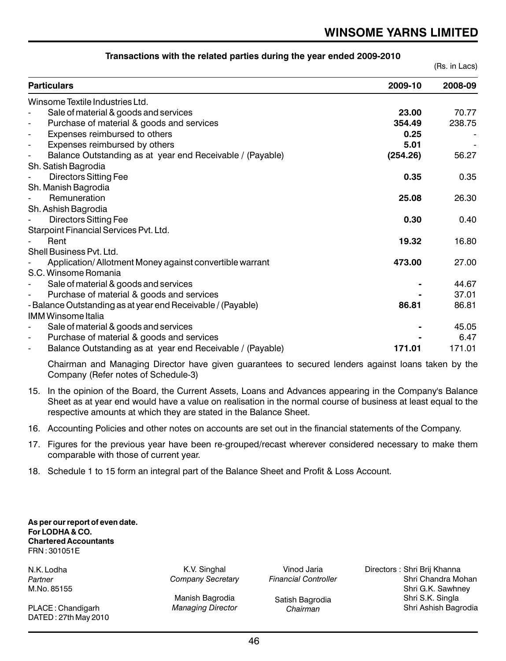## **WINSOME YARNS LIMITED**

(Rs. in Lacs)

| Transactions with the related parties during the year ended 2009-2010 |  |  |
|-----------------------------------------------------------------------|--|--|
|-----------------------------------------------------------------------|--|--|

| <b>Particulars</b>                                                    | 2009-10  | 2008-09 |
|-----------------------------------------------------------------------|----------|---------|
| Winsome Textile Industries Ltd.                                       |          |         |
| Sale of material & goods and services                                 | 23.00    | 70.77   |
| Purchase of material & goods and services<br>$\overline{\phantom{a}}$ | 354.49   | 238.75  |
| Expenses reimbursed to others                                         | 0.25     |         |
| Expenses reimbursed by others                                         | 5.01     |         |
| Balance Outstanding as at year end Receivable / (Payable)             | (254.26) | 56.27   |
| Sh. Satish Bagrodia                                                   |          |         |
| Directors Sitting Fee                                                 | 0.35     | 0.35    |
| Sh. Manish Bagrodia                                                   |          |         |
| Remuneration                                                          | 25.08    | 26.30   |
| Sh. Ashish Bagrodia                                                   |          |         |
| Directors Sitting Fee                                                 | 0.30     | 0.40    |
| Starpoint Financial Services Pvt. Ltd.                                |          |         |
| Rent                                                                  | 19.32    | 16.80   |
| Shell Business Pvt. Ltd.                                              |          |         |
| Application/Allotment Money against convertible warrant               | 473.00   | 27.00   |
| S.C. Winsome Romania                                                  |          |         |
| Sale of material & goods and services                                 |          | 44.67   |
| Purchase of material & goods and services                             |          | 37.01   |
| - Balance Outstanding as at year end Receivable / (Payable)           | 86.81    | 86.81   |
| <b>IMM Winsome Italia</b>                                             |          |         |
| Sale of material & goods and services                                 |          | 45.05   |
| Purchase of material & goods and services                             |          | 6.47    |
| Balance Outstanding as at year end Receivable / (Payable)             | 171.01   | 171.01  |

Chairman and Managing Director have given guarantees to secured lenders against loans taken by the Company (Refer notes of Schedule-3)

15. In the opinion of the Board, the Current Assets, Loans and Advances appearing in the Company's Balance Sheet as at year end would have a value on realisation in the normal course of business at least equal to the respective amounts at which they are stated in the Balance Sheet.

16. Accounting Policies and other notes on accounts are set out in the financial statements of the Company.

- 17. Figures for the previous year have been re-grouped/recast wherever considered necessary to make them comparable with those of current year.
- 18. Schedule 1 to 15 form an integral part of the Balance Sheet and Profit & Loss Account.

**As per our report of even date. For LODHA & CO. Chartered Accountants** FRN : 301051E

N.K. Lodha *Partner* M.No. 85155

PLACE : Chandigarh DATED : 27th May 2010

K.V. Singhal *Company Secretary*

Manish Bagrodia *Managing Director*

Vinod Jaria *Financial Controller*

> Satish Bagrodia *Chairman*

Directors : Shri Brij Khanna Shri Chandra Mohan Shri G.K. Sawhney Shri S.K. Singla Shri Ashish Bagrodia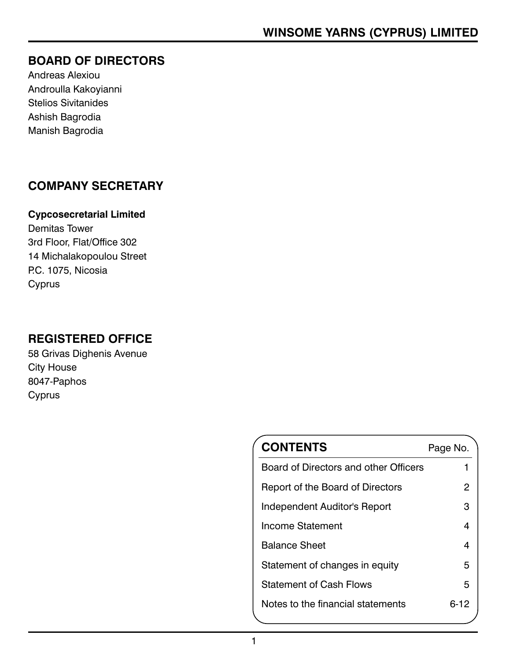# **BOARD OF DIRECTORS**

Andreas Alexiou Androulla Kakoyianni Stelios Sivitanides Ashish Bagrodia Manish Bagrodia

## **COMPANY SECRETARY**

## **Cypcosecretarial Limited**

Demitas Tower 3rd Floor, Flat/Office 302 14 Michalakopoulou Street P.C. 1075, Nicosia Cyprus

## **REGISTERED OFFICE**

58 Grivas Dighenis Avenue City House 8047-Paphos Cyprus

| <b>CONTENTS</b>                       | Page No. |
|---------------------------------------|----------|
| Board of Directors and other Officers | 1        |
| Report of the Board of Directors      | 2        |
| Independent Auditor's Report          | 3        |
| Income Statement                      | 4        |
| <b>Balance Sheet</b>                  | 4        |
| Statement of changes in equity        | 5        |
| <b>Statement of Cash Flows</b>        | 5        |
| Notes to the financial statements     | 6-12     |
|                                       |          |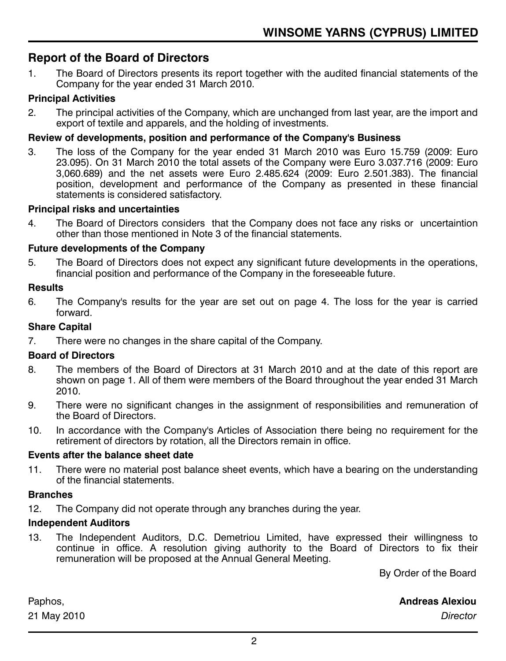## **Report of the Board of Directors**

1. The Board of Directors presents its report together with the audited financial statements of the Company for the year ended 31 March 2010.

## **Principal Activities**

2. The principal activities of the Company, which are unchanged from last year, are the import and export of textile and apparels, and the holding of investments.

## **Review of developments, position and performance of the Company's Business**

3. The loss of the Company for the year ended 31 March 2010 was Euro 15.759 (2009: Euro 23.095). On 31 March 2010 the total assets of the Company were Euro 3.037.716 (2009: Euro 3,060.689) and the net assets were Euro 2.485.624 (2009: Euro 2.501.383). The financial position, development and performance of the Company as presented in these financial statements is considered satisfactory.

## **Principal risks and uncertainties**

4. The Board of Directors considers that the Company does not face any risks or uncertaintion other than those mentioned in Note 3 of the financial statements.

## **Future developments of the Company**

5. The Board of Directors does not expect any significant future developments in the operations, financial position and performance of the Company in the foreseeable future.

## **Results**

6. The Company's results for the year are set out on page 4. The loss for the year is carried forward.

## **Share Capital**

7. There were no changes in the share capital of the Company.

## **Board of Directors**

- 8. The members of the Board of Directors at 31 March 2010 and at the date of this report are shown on page 1. All of them were members of the Board throughout the year ended 31 March 2010.
- 9. There were no significant changes in the assignment of responsibilities and remuneration of the Board of Directors.
- 10. In accordance with the Company's Articles of Association there being no requirement for the retirement of directors by rotation, all the Directors remain in office.

## **Events after the balance sheet date**

11. There were no material post balance sheet events, which have a bearing on the understanding of the financial statements.

## **Branches**

12. The Company did not operate through any branches during the year.

## **Independent Auditors**

13. The Independent Auditors, D.C. Demetriou Limited, have expressed their willingness to continue in office. A resolution giving authority to the Board of Directors to fix their remuneration will be proposed at the Annual General Meeting.

By Order of the Board

21 May 2010 *Director*

Paphos, **Andreas Alexiou**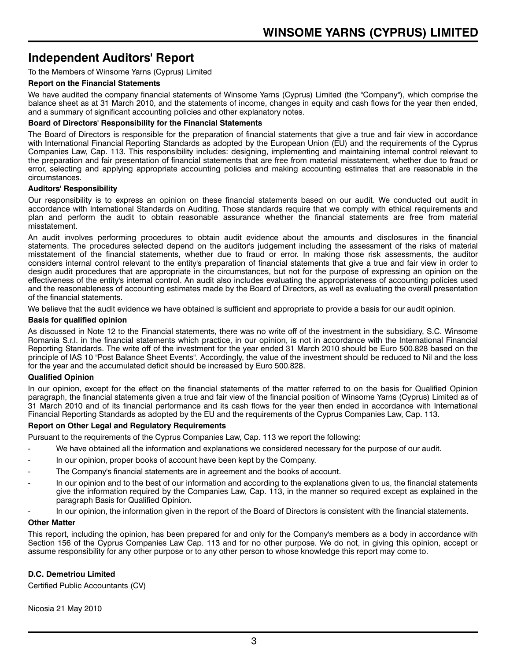## **Independent Auditors' Report**

To the Members of Winsome Yarns (Cyprus) Limited

#### **Report on the Financial Statements**

We have audited the company financial statements of Winsome Yarns (Cyprus) Limited (the "Company"), which comprise the balance sheet as at 31 March 2010, and the statements of income, changes in equity and cash flows for the year then ended, and a summary of significant accounting policies and other explanatory notes.

#### **Board of Directors' Responsibility for the Financial Statements**

The Board of Directors is responsible for the preparation of financial statements that give a true and fair view in accordance with International Financial Reporting Standards as adopted by the European Union (EU) and the requirements of the Cyprus Companies Law, Cap. 113. This responsibility includes: designing, implementing and maintaining internal control relevant to the preparation and fair presentation of financial statements that are free from material misstatement, whether due to fraud or error, selecting and applying appropriate accounting policies and making accounting estimates that are reasonable in the circumstances.

#### **Auditors' Responsibility**

Our responsibility is to express an opinion on these financial statements based on our audit. We conducted out audit in accordance with International Standards on Auditing. Those standards require that we comply with ethical requirements and plan and perform the audit to obtain reasonable assurance whether the financial statements are free from material misstatement.

An audit involves performing procedures to obtain audit evidence about the amounts and disclosures in the financial statements. The procedures selected depend on the auditor's judgement including the assessment of the risks of material misstatement of the financial statements, whether due to fraud or error. In making those risk assessments, the auditor considers internal control relevant to the entity's preparation of financial statements that give a true and fair view in order to design audit procedures that are appropriate in the circumstances, but not for the purpose of expressing an opinion on the effectiveness of the entity's internal control. An audit also includes evaluating the appropriateness of accounting policies used and the reasonableness of accounting estimates made by the Board of Directors, as well as evaluating the overall presentation of the financial statements.

We believe that the audit evidence we have obtained is sufficient and appropriate to provide a basis for our audit opinion.

#### **Basis for qualified opinion**

As discussed in Note 12 to the Financial statements, there was no write off of the investment in the subsidiary, S.C. Winsome Romania S.r.l. in the financial statements which practice, in our opinion, is not in accordance with the International Financial Reporting Standards. The write off of the investment for the year ended 31 March 2010 should be Euro 500.828 based on the principle of IAS 10 "Post Balance Sheet Events". Accordingly, the value of the investment should be reduced to Nil and the loss for the year and the accumulated deficit should be increased by Euro 500.828.

#### **Qualified Opinion**

In our opinion, except for the effect on the financial statements of the matter referred to on the basis for Qualified Opinion paragraph, the financial statements given a true and fair view of the financial position of Winsome Yarns (Cyprus) Limited as of 31 March 2010 and of its financial performance and its cash flows for the year then ended in accordance with International Financial Reporting Standards as adopted by the EU and the requirements of the Cyprus Companies Law, Cap. 113.

#### **Report on Other Legal and Regulatory Requirements**

Pursuant to the requirements of the Cyprus Companies Law, Cap. 113 we report the following:

- We have obtained all the information and explanations we considered necessary for the purpose of our audit.
- In our opinion, proper books of account have been kept by the Company.
- The Company's financial statements are in agreement and the books of account.
- In our opinion and to the best of our information and according to the explanations given to us, the financial statements give the information required by the Companies Law, Cap. 113, in the manner so required except as explained in the paragraph Basis for Qualified Opinion.
- In our opinion, the information given in the report of the Board of Directors is consistent with the financial statements.

#### **Other Matter**

This report, including the opinion, has been prepared for and only for the Company's members as a body in accordance with Section 156 of the Cyprus Companies Law Cap. 113 and for no other purpose. We do not, in giving this opinion, accept or assume responsibility for any other purpose or to any other person to whose knowledge this report may come to.

#### **D.C. Demetriou Limited**

Certified Public Accountants (CV)

Nicosia 21 May 2010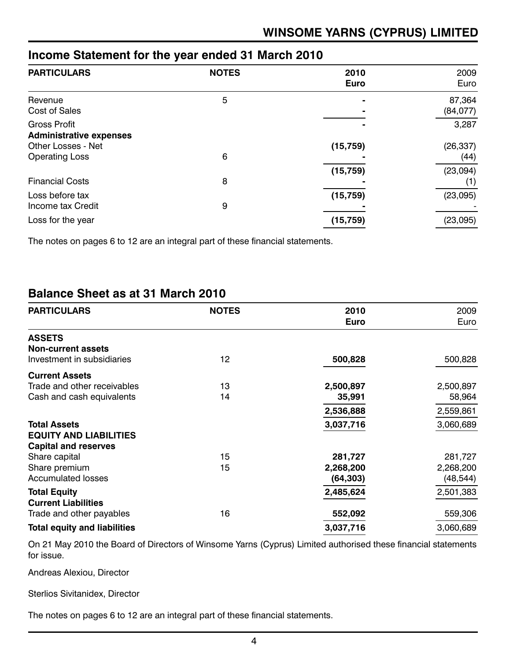## **WINSOME YARNS (CYPRUS) LIMITED**

## **Income Statement for the year ended 31 March 2010**

| <b>PARTICULARS</b>                                    | <b>NOTES</b> | 2010<br><b>Euro</b> | 2009<br>Euro        |
|-------------------------------------------------------|--------------|---------------------|---------------------|
| Revenue<br>Cost of Sales                              | 5            |                     | 87,364<br>(84, 077) |
| <b>Gross Profit</b><br><b>Administrative expenses</b> |              |                     | 3,287               |
| Other Losses - Net                                    |              | (15, 759)           | (26, 337)           |
| <b>Operating Loss</b>                                 | 6            |                     | (44)                |
|                                                       |              | (15, 759)           | (23,094)            |
| <b>Financial Costs</b>                                | 8            |                     | (1)                 |
| Loss before tax                                       |              | (15, 759)           | (23,095)            |
| Income tax Credit                                     | 9            |                     |                     |
| Loss for the year                                     |              | (15, 759)           | (23,095)            |

The notes on pages 6 to 12 are an integral part of these financial statements.

## **Balance Sheet as at 31 March 2010**

| <b>PARTICULARS</b>                  | <b>NOTES</b> | 2010        | 2009      |
|-------------------------------------|--------------|-------------|-----------|
|                                     |              | <b>Euro</b> | Euro      |
| <b>ASSETS</b>                       |              |             |           |
| <b>Non-current assets</b>           |              |             |           |
| Investment in subsidiaries          | 12           | 500,828     | 500,828   |
| <b>Current Assets</b>               |              |             |           |
| Trade and other receivables         | 13           | 2,500,897   | 2,500,897 |
| Cash and cash equivalents           | 14           | 35,991      | 58,964    |
|                                     |              | 2,536,888   | 2,559,861 |
| <b>Total Assets</b>                 |              | 3,037,716   | 3,060,689 |
| <b>EQUITY AND LIABILITIES</b>       |              |             |           |
| <b>Capital and reserves</b>         |              |             |           |
| Share capital                       | 15           | 281,727     | 281,727   |
| Share premium                       | 15           | 2,268,200   | 2,268,200 |
| Accumulated losses                  |              | (64,303)    | (48,544)  |
| <b>Total Equity</b>                 |              | 2,485,624   | 2,501,383 |
| <b>Current Liabilities</b>          |              |             |           |
| Trade and other payables            | 16           | 552,092     | 559,306   |
| <b>Total equity and liabilities</b> |              | 3,037,716   | 3,060,689 |

On 21 May 2010 the Board of Directors of Winsome Yarns (Cyprus) Limited authorised these financial statements for issue.

Andreas Alexiou, Director

Sterlios Sivitanidex, Director

The notes on pages 6 to 12 are an integral part of these financial statements.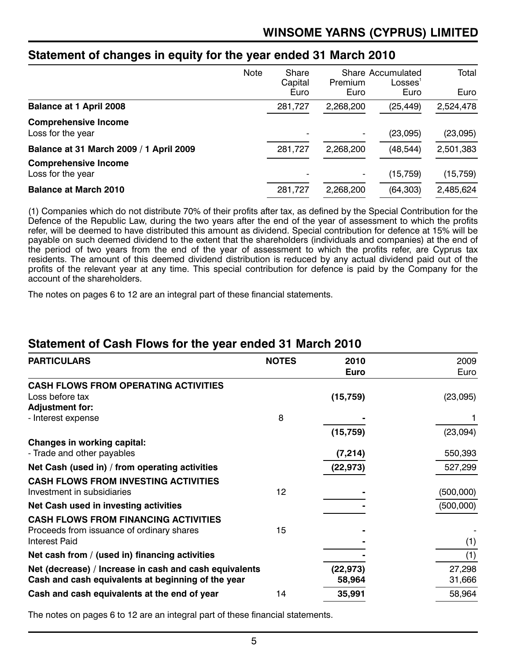## **Statement of changes in equity for the year ended 31 March 2010**

|                                                  | Note | Share<br>Capital | Premium   | Share Accumulated<br>Losses' | Total     |
|--------------------------------------------------|------|------------------|-----------|------------------------------|-----------|
|                                                  |      | Euro             | Euro      | Euro                         | Euro      |
| Balance at 1 April 2008                          |      | 281.727          | 2,268,200 | (25, 449)                    | 2,524,478 |
| <b>Comprehensive Income</b><br>Loss for the year |      |                  |           | (23,095)                     | (23,095)  |
| Balance at 31 March 2009 / 1 April 2009          |      | 281,727          | 2,268,200 | (48, 544)                    | 2,501,383 |
| <b>Comprehensive Income</b><br>Loss for the year |      |                  |           | (15,759)                     | (15, 759) |
| <b>Balance at March 2010</b>                     |      | 281.727          | 2,268,200 | (64, 303)                    | 2,485,624 |

(1) Companies which do not distribute 70% of their profits after tax, as defined by the Special Contribution for the Defence of the Republic Law, during the two years after the end of the year of assessment to which the profits refer, will be deemed to have distributed this amount as dividend. Special contribution for defence at 15% will be payable on such deemed dividend to the extent that the shareholders (individuals and companies) at the end of the period of two years from the end of the year of assessment to which the profits refer, are Cyprus tax residents. The amount of this deemed dividend distribution is reduced by any actual dividend paid out of the profits of the relevant year at any time. This special contribution for defence is paid by the Company for the account of the shareholders.

The notes on pages 6 to 12 are an integral part of these financial statements.

| <b>PARTICULARS</b>                                     | <b>NOTES</b> | 2010<br>Euro | 2009<br>Euro |
|--------------------------------------------------------|--------------|--------------|--------------|
| <b>CASH FLOWS FROM OPERATING ACTIVITIES</b>            |              |              |              |
| Loss before tax                                        |              | (15, 759)    | (23,095)     |
| <b>Adjustment for:</b>                                 |              |              |              |
| - Interest expense                                     | 8            |              |              |
|                                                        |              | (15, 759)    | (23,094)     |
| Changes in working capital:                            |              |              |              |
| - Trade and other payables                             |              | (7, 214)     | 550,393      |
| Net Cash (used in) / from operating activities         |              | (22, 973)    | 527,299      |
| <b>CASH FLOWS FROM INVESTING ACTIVITIES</b>            |              |              |              |
| Investment in subsidiaries                             | 12           |              | (500,000)    |
| Net Cash used in investing activities                  |              |              | (500,000)    |
| <b>CASH FLOWS FROM FINANCING ACTIVITIES</b>            |              |              |              |
| Proceeds from issuance of ordinary shares              | 15           |              |              |
| Interest Paid                                          |              |              | (1)          |
| Net cash from / (used in) financing activities         |              |              | (1)          |
| Net (decrease) / Increase in cash and cash equivalents |              | (22, 973)    | 27,298       |
| Cash and cash equivalents at beginning of the year     |              | 58,964       | 31,666       |
| Cash and cash equivalents at the end of year           | 14           | 35,991       | 58,964       |

## **Statement of Cash Flows for the year ended 31 March 2010**

The notes on pages 6 to 12 are an integral part of these financial statements.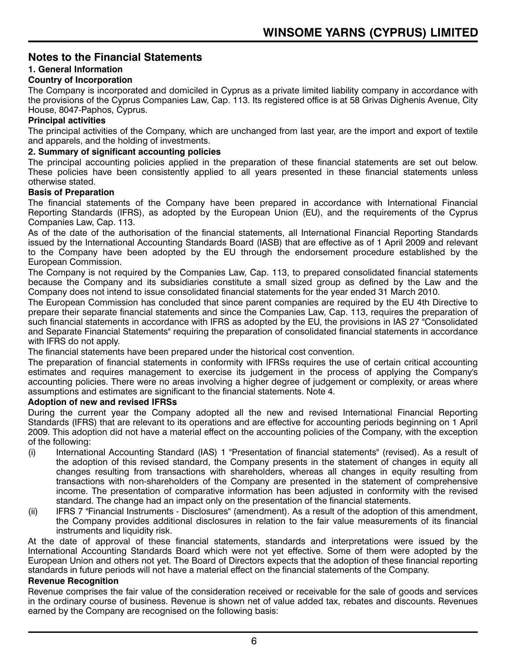## **Notes to the Financial Statements**

## **1. General Information**

## **Country of Incorporation**

The Company is incorporated and domiciled in Cyprus as a private limited liability company in accordance with the provisions of the Cyprus Companies Law, Cap. 113. Its registered office is at 58 Grivas Dighenis Avenue, City House, 8047-Paphos, Cyprus.

## **Principal activities**

The principal activities of the Company, which are unchanged from last year, are the import and export of textile and apparels, and the holding of investments.

## **2. Summary of significant accounting policies**

The principal accounting policies applied in the preparation of these financial statements are set out below. These policies have been consistently applied to all years presented in these financial statements unless otherwise stated.

## **Basis of Preparation**

The financial statements of the Company have been prepared in accordance with International Financial Reporting Standards (IFRS), as adopted by the European Union (EU), and the requirements of the Cyprus Companies Law, Cap. 113.

As of the date of the authorisation of the financial statements, all International Financial Reporting Standards issued by the International Accounting Standards Board (IASB) that are effective as of 1 April 2009 and relevant to the Company have been adopted by the EU through the endorsement procedure established by the European Commission.

The Company is not required by the Companies Law, Cap. 113, to prepared consolidated financial statements because the Company and its subsidiaries constitute a small sized group as defined by the Law and the Company does not intend to issue consolidated financial statements for the year ended 31 March 2010.

The European Commission has concluded that since parent companies are required by the EU 4th Directive to prepare their separate financial statements and since the Companies Law, Cap. 113, requires the preparation of such financial statements in accordance with IFRS as adopted by the EU, the provisions in IAS 27 "Consolidated and Separate Financial Statements" requiring the preparation of consolidated financial statements in accordance with IFRS do not apply.

The financial statements have been prepared under the historical cost convention.

The preparation of financial statements in conformity with IFRSs requires the use of certain critical accounting estimates and requires management to exercise its judgement in the process of applying the Company's accounting policies. There were no areas involving a higher degree of judgement or complexity, or areas where assumptions and estimates are significant to the financial statements. Note 4.

## **Adoption of new and revised IFRSs**

During the current year the Company adopted all the new and revised International Financial Reporting Standards (IFRS) that are relevant to its operations and are effective for accounting periods beginning on 1 April 2009. This adoption did not have a material effect on the accounting policies of the Company, with the exception of the following:

- (i) International Accounting Standard (IAS) 1 "Presentation of financial statements" (revised). As a result of the adoption of this revised standard, the Company presents in the statement of changes in equity all changes resulting from transactions with shareholders, whereas all changes in equity resulting from transactions with non-shareholders of the Company are presented in the statement of comprehensive income. The presentation of comparative information has been adjusted in conformity with the revised standard. The change had an impact only on the presentation of the financial statements.
- (ii) IFRS 7 "Financial Instruments Disclosures" (amendment). As a result of the adoption of this amendment, the Company provides additional disclosures in relation to the fair value measurements of its financial instruments and liquidity risk.

At the date of approval of these financial statements, standards and interpretations were issued by the International Accounting Standards Board which were not yet effective. Some of them were adopted by the European Union and others not yet. The Board of Directors expects that the adoption of these financial reporting standards in future periods will not have a material effect on the financial statements of the Company.

## **Revenue Recognition**

Revenue comprises the fair value of the consideration received or receivable for the sale of goods and services in the ordinary course of business. Revenue is shown net of value added tax, rebates and discounts. Revenues earned by the Company are recognised on the following basis: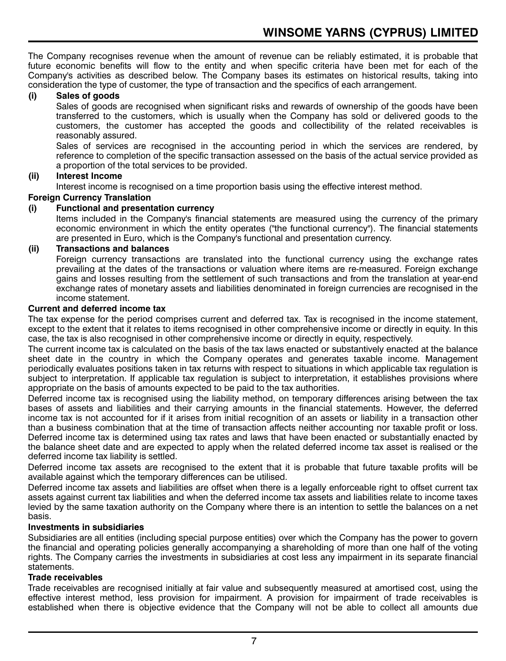The Company recognises revenue when the amount of revenue can be reliably estimated, it is probable that future economic benefits will flow to the entity and when specific criteria have been met for each of the Company's activities as described below. The Company bases its estimates on historical results, taking into consideration the type of customer, the type of transaction and the specifics of each arrangement.

## **(i) Sales of goods**

Sales of goods are recognised when significant risks and rewards of ownership of the goods have been transferred to the customers, which is usually when the Company has sold or delivered goods to the customers, the customer has accepted the goods and collectibility of the related receivables is reasonably assured.

Sales of services are recognised in the accounting period in which the services are rendered, by reference to completion of the specific transaction assessed on the basis of the actual service provided as a proportion of the total services to be provided.

## **(ii) Interest Income**

Interest income is recognised on a time proportion basis using the effective interest method.

## **Foreign Currency Translation**

## **(i) Functional and presentation currency**

Items included in the Company's financial statements are measured using the currency of the primary economic environment in which the entity operates ("the functional currency"). The financial statements are presented in Euro, which is the Company's functional and presentation currency.

## **(ii) Transactions and balances**

Foreign currency transactions are translated into the functional currency using the exchange rates prevailing at the dates of the transactions or valuation where items are re-measured. Foreign exchange gains and losses resulting from the settlement of such transactions and from the translation at year-end exchange rates of monetary assets and liabilities denominated in foreign currencies are recognised in the income statement.

## **Current and deferred income tax**

The tax expense for the period comprises current and deferred tax. Tax is recognised in the income statement, except to the extent that it relates to items recognised in other comprehensive income or directly in equity. In this case, the tax is also recognised in other comprehensive income or directly in equity, respectively.

The current income tax is calculated on the basis of the tax laws enacted or substantively enacted at the balance sheet date in the country in which the Company operates and generates taxable income. Management periodically evaluates positions taken in tax returns with respect to situations in which applicable tax regulation is subject to interpretation. If applicable tax regulation is subject to interpretation, it establishes provisions where appropriate on the basis of amounts expected to be paid to the tax authorities.

Deferred income tax is recognised using the liability method, on temporary differences arising between the tax bases of assets and liabilities and their carrying amounts in the financial statements. However, the deferred income tax is not accounted for if it arises from initial recognition of an assets or liability in a transaction other than a business combination that at the time of transaction affects neither accounting nor taxable profit or loss. Deferred income tax is determined using tax rates and laws that have been enacted or substantially enacted by the balance sheet date and are expected to apply when the related deferred income tax asset is realised or the deferred income tax liability is settled.

Deferred income tax assets are recognised to the extent that it is probable that future taxable profits will be available against which the temporary differences can be utilised.

Deferred income tax assets and liabilities are offset when there is a legally enforceable right to offset current tax assets against current tax liabilities and when the deferred income tax assets and liabilities relate to income taxes levied by the same taxation authority on the Company where there is an intention to settle the balances on a net basis.

## **Investments in subsidiaries**

Subsidiaries are all entities (including special purpose entities) over which the Company has the power to govern the financial and operating policies generally accompanying a shareholding of more than one half of the voting rights. The Company carries the investments in subsidiaries at cost less any impairment in its separate financial statements.

## **Trade receivables**

Trade receivables are recognised initially at fair value and subsequently measured at amortised cost, using the effective interest method, less provision for impairment. A provision for impairment of trade receivables is established when there is objective evidence that the Company will not be able to collect all amounts due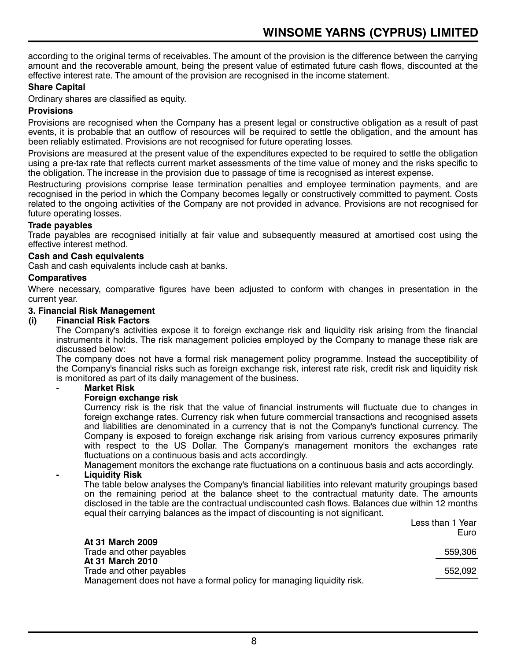according to the original terms of receivables. The amount of the provision is the difference between the carrying amount and the recoverable amount, being the present value of estimated future cash flows, discounted at the effective interest rate. The amount of the provision are recognised in the income statement.

## **Share Capital**

Ordinary shares are classified as equity.

## **Provisions**

Provisions are recognised when the Company has a present legal or constructive obligation as a result of past events, it is probable that an outflow of resources will be required to settle the obligation, and the amount has been reliably estimated. Provisions are not recognised for future operating losses.

Provisions are measured at the present value of the expenditures expected to be required to settle the obligation using a pre-tax rate that reflects current market assessments of the time value of money and the risks specific to the obligation. The increase in the provision due to passage of time is recognised as interest expense.

Restructuring provisions comprise lease termination penalties and employee termination payments, and are recognised in the period in which the Company becomes legally or constructively committed to payment. Costs related to the ongoing activities of the Company are not provided in advance. Provisions are not recognised for future operating losses.

## **Trade payables**

Trade payables are recognised initially at fair value and subsequently measured at amortised cost using the effective interest method.

## **Cash and Cash equivalents**

Cash and cash equivalents include cash at banks.

## **Comparatives**

Where necessary, comparative figures have been adjusted to conform with changes in presentation in the current year.

# **3. Financial Risk Management**

## **(i) Financial Risk Factors**

The Company's activities expose it to foreign exchange risk and liquidity risk arising from the financial instruments it holds. The risk management policies employed by the Company to manage these risk are discussed below:

The company does not have a formal risk management policy programme. Instead the succeptibility of the Company's financial risks such as foreign exchange risk, interest rate risk, credit risk and liquidity risk is monitored as part of its daily management of the business.

## **- Market Risk**

## **Foreign exchange risk**

Currency risk is the risk that the value of financial instruments will fluctuate due to changes in foreign exchange rates. Currency risk when future commercial transactions and recognised assets and liabilities are denominated in a currency that is not the Company's functional currency. The Company is exposed to foreign exchange risk arising from various currency exposures primarily with respect to the US Dollar. The Company's management monitors the exchanges rate fluctuations on a continuous basis and acts accordingly.

Management monitors the exchange rate fluctuations on a continuous basis and acts accordingly. **- Liquidity Risk**

The table below analyses the Company's financial liabilities into relevant maturity groupings based on the remaining period at the balance sheet to the contractual maturity date. The amounts disclosed in the table are the contractual undiscounted cash flows. Balances due within 12 months equal their carrying balances as the impact of discounting is not significant.

|                                                                       | Less than 1 Year |
|-----------------------------------------------------------------------|------------------|
|                                                                       | Euro             |
| <b>At 31 March 2009</b>                                               |                  |
| Trade and other payables                                              | 559.306          |
| At 31 March 2010                                                      |                  |
| Trade and other payables                                              | 552.092          |
| Management does not have a formal policy for managing liquidity risk. |                  |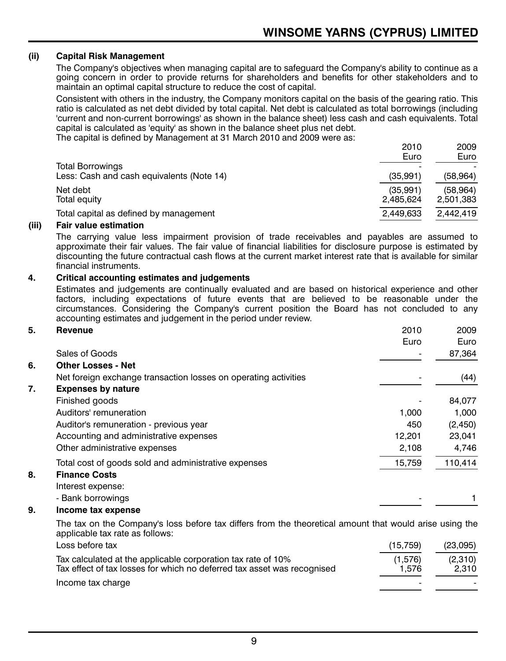## **(ii) Capital Risk Management**

The Company's objectives when managing capital are to safeguard the Company's ability to continue as a going concern in order to provide returns for shareholders and benefits for other stakeholders and to maintain an optimal capital structure to reduce the cost of capital.

Consistent with others in the industry, the Company monitors capital on the basis of the gearing ratio. This ratio is calculated as net debt divided by total capital. Net debt is calculated as total borrowings (including 'current and non-current borrowings' as shown in the balance sheet) less cash and cash equivalents. Total capital is calculated as 'equity' as shown in the balance sheet plus net debt.

The capital is defined by Management at 31 March 2010 and 2009 were as:

|                                                                      | 2010<br>Euro          | 2009<br>Euro          |
|----------------------------------------------------------------------|-----------------------|-----------------------|
| <b>Total Borrowings</b><br>Less: Cash and cash equivalents (Note 14) | (35,991)              | (58, 964)             |
| Net debt<br>Total equity                                             | (35.991)<br>2,485,624 | (58.964)<br>2,501,383 |
| Total capital as defined by management                               | 2.449.633             | 2,442,419             |

## **(iii) Fair value estimation**

The carrying value less impairment provision of trade receivables and payables are assumed to approximate their fair values. The fair value of financial liabilities for disclosure purpose is estimated by discounting the future contractual cash flows at the current market interest rate that is available for similar financial instruments.

## **4. Critical accounting estimates and judgements**

Estimates and judgements are continually evaluated and are based on historical experience and other factors, including expectations of future events that are believed to be reasonable under the circumstances. Considering the Company's current position the Board has not concluded to any accounting estimates and judgement in the period under review.

| 5. | <b>Revenue</b>                                                                                          | 2010   | 2009    |
|----|---------------------------------------------------------------------------------------------------------|--------|---------|
|    |                                                                                                         | Euro   | Euro    |
|    | Sales of Goods                                                                                          |        | 87,364  |
| 6. | <b>Other Losses - Net</b>                                                                               |        |         |
|    | Net foreign exchange transaction losses on operating activities                                         |        | (44)    |
| 7. | <b>Expenses by nature</b>                                                                               |        |         |
|    | Finished goods                                                                                          |        | 84,077  |
|    | Auditors' remuneration                                                                                  | 1.000  | 1,000   |
|    | Auditor's remuneration - previous year                                                                  | 450    | (2,450) |
|    | Accounting and administrative expenses                                                                  | 12,201 | 23,041  |
|    | Other administrative expenses                                                                           | 2,108  | 4,746   |
|    | Total cost of goods sold and administrative expenses                                                    | 15,759 | 110,414 |
| 8. | <b>Finance Costs</b>                                                                                    |        |         |
|    | Interest expense:                                                                                       |        |         |
|    | - Bank borrowings                                                                                       |        |         |
| 9. | Income tax expense                                                                                      |        |         |
|    | The tax on the Company's loss before tax differs from the theoretical amount that would arise using the |        |         |

tax differs from the theoretical amount that would arise applicable tax rate as follows:

| Loss before tax                                                                                                                         | (15.759)                 | (23.095)         |
|-----------------------------------------------------------------------------------------------------------------------------------------|--------------------------|------------------|
| Tax calculated at the applicable corporation tax rate of 10%<br>Tax effect of tax losses for which no deferred tax asset was recognised | (1.576)<br>1.576         | (2,310)<br>2.310 |
| Income tax charge                                                                                                                       | $\overline{\phantom{0}}$ |                  |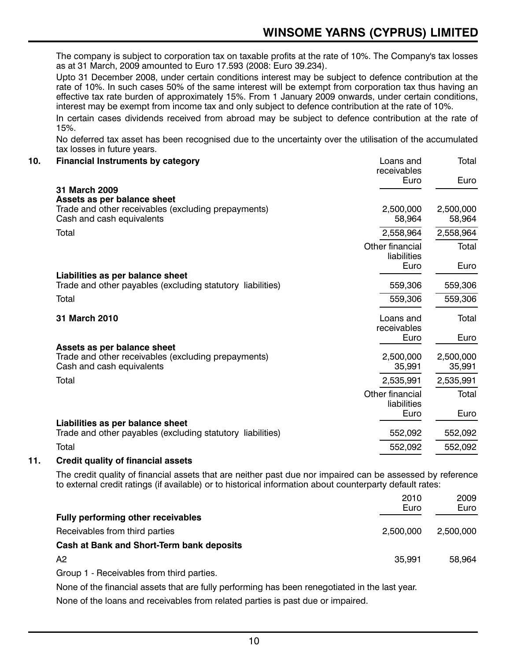The company is subject to corporation tax on taxable profits at the rate of 10%. The Company's tax losses as at 31 March, 2009 amounted to Euro 17.593 (2008: Euro 39.234).

Upto 31 December 2008, under certain conditions interest may be subject to defence contribution at the rate of 10%. In such cases 50% of the same interest will be extempt from corporation tax thus having an effective tax rate burden of approximately 15%. From 1 January 2009 onwards, under certain conditions, interest may be exempt from income tax and only subject to defence contribution at the rate of 10%.

In certain cases dividends received from abroad may be subject to defence contribution at the rate of 15%.

No deferred tax asset has been recognised due to the uncertainty over the utilisation of the accumulated tax losses in future years.

## **10. Financial Instruments by category** Loans and Total receivables<br>Euro **Euro 31 March 2009 Assets as per balance sheet** Trade and other receivables (excluding prepayments)  $2,500,000$  2,500,000 2,500,000<br>Cash and cash equivalents 68.964 58.964 Cash and cash equivalents Total 2,558,964 2,558,964 Other financial Total liabilities Euro Euro **Liabilities as per balance sheet** Trade and other payables (excluding statutory liabilities) 559,306 559,306 Total 559,306 559,306 **31 March 2010** Loans and Total receivables Euro Euro **Assets as per balance sheet** Trade and other receivables (excluding prepayments) <br>Cash and cash equivalents (excluding prepayments) 2,500,000 2,500,000 2,500,000 2,500,000 Cash and cash equivalents Total 2,535,991 2,535,991 Other financial Total liabilities Euro Euro **Liabilities as per balance sheet** Trade and other payables (excluding statutory liabilities) 552,092 552,092 Total 552,092 552,092

## **11. Credit quality of financial assets**

The credit quality of financial assets that are neither past due nor impaired can be assessed by reference to external credit ratings (if available) or to historical information about counterparty default rates:

|                                                                      | 2010<br>Euro | 2009<br>Euro |
|----------------------------------------------------------------------|--------------|--------------|
| Fully performing other receivables<br>Receivables from third parties | 2.500.000    | 2.500.000    |
| Cash at Bank and Short-Term bank deposits                            |              |              |
| A2                                                                   | 35.991       | 58.964       |

Group 1 - Receivables from third parties.

None of the financial assets that are fully performing has been renegotiated in the last year.

None of the loans and receivables from related parties is past due or impaired.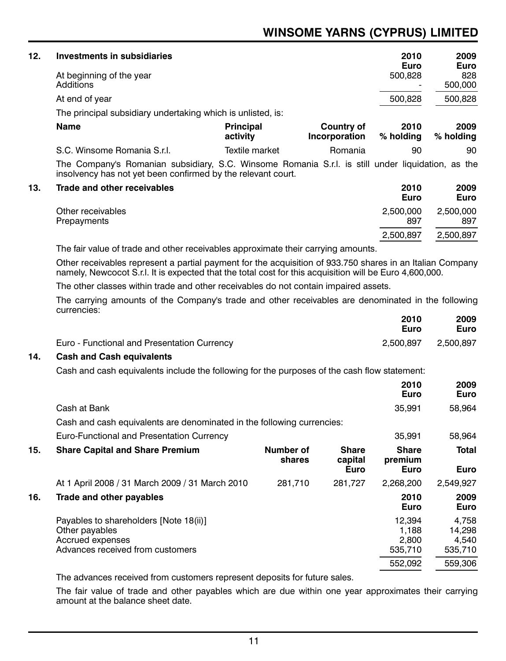## **WINSOME YARNS (CYPRUS) LIMITED**

| 12. | Investments in subsidiaries                                                                                                                                       |                              |                             | 2010<br>Euro      | 2009<br><b>Euro</b> |
|-----|-------------------------------------------------------------------------------------------------------------------------------------------------------------------|------------------------------|-----------------------------|-------------------|---------------------|
|     | At beginning of the year<br>Additions                                                                                                                             |                              |                             | 500,828           | 828<br>500,000      |
|     | At end of year                                                                                                                                                    |                              |                             | 500,828           | 500,828             |
|     | The principal subsidiary undertaking which is unlisted, is:                                                                                                       |                              |                             |                   |                     |
|     | <b>Name</b>                                                                                                                                                       | <b>Principal</b><br>activity | Country of<br>Incorporation | 2010<br>% holding | 2009<br>% holding   |
|     | S.C. Winsome Romania S.r.I.                                                                                                                                       | Textile market               | Romania                     | 90                | 90                  |
|     | The Company's Romanian subsidiary, S.C. Winsome Romania S.r.l. is still under liquidation, as the<br>insolvency has not yet been confirmed by the relevant court. |                              |                             |                   |                     |
| 13. | Trade and other receivables                                                                                                                                       |                              |                             | 2010              | 2009                |

| 13. | Trade and other receivables      | 2010<br>Euro     | 2009<br>Euro     |
|-----|----------------------------------|------------------|------------------|
|     | Other receivables<br>Prepayments | 2.500.000<br>897 | 2.500.000<br>897 |
|     |                                  | 2.500.897        | 2.500.897        |

The fair value of trade and other receivables approximate their carrying amounts.

Other receivables represent a partial payment for the acquisition of 933.750 shares in an Italian Company namely, Newcocot S.r.l. It is expected that the total cost for this acquisition will be Euro 4,600,000.

The other classes within trade and other receivables do not contain impaired assets.

The carrying amounts of the Company's trade and other receivables are denominated in the following currencies:

|                                             | 2010<br>Euro | 2009<br>Euro |
|---------------------------------------------|--------------|--------------|
| Euro - Functional and Presentation Currency | 2.500.897    | 2.500.897    |

## **14. Cash and Cash equivalents**

Cash and cash equivalents include the following for the purposes of the cash flow statement:

|     |                                                                                                                  |                     |                                 | 2010<br>Euro                        | 2009<br>Euro                        |
|-----|------------------------------------------------------------------------------------------------------------------|---------------------|---------------------------------|-------------------------------------|-------------------------------------|
|     | Cash at Bank                                                                                                     |                     |                                 | 35,991                              | 58,964                              |
|     | Cash and cash equivalents are denominated in the following currencies:                                           |                     |                                 |                                     |                                     |
|     | Euro-Functional and Presentation Currency                                                                        |                     |                                 | 35.991                              | 58,964                              |
| 15. | <b>Share Capital and Share Premium</b>                                                                           | Number of<br>shares | <b>Share</b><br>capital<br>Euro | <b>Share</b><br>premium<br>Euro     | <b>Total</b><br>Euro                |
|     | At 1 April 2008 / 31 March 2009 / 31 March 2010                                                                  | 281,710             | 281.727                         | 2,268,200                           | 2,549,927                           |
| 16. | Trade and other payables                                                                                         |                     |                                 | 2010<br>Euro                        | 2009<br>Euro                        |
|     | Payables to shareholders [Note 18(ii)]<br>Other payables<br>Accrued expenses<br>Advances received from customers |                     |                                 | 12.394<br>1.188<br>2,800<br>535,710 | 4.758<br>14,298<br>4,540<br>535,710 |
|     |                                                                                                                  |                     |                                 | 552,092                             | 559,306                             |

The advances received from customers represent deposits for future sales.

The fair value of trade and other payables which are due within one year approximates their carrying amount at the balance sheet date.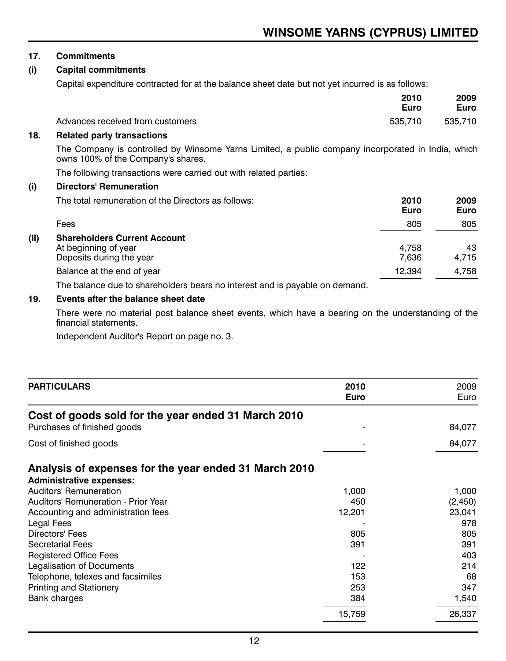## **17. Commitments**

## **(i) Capital commitments**

Capital expenditure contracted for at the balance sheet date but not yet incurred is as follows:

|                                  | 2010<br>Euro | 2009<br>Euro |
|----------------------------------|--------------|--------------|
| Advances received from customers | 535.710      | 535.710      |

## **18. Related party transactions**

The Company is controlled by Winsome Yarns Limited, a public company incorporated in India, which owns 100% of the Company's shares.

The following transactions were carried out with related parties:

## **(i) Directors' Remuneration**

|      | The total remuneration of the Directors as follows: | 2010<br>Euro | 2009<br><b>Euro</b> |
|------|-----------------------------------------------------|--------------|---------------------|
|      | Fees                                                | 805          | 805                 |
| (ii) | <b>Shareholders Current Account</b>                 |              |                     |
|      | At beginning of year                                | 4.758        | 43                  |
|      | Deposits during the year                            | 7.636        | 4.715               |
|      | Balance at the end of year                          | 12.394       | 4.758               |
|      |                                                     |              |                     |

The balance due to shareholders bears no interest and is payable on demand.

## **19. Events after the balance sheet date**

There were no material post balance sheet events, which have a bearing on the understanding of the financial statements.

Independent Auditor's Report on page no. 3.

| <b>PARTICULARS</b>                                                                       | 2010<br><b>Euro</b> | 2009<br>Euro |
|------------------------------------------------------------------------------------------|---------------------|--------------|
| Cost of goods sold for the year ended 31 March 2010                                      |                     |              |
| Purchases of finished goods                                                              |                     | 84,077       |
| Cost of finished goods                                                                   |                     | 84,077       |
| Analysis of expenses for the year ended 31 March 2010<br><b>Administrative expenses:</b> |                     |              |
| Auditors' Remuneration                                                                   | 1,000               | 1,000        |
| Auditors' Remuneration - Prior Year                                                      | 450                 | (2, 450)     |
| Accounting and administration fees                                                       | 12,201              | 23,041       |
| Legal Fees                                                                               |                     | 978          |
| Directors' Fees                                                                          | 805                 | 805          |
| <b>Secretarial Fees</b>                                                                  | 391                 | 391          |
| <b>Registered Office Fees</b>                                                            |                     | 403          |
| Legalisation of Documents                                                                | 122                 | 214          |
| Telephone, telexes and facsimiles                                                        | 153                 | 68           |
| <b>Printing and Stationery</b>                                                           | 253                 | 347          |
| Bank charges                                                                             | 384                 | 1,540        |
|                                                                                          | 15,759              | 26,337       |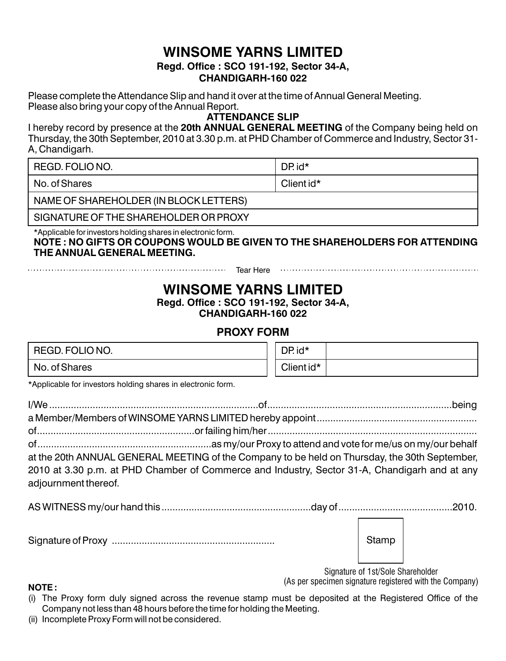# **WINSOME YARNS LIMITED**

## **Regd. Office : SCO 191-192, Sector 34-A, CHANDIGARH-160 022**

Please complete the Attendance Slip and hand it over at the time of Annual General Meeting. Please also bring your copy of the Annual Report.

## **ATTENDANCE SLIP**

I hereby record by presence at the **20th ANNUAL GENERAL MEETING** of the Company being held on Thursday, the 30th September, 2010 at 3.30 p.m. at PHD Chamber of Commerce and Industry, Sector 31- A, Chandigarh.

REGD. FOLIO NO. DE CONSUMING A LORE IN THE INTERNATIONAL CONSUMING A LORE IN THE INC.

No. of Shares Client id\*

NAME OF SHAREHOLDER (IN BLOCK LETTERS)

SIGNATURE OF THE SHAREHOLDER OR PROXY

\*Applicable for investors holding shares in electronic form. **NOTE : NO GIFTS OR COUPONS WOULD BE GIVEN TO THE SHAREHOLDERS FOR ATTENDING THE ANNUAL GENERAL MEETING.**

Tear Here

# **WINSOME YARNS LIMITED**

**Regd. Office : SCO 191-192, Sector 34-A, CHANDIGARH-160 022**

## **PROXY FORM**

| REGD. FOLIO NO. |  | $  $ DP id* |
|-----------------|--|-------------|
|-----------------|--|-------------|

No. of Shares Client id\*

\*Applicable for investors holding shares in electronic form.

| at the 20th ANNUAL GENERAL MEETING of the Company to be held on Thursday, the 30th September, |  |
|-----------------------------------------------------------------------------------------------|--|
| 2010 at 3.30 p.m. at PHD Chamber of Commerce and Industry, Sector 31-A, Chandigarh and at any |  |
| adjournment thereof.                                                                          |  |

AS WITNESS my/our hand this.......................................................day of..........................................2010.

Signature of Proxy ............................................................

Stamp

Signature of 1st/Sole Shareholder

(As per specimen signature registered with the Company)

**NOTE :**

(i) The Proxy form duly signed across the revenue stamp must be deposited at the Registered Office of the Company not less than 48 hours before the time for holding the Meeting.

(ii) Incomplete Proxy Form will not be considered.